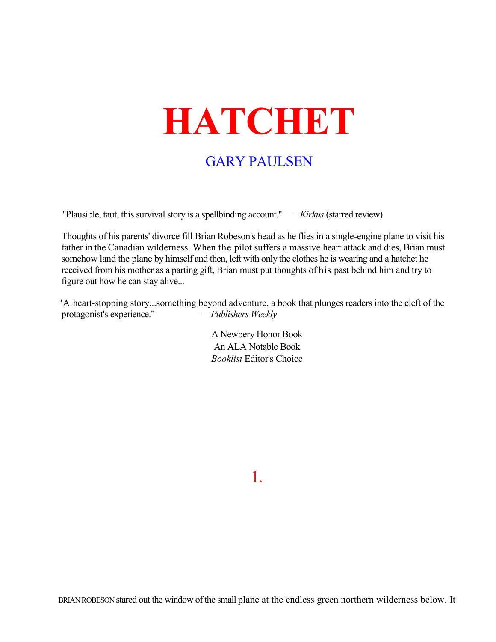# **HATCHET**

# GARY PAULSEN

"Plausible, taut, this survival story is a spellbinding account."  $-Kirkus$  (starred review)

Thoughts of his parents' divorce fill Brian Robeson's head as he flies in a single-engine plane to visit his father in the Canadian wilderness. When the pilot suffers a massive heart attack and dies, Brian must somehow land the plane by himself and then, left with only the clothes he is wearing and a hatchet he received from his mother as a parting gift, Brian must put thoughts of his past behind him and try to figure out how he can stay alive...

''A heart-stopping story...something beyond adventure, a book that plunges readers into the cleft of the protagonist's experience." —Publishers Weekly

> A Newbery Honor Book An ALA Notable Book Booklist Editor's Choice

> > 1.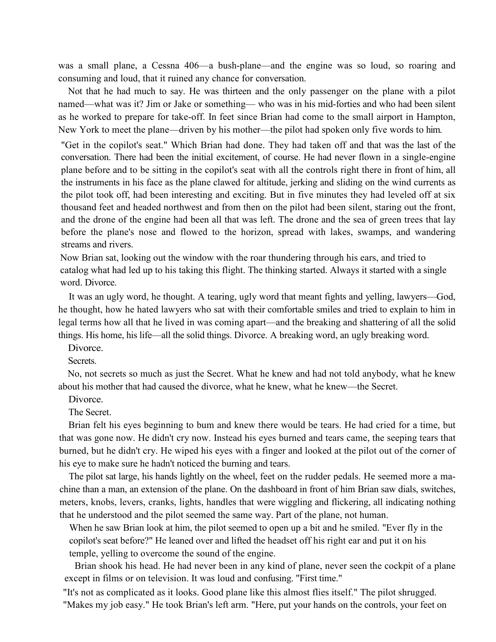was a small plane, a Cessna 406—a bush-plane—and the engine was so loud, so roaring and consuming and loud, that it ruined any chance for conversation.

Not that he had much to say. He was thirteen and the only passenger on the plane with a pilot named—what was it? Jim or Jake or something— who was in his mid-forties and who had been silent as he worked to prepare for take-off. In feet since Brian had come to the small airport in Hampton, New York to meet the plane—driven by his mother—the pilot had spoken only five words to him.

"Get in the copilot's seat." Which Brian had done. They had taken off and that was the last of the conversation. There had been the initial excitement, of course. He had never flown in a single-engine plane before and to be sitting in the copilot's seat with all the controls right there in front of him, all the instruments in his face as the plane clawed for altitude, jerking and sliding on the wind currents as the pilot took off, had been interesting and exciting. But in five minutes they had leveled off at six thousand feet and headed northwest and from then on the pilot had been silent, staring out the front, and the drone of the engine had been all that was left. The drone and the sea of green trees that lay before the plane's nose and flowed to the horizon, spread with lakes, swamps, and wandering streams and rivers.

Now Brian sat, looking out the window with the roar thundering through his ears, and tried to catalog what had led up to his taking this flight. The thinking started. Always it started with a single word. Divorce.

It was an ugly word, he thought. A tearing, ugly word that meant fights and yelling, lawyers—God, he thought, how he hated lawyers who sat with their comfortable smiles and tried to explain to him in legal terms how all that he lived in was coming apart—and the breaking and shattering of all the solid things. His home, his life—all the solid things. Divorce. A breaking word, an ugly breaking word.

Divorce.

Secrets.

No, not secrets so much as just the Secret. What he knew and had not told anybody, what he knew about his mother that had caused the divorce, what he knew, what he knew—the Secret.

Divorce.

The Secret.

Brian felt his eyes beginning to bum and knew there would be tears. He had cried for a time, but that was gone now. He didn't cry now. Instead his eyes burned and tears came, the seeping tears that burned, but he didn't cry. He wiped his eyes with a finger and looked at the pilot out of the corner of his eye to make sure he hadn't noticed the burning and tears.

The pilot sat large, his hands lightly on the wheel, feet on the rudder pedals. He seemed more a machine than a man, an extension of the plane. On the dashboard in front of him Brian saw dials, switches, meters, knobs, levers, cranks, lights, handles that were wiggling and flickering, all indicating nothing that he understood and the pilot seemed the same way. Part of the plane, not human.

When he saw Brian look at him, the pilot seemed to open up a bit and he smiled. "Ever fly in the copilot's seat before?" He leaned over and lifted the headset off his right ear and put it on his temple, yelling to overcome the sound of the engine.

Brian shook his head. He had never been in any kind of plane, never seen the cockpit of a plane except in films or on television. It was loud and confusing. "First time."

"It's not as complicated as it looks. Good plane like this almost flies itself." The pilot shrugged. "Makes my job easy." He took Brian's left arm. "Here, put your hands on the controls, your feet on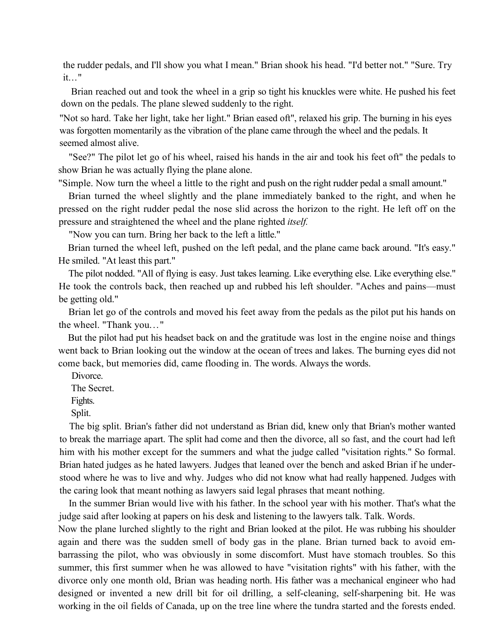the rudder pedals, and I'll show you what I mean." Brian shook his head. "I'd better not." "Sure. Try it..."

Brian reached out and took the wheel in a grip so tight his knuckles were white. He pushed his feet down on the pedals. The plane slewed suddenly to the right.

"Not so hard. Take her light, take her light." Brian eased oft", relaxed his grip. The burning in his eyes was forgotten momentarily as the vibration of the plane came through the wheel and the pedals. It seemed almost alive.

"See?" The pilot let go of his wheel, raised his hands in the air and took his feet oft" the pedals to show Brian he was actually flying the plane alone.

"Simple. Now turn the wheel a little to the right and push on the right rudder pedal a small amount."

Brian turned the wheel slightly and the plane immediately banked to the right, and when he pressed on the right rudder pedal the nose slid across the horizon to the right. He left off on the pressure and straightened the wheel and the plane righted itself.

"Now you can turn. Bring her back to the left a little."

Brian turned the wheel left, pushed on the left pedal, and the plane came back around. "It's easy." He smiled. "At least this part."

The pilot nodded. "All of flying is easy. Just takes learning. Like everything else. Like everything else." He took the controls back, then reached up and rubbed his left shoulder. "Aches and pains—must be getting old."

Brian let go of the controls and moved his feet away from the pedals as the pilot put his hands on the wheel. "Thank you..."

But the pilot had put his headset back on and the gratitude was lost in the engine noise and things went back to Brian looking out the window at the ocean of trees and lakes. The burning eyes did not come back, but memories did, came flooding in. The words. Always the words.

Divorce.

The Secret.

Fights.

Split.

The big split. Brian's father did not understand as Brian did, knew only that Brian's mother wanted to break the marriage apart. The split had come and then the divorce, all so fast, and the court had left him with his mother except for the summers and what the judge called "visitation rights." So formal. Brian hated judges as he hated lawyers. Judges that leaned over the bench and asked Brian if he understood where he was to live and why. Judges who did not know what had really happened. Judges with the caring look that meant nothing as lawyers said legal phrases that meant nothing.

In the summer Brian would live with his father. In the school year with his mother. That's what the judge said after looking at papers on his desk and listening to the lawyers talk. Talk. Words.

Now the plane lurched slightly to the right and Brian looked at the pilot. He was rubbing his shoulder again and there was the sudden smell of body gas in the plane. Brian turned back to avoid embarrassing the pilot, who was obviously in some discomfort. Must have stomach troubles. So this summer, this first summer when he was allowed to have "visitation rights" with his father, with the divorce only one month old, Brian was heading north. His father was a mechanical engineer who had designed or invented a new drill bit for oil drilling, a self-cleaning, self-sharpening bit. He was working in the oil fields of Canada, up on the tree line where the tundra started and the forests ended.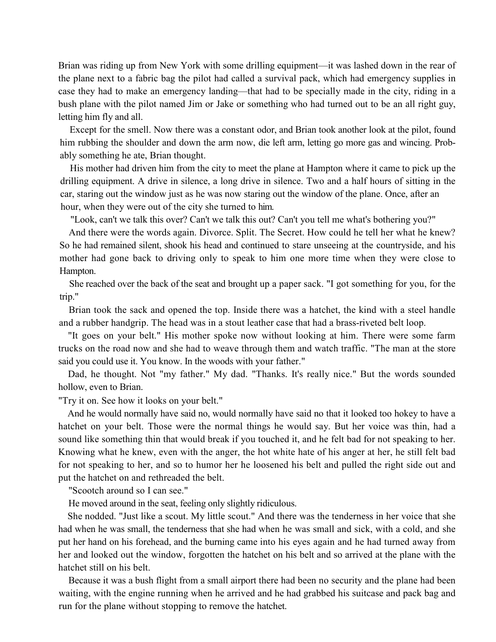Brian was riding up from New York with some drilling equipment—it was lashed down in the rear of the plane next to a fabric bag the pilot had called a survival pack, which had emergency supplies in case they had to make an emergency landing—that had to be specially made in the city, riding in a bush plane with the pilot named Jim or Jake or something who had turned out to be an all right guy, letting him fly and all.

Except for the smell. Now there was a constant odor, and Brian took another look at the pilot, found him rubbing the shoulder and down the arm now, die left arm, letting go more gas and wincing. Probably something he ate, Brian thought.

His mother had driven him from the city to meet the plane at Hampton where it came to pick up the drilling equipment. A drive in silence, a long drive in silence. Two and a half hours of sitting in the car, staring out the window just as he was now staring out the window of the plane. Once, after an hour, when they were out of the city she turned to him.

"Look, can't we talk this over? Can't we talk this out? Can't you tell me what's bothering you?"

And there were the words again. Divorce. Split. The Secret. How could he tell her what he knew? So he had remained silent, shook his head and continued to stare unseeing at the countryside, and his mother had gone back to driving only to speak to him one more time when they were close to Hampton.

She reached over the back of the seat and brought up a paper sack. "I got something for you, for the trip."

Brian took the sack and opened the top. Inside there was a hatchet, the kind with a steel handle and a rubber handgrip. The head was in a stout leather case that had a brass-riveted belt loop.

"It goes on your belt." His mother spoke now without looking at him. There were some farm trucks on the road now and she had to weave through them and watch traffic. "The man at the store said you could use it. You know. In the woods with your father."

Dad, he thought. Not "my father." My dad. "Thanks. It's really nice." But the words sounded hollow, even to Brian.

"Try it on. See how it looks on your belt."

And he would normally have said no, would normally have said no that it looked too hokey to have a hatchet on your belt. Those were the normal things he would say. But her voice was thin, had a sound like something thin that would break if you touched it, and he felt bad for not speaking to her. Knowing what he knew, even with the anger, the hot white hate of his anger at her, he still felt bad for not speaking to her, and so to humor her he loosened his belt and pulled the right side out and put the hatchet on and rethreaded the belt.

"Scootch around so I can see."

He moved around in the seat, feeling only slightly ridiculous.

She nodded. "Just like a scout. My little scout." And there was the tenderness in her voice that she had when he was small, the tenderness that she had when he was small and sick, with a cold, and she put her hand on his forehead, and the burning came into his eyes again and he had turned away from her and looked out the window, forgotten the hatchet on his belt and so arrived at the plane with the hatchet still on his belt.

Because it was a bush flight from a small airport there had been no security and the plane had been waiting, with the engine running when he arrived and he had grabbed his suitcase and pack bag and run for the plane without stopping to remove the hatchet.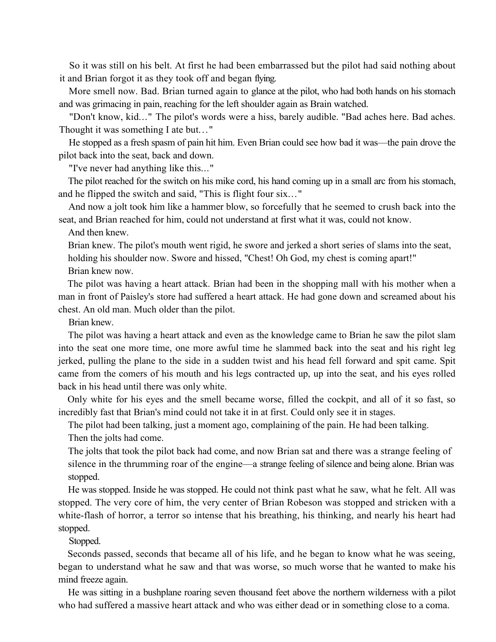So it was still on his belt. At first he had been embarrassed but the pilot had said nothing about it and Brian forgot it as they took off and began flying.

More smell now. Bad. Brian turned again to glance at the pilot, who had both hands on his stomach and was grimacing in pain, reaching for the left shoulder again as Brain watched.

"Don't know, kid..." The pilot's words were a hiss, barely audible. "Bad aches here. Bad aches. Thought it was something I ate but..."

He stopped as a fresh spasm of pain hit him. Even Brian could see how bad it was—the pain drove the pilot back into the seat, back and down.

"I've never had anything like this..."

The pilot reached for the switch on his mike cord, his hand coming up in a small arc from his stomach, and he flipped the switch and said, "This is flight four six..."

And now a jolt took him like a hammer blow, so forcefully that he seemed to crush back into the seat, and Brian reached for him, could not understand at first what it was, could not know.

And then knew.

Brian knew. The pilot's mouth went rigid, he swore and jerked a short series of slams into the seat, holding his shoulder now. Swore and hissed, "Chest! Oh God, my chest is coming apart!" Brian knew now.

The pilot was having a heart attack. Brian had been in the shopping mall with his mother when a man in front of Paisley's store had suffered a heart attack. He had gone down and screamed about his chest. An old man. Much older than the pilot.

Brian knew.

The pilot was having a heart attack and even as the knowledge came to Brian he saw the pilot slam into the seat one more time, one more awful time he slammed back into the seat and his right leg jerked, pulling the plane to the side in a sudden twist and his head fell forward and spit came. Spit came from the comers of his mouth and his legs contracted up, up into the seat, and his eyes rolled back in his head until there was only white.

Only white for his eyes and the smell became worse, filled the cockpit, and all of it so fast, so incredibly fast that Brian's mind could not take it in at first. Could only see it in stages.

The pilot had been talking, just a moment ago, complaining of the pain. He had been talking. Then the jolts had come.

The jolts that took the pilot back had come, and now Brian sat and there was a strange feeling of silence in the thrumming roar of the engine—a strange feeling of silence and being alone. Brian was stopped.

He was stopped. Inside he was stopped. He could not think past what he saw, what he felt. All was stopped. The very core of him, the very center of Brian Robeson was stopped and stricken with a white-flash of horror, a terror so intense that his breathing, his thinking, and nearly his heart had stopped.

Stopped.

Seconds passed, seconds that became all of his life, and he began to know what he was seeing, began to understand what he saw and that was worse, so much worse that he wanted to make his mind freeze again.

He was sitting in a bushplane roaring seven thousand feet above the northern wilderness with a pilot who had suffered a massive heart attack and who was either dead or in something close to a coma.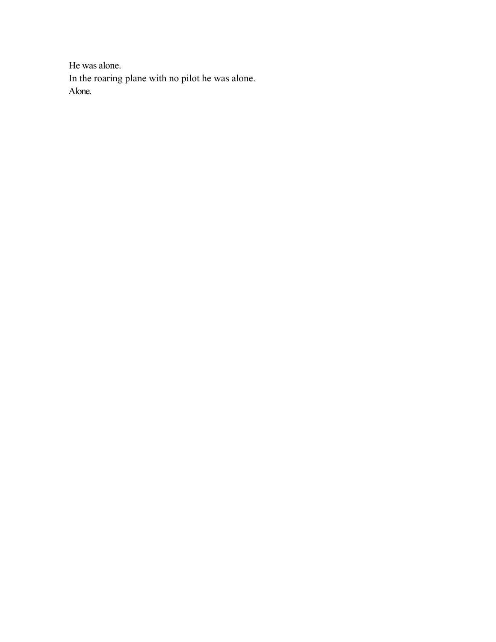He was alone. In the roaring plane with no pilot he was alone. Alone.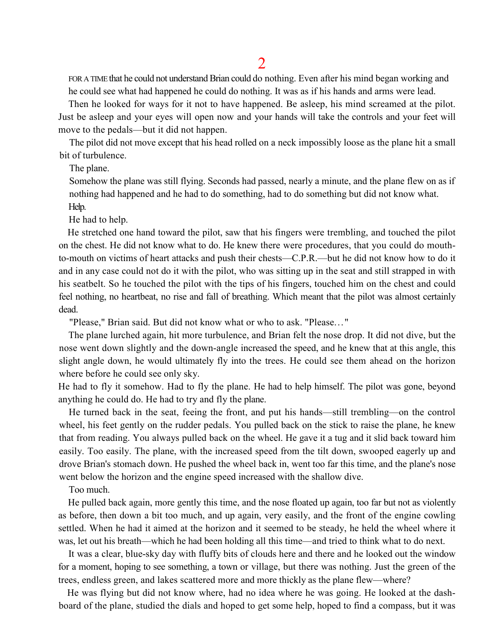FOR A TIME that he could not understand Brian could do nothing. Even after his mind began working and he could see what had happened he could do nothing. It was as if his hands and arms were lead.

Then he looked for ways for it not to have happened. Be asleep, his mind screamed at the pilot. Just be asleep and your eyes will open now and your hands will take the controls and your feet will move to the pedals—but it did not happen.

The pilot did not move except that his head rolled on a neck impossibly loose as the plane hit a small bit of turbulence.

The plane.

Somehow the plane was still flying. Seconds had passed, nearly a minute, and the plane flew on as if nothing had happened and he had to do something, had to do something but did not know what. Help.

He had to help.

He stretched one hand toward the pilot, saw that his fingers were trembling, and touched the pilot on the chest. He did not know what to do. He knew there were procedures, that you could do mouthto-mouth on victims of heart attacks and push their chests—C.P.R.—but he did not know how to do it and in any case could not do it with the pilot, who was sitting up in the seat and still strapped in with his seatbelt. So he touched the pilot with the tips of his fingers, touched him on the chest and could feel nothing, no heartbeat, no rise and fall of breathing. Which meant that the pilot was almost certainly dead.

"Please," Brian said. But did not know what or who to ask. "Please..."

The plane lurched again, hit more turbulence, and Brian felt the nose drop. It did not dive, but the nose went down slightly and the down-angle increased the speed, and he knew that at this angle, this slight angle down, he would ultimately fly into the trees. He could see them ahead on the horizon where before he could see only sky.

He had to fly it somehow. Had to fly the plane. He had to help himself. The pilot was gone, beyond anything he could do. He had to try and fly the plane.

He turned back in the seat, feeing the front, and put his hands—still trembling—on the control wheel, his feet gently on the rudder pedals. You pulled back on the stick to raise the plane, he knew that from reading. You always pulled back on the wheel. He gave it a tug and it slid back toward him easily. Too easily. The plane, with the increased speed from the tilt down, swooped eagerly up and drove Brian's stomach down. He pushed the wheel back in, went too far this time, and the plane's nose went below the horizon and the engine speed increased with the shallow dive.

Too much.

He pulled back again, more gently this time, and the nose floated up again, too far but not as violently as before, then down a bit too much, and up again, very easily, and the front of the engine cowling settled. When he had it aimed at the horizon and it seemed to be steady, he held the wheel where it was, let out his breath—which he had been holding all this time—and tried to think what to do next.

It was a clear, blue-sky day with fluffy bits of clouds here and there and he looked out the window for a moment, hoping to see something, a town or village, but there was nothing. Just the green of the trees, endless green, and lakes scattered more and more thickly as the plane flew—where?

He was flying but did not know where, had no idea where he was going. He looked at the dashboard of the plane, studied the dials and hoped to get some help, hoped to find a compass, but it was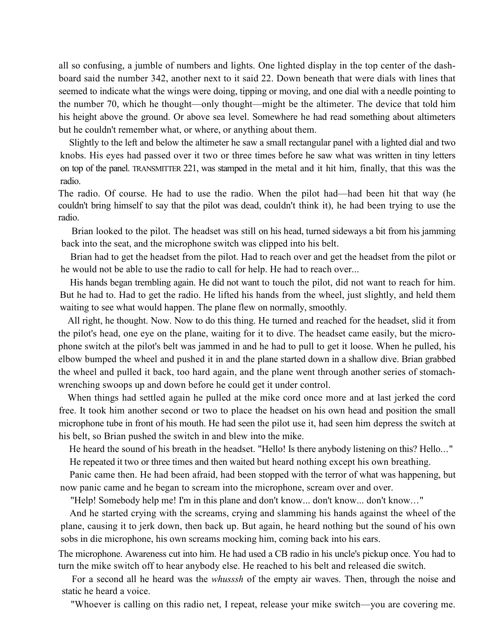all so confusing, a jumble of numbers and lights. One lighted display in the top center of the dashboard said the number 342, another next to it said 22. Down beneath that were dials with lines that seemed to indicate what the wings were doing, tipping or moving, and one dial with a needle pointing to the number 70, which he thought—only thought—might be the altimeter. The device that told him his height above the ground. Or above sea level. Somewhere he had read something about altimeters but he couldn't remember what, or where, or anything about them.

Slightly to the left and below the altimeter he saw a small rectangular panel with a lighted dial and two knobs. His eyes had passed over it two or three times before he saw what was written in tiny letters on top of the panel. TRANSMITTER 221, was stamped in the metal and it hit him, finally, that this was the radio.

The radio. Of course. He had to use the radio. When the pilot had—had been hit that way (he couldn't bring himself to say that the pilot was dead, couldn't think it), he had been trying to use the radio.

Brian looked to the pilot. The headset was still on his head, turned sideways a bit from his jamming back into the seat, and the microphone switch was clipped into his belt.

Brian had to get the headset from the pilot. Had to reach over and get the headset from the pilot or he would not be able to use the radio to call for help. He had to reach over...

His hands began trembling again. He did not want to touch the pilot, did not want to reach for him. But he had to. Had to get the radio. He lifted his hands from the wheel, just slightly, and held them waiting to see what would happen. The plane flew on normally, smoothly.

All right, he thought. Now. Now to do this thing. He turned and reached for the headset, slid it from the pilot's head, one eye on the plane, waiting for it to dive. The headset came easily, but the microphone switch at the pilot's belt was jammed in and he had to pull to get it loose. When he pulled, his elbow bumped the wheel and pushed it in and the plane started down in a shallow dive. Brian grabbed the wheel and pulled it back, too hard again, and the plane went through another series of stomachwrenching swoops up and down before he could get it under control.

When things had settled again he pulled at the mike cord once more and at last jerked the cord free. It took him another second or two to place the headset on his own head and position the small microphone tube in front of his mouth. He had seen the pilot use it, had seen him depress the switch at his belt, so Brian pushed the switch in and blew into the mike.

He heard the sound of his breath in the headset. "Hello! Is there anybody listening on this? Hello..."

He repeated it two or three times and then waited but heard nothing except his own breathing.

Panic came then. He had been afraid, had been stopped with the terror of what was happening, but now panic came and he began to scream into the microphone, scream over and over.

"Help! Somebody help me! I'm in this plane and don't know... don't know... don't know..."

And he started crying with the screams, crying and slamming his hands against the wheel of the plane, causing it to jerk down, then back up. But again, he heard nothing but the sound of his own sobs in die microphone, his own screams mocking him, coming back into his ears.

The microphone. Awareness cut into him. He had used a CB radio in his uncle's pickup once. You had to turn the mike switch off to hear anybody else. He reached to his belt and released die switch.

For a second all he heard was the whusssh of the empty air waves. Then, through the noise and static he heard a voice.

"Whoever is calling on this radio net, I repeat, release your mike switch—you are covering me.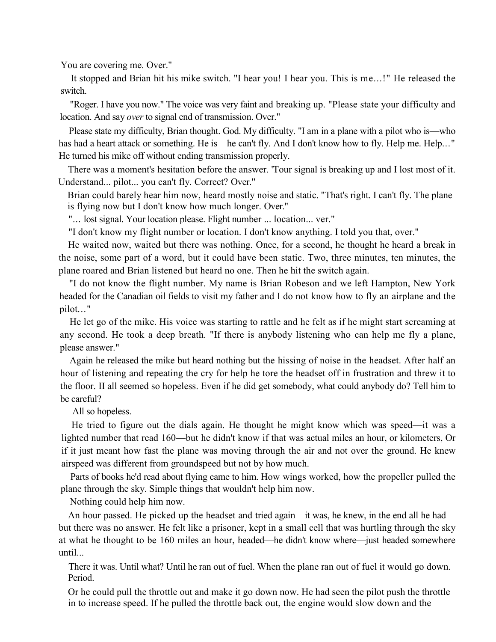You are covering me. Over."

It stopped and Brian hit his mike switch. "I hear you! I hear you. This is me...!" He released the switch.

"Roger. I have you now." The voice was very faint and breaking up. "Please state your difficulty and location. And say over to signal end of transmission. Over."

Please state my difficulty, Brian thought. God. My difficulty. "I am in a plane with a pilot who is—who has had a heart attack or something. He is—he can't fly. And I don't know how to fly. Help me. Help..." He turned his mike off without ending transmission properly.

There was a moment's hesitation before the answer. 'Tour signal is breaking up and I lost most of it. Understand... pilot... you can't fly. Correct? Over."

Brian could barely hear him now, heard mostly noise and static. "That's right. I can't fly. The plane is flying now but I don't know how much longer. Over."

"... lost signal. Your location please. Flight number ... location... ver."

"I don't know my flight number or location. I don't know anything. I told you that, over."

He waited now, waited but there was nothing. Once, for a second, he thought he heard a break in the noise, some part of a word, but it could have been static. Two, three minutes, ten minutes, the plane roared and Brian listened but heard no one. Then he hit the switch again.

"I do not know the flight number. My name is Brian Robeson and we left Hampton, New York headed for the Canadian oil fields to visit my father and I do not know how to fly an airplane and the pilot..."

He let go of the mike. His voice was starting to rattle and he felt as if he might start screaming at any second. He took a deep breath. "If there is anybody listening who can help me fly a plane, please answer."

Again he released the mike but heard nothing but the hissing of noise in the headset. After half an hour of listening and repeating the cry for help he tore the headset off in frustration and threw it to the floor. II all seemed so hopeless. Even if he did get somebody, what could anybody do? Tell him to be careful?

All so hopeless.

He tried to figure out the dials again. He thought he might know which was speed—it was a lighted number that read 160—but he didn't know if that was actual miles an hour, or kilometers, Or if it just meant how fast the plane was moving through the air and not over the ground. He knew airspeed was different from groundspeed but not by how much.

Parts of books he'd read about flying came to him. How wings worked, how the propeller pulled the plane through the sky. Simple things that wouldn't help him now.

Nothing could help him now.

An hour passed. He picked up the headset and tried again—it was, he knew, in the end all he had but there was no answer. He felt like a prisoner, kept in a small cell that was hurtling through the sky at what he thought to be 160 miles an hour, headed—he didn't know where—just headed somewhere until...

There it was. Until what? Until he ran out of fuel. When the plane ran out of fuel it would go down. Period.

Or he could pull the throttle out and make it go down now. He had seen the pilot push the throttle in to increase speed. If he pulled the throttle back out, the engine would slow down and the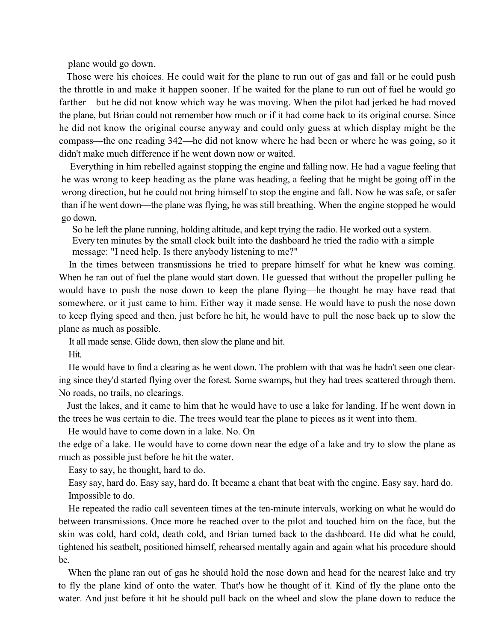plane would go down.

Those were his choices. He could wait for the plane to run out of gas and fall or he could push the throttle in and make it happen sooner. If he waited for the plane to run out of fuel he would go farther—but he did not know which way he was moving. When the pilot had jerked he had moved the plane, but Brian could not remember how much or if it had come back to its original course. Since he did not know the original course anyway and could only guess at which display might be the compass—the one reading 342—he did not know where he had been or where he was going, so it didn't make much difference if he went down now or waited.

Everything in him rebelled against stopping the engine and falling now. He had a vague feeling that he was wrong to keep heading as the plane was heading, a feeling that he might be going off in the wrong direction, but he could not bring himself to stop the engine and fall. Now he was safe, or safer than if he went down—the plane was flying, he was still breathing. When the engine stopped he would go down.

So he left the plane running, holding altitude, and kept trying the radio. He worked out a system. Every ten minutes by the small clock built into the dashboard he tried the radio with a simple message: "I need help. Is there anybody listening to me?"

In the times between transmissions he tried to prepare himself for what he knew was coming. When he ran out of fuel the plane would start down. He guessed that without the propeller pulling he would have to push the nose down to keep the plane flying—he thought he may have read that somewhere, or it just came to him. Either way it made sense. He would have to push the nose down to keep flying speed and then, just before he hit, he would have to pull the nose back up to slow the plane as much as possible.

It all made sense. Glide down, then slow the plane and hit.

Hit.

He would have to find a clearing as he went down. The problem with that was he hadn't seen one clearing since they'd started flying over the forest. Some swamps, but they had trees scattered through them. No roads, no trails, no clearings.

Just the lakes, and it came to him that he would have to use a lake for landing. If he went down in the trees he was certain to die. The trees would tear the plane to pieces as it went into them.

He would have to come down in a lake. No. On

the edge of a lake. He would have to come down near the edge of a lake and try to slow the plane as much as possible just before he hit the water.

Easy to say, he thought, hard to do.

Easy say, hard do. Easy say, hard do. It became a chant that beat with the engine. Easy say, hard do. Impossible to do.

He repeated the radio call seventeen times at the ten-minute intervals, working on what he would do between transmissions. Once more he reached over to the pilot and touched him on the face, but the skin was cold, hard cold, death cold, and Brian turned back to the dashboard. He did what he could, tightened his seatbelt, positioned himself, rehearsed mentally again and again what his procedure should be.

When the plane ran out of gas he should hold the nose down and head for the nearest lake and try to fly the plane kind of onto the water. That's how he thought of it. Kind of fly the plane onto the water. And just before it hit he should pull back on the wheel and slow the plane down to reduce the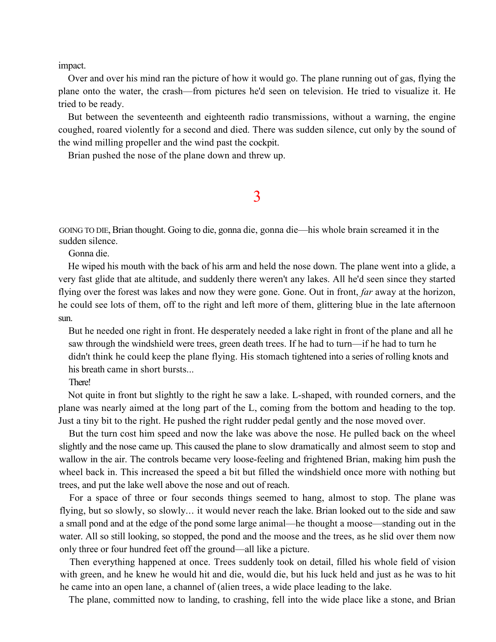impact.

Over and over his mind ran the picture of how it would go. The plane running out of gas, flying the plane onto the water, the crash—from pictures he'd seen on television. He tried to visualize it. He tried to be ready.

But between the seventeenth and eighteenth radio transmissions, without a warning, the engine coughed, roared violently for a second and died. There was sudden silence, cut only by the sound of the wind milling propeller and the wind past the cockpit.

Brian pushed the nose of the plane down and threw up.

## 3

GOING TO DIE, Brian thought. Going to die, gonna die, gonna die—his whole brain screamed it in the sudden silence.

Gonna die.

He wiped his mouth with the back of his arm and held the nose down. The plane went into a glide, a very fast glide that ate altitude, and suddenly there weren't any lakes. All he'd seen since they started flying over the forest was lakes and now they were gone. Gone. Out in front, far away at the horizon, he could see lots of them, off to the right and left more of them, glittering blue in the late afternoon sun.

But he needed one right in front. He desperately needed a lake right in front of the plane and all he saw through the windshield were trees, green death trees. If he had to turn—if he had to turn he didn't think he could keep the plane flying. His stomach tightened into a series of rolling knots and his breath came in short bursts...

There!

Not quite in front but slightly to the right he saw a lake. L-shaped, with rounded corners, and the plane was nearly aimed at the long part of the L, coming from the bottom and heading to the top. Just a tiny bit to the right. He pushed the right rudder pedal gently and the nose moved over.

But the turn cost him speed and now the lake was above the nose. He pulled back on the wheel slightly and the nose came up. This caused the plane to slow dramatically and almost seem to stop and wallow in the air. The controls became very loose-feeling and frightened Brian, making him push the wheel back in. This increased the speed a bit but filled the windshield once more with nothing but trees, and put the lake well above the nose and out of reach.

For a space of three or four seconds things seemed to hang, almost to stop. The plane was flying, but so slowly, so slowly... it would never reach the lake. Brian looked out to the side and saw a small pond and at the edge of the pond some large animal—he thought a moose—standing out in the water. All so still looking, so stopped, the pond and the moose and the trees, as he slid over them now only three or four hundred feet off the ground—all like a picture.

Then everything happened at once. Trees suddenly took on detail, filled his whole field of vision with green, and he knew he would hit and die, would die, but his luck held and just as he was to hit he came into an open lane, a channel of (alien trees, a wide place leading to the lake.

The plane, committed now to landing, to crashing, fell into the wide place like a stone, and Brian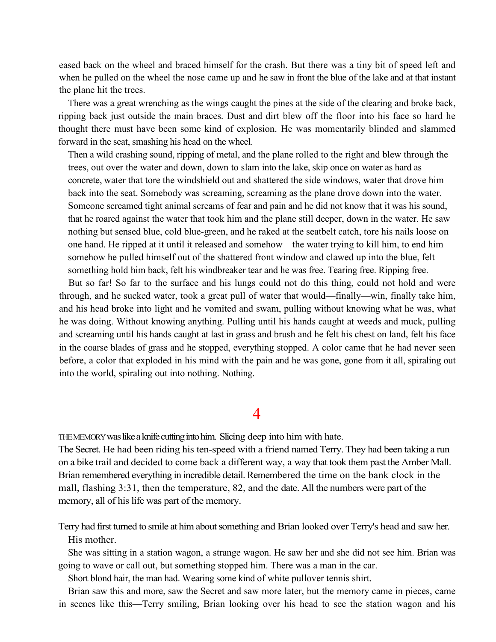eased back on the wheel and braced himself for the crash. But there was a tiny bit of speed left and when he pulled on the wheel the nose came up and he saw in front the blue of the lake and at that instant the plane hit the trees.

There was a great wrenching as the wings caught the pines at the side of the clearing and broke back, ripping back just outside the main braces. Dust and dirt blew off the floor into his face so hard he thought there must have been some kind of explosion. He was momentarily blinded and slammed forward in the seat, smashing his head on the wheel.

Then a wild crashing sound, ripping of metal, and the plane rolled to the right and blew through the trees, out over the water and down, down to slam into the lake, skip once on water as hard as concrete, water that tore the windshield out and shattered the side windows, water that drove him back into the seat. Somebody was screaming, screaming as the plane drove down into the water. Someone screamed tight animal screams of fear and pain and he did not know that it was his sound, that he roared against the water that took him and the plane still deeper, down in the water. He saw nothing but sensed blue, cold blue-green, and he raked at the seatbelt catch, tore his nails loose on one hand. He ripped at it until it released and somehow—the water trying to kill him, to end him somehow he pulled himself out of the shattered front window and clawed up into the blue, felt something hold him back, felt his windbreaker tear and he was free. Tearing free. Ripping free.

But so far! So far to the surface and his lungs could not do this thing, could not hold and were through, and he sucked water, took a great pull of water that would—finally—win, finally take him, and his head broke into light and he vomited and swam, pulling without knowing what he was, what he was doing. Without knowing anything. Pulling until his hands caught at weeds and muck, pulling and screaming until his hands caught at last in grass and brush and he felt his chest on land, felt his face in the coarse blades of grass and he stopped, everything stopped. A color came that he had never seen before, a color that exploded in his mind with the pain and he was gone, gone from it all, spiraling out into the world, spiraling out into nothing. Nothing.

### 4

THE MEMORY was like a knife cutting into him. Slicing deep into him with hate.

The Secret. He had been riding his ten-speed with a friend named Terry. They had been taking a run on a bike trail and decided to come back a different way, a way that took them past the Amber Mall. Brian remembered everything in incredible detail. Remembered the time on the bank clock in the mall, flashing 3:31, then the temperature, 82, and the date. All the numbers were part of the memory, all of his life was part of the memory.

Terry had first turned to smile at him about something and Brian looked over Terry's head and saw her. His mother.

She was sitting in a station wagon, a strange wagon. He saw her and she did not see him. Brian was going to wave or call out, but something stopped him. There was a man in the car.

Short blond hair, the man had. Wearing some kind of white pullover tennis shirt.

Brian saw this and more, saw the Secret and saw more later, but the memory came in pieces, came in scenes like this—Terry smiling, Brian looking over his head to see the station wagon and his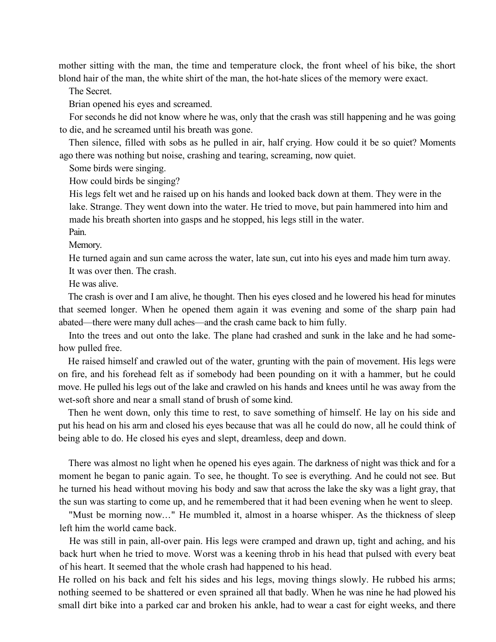mother sitting with the man, the time and temperature clock, the front wheel of his bike, the short blond hair of the man, the white shirt of the man, the hot-hate slices of the memory were exact.

The Secret.

Brian opened his eyes and screamed.

For seconds he did not know where he was, only that the crash was still happening and he was going to die, and he screamed until his breath was gone.

Then silence, filled with sobs as he pulled in air, half crying. How could it be so quiet? Moments ago there was nothing but noise, crashing and tearing, screaming, now quiet.

Some birds were singing.

How could birds be singing?

His legs felt wet and he raised up on his hands and looked back down at them. They were in the lake. Strange. They went down into the water. He tried to move, but pain hammered into him and made his breath shorten into gasps and he stopped, his legs still in the water.

Pain.

Memory.

He turned again and sun came across the water, late sun, cut into his eyes and made him turn away. It was over then. The crash.

He was alive.

The crash is over and I am alive, he thought. Then his eyes closed and he lowered his head for minutes that seemed longer. When he opened them again it was evening and some of the sharp pain had abated—there were many dull aches—and the crash came back to him fully.

Into the trees and out onto the lake. The plane had crashed and sunk in the lake and he had somehow pulled free.

He raised himself and crawled out of the water, grunting with the pain of movement. His legs were on fire, and his forehead felt as if somebody had been pounding on it with a hammer, but he could move. He pulled his legs out of the lake and crawled on his hands and knees until he was away from the wet-soft shore and near a small stand of brush of some kind.

Then he went down, only this time to rest, to save something of himself. He lay on his side and put his head on his arm and closed his eyes because that was all he could do now, all he could think of being able to do. He closed his eyes and slept, dreamless, deep and down.

There was almost no light when he opened his eyes again. The darkness of night was thick and for a moment he began to panic again. To see, he thought. To see is everything. And he could not see. But he turned his head without moving his body and saw that across the lake the sky was a light gray, that the sun was starting to come up, and he remembered that it had been evening when he went to sleep.

"Must be morning now..." He mumbled it, almost in a hoarse whisper. As the thickness of sleep left him the world came back.

He was still in pain, all-over pain. His legs were cramped and drawn up, tight and aching, and his back hurt when he tried to move. Worst was a keening throb in his head that pulsed with every beat of his heart. It seemed that the whole crash had happened to his head.

He rolled on his back and felt his sides and his legs, moving things slowly. He rubbed his arms; nothing seemed to be shattered or even sprained all that badly. When he was nine he had plowed his small dirt bike into a parked car and broken his ankle, had to wear a cast for eight weeks, and there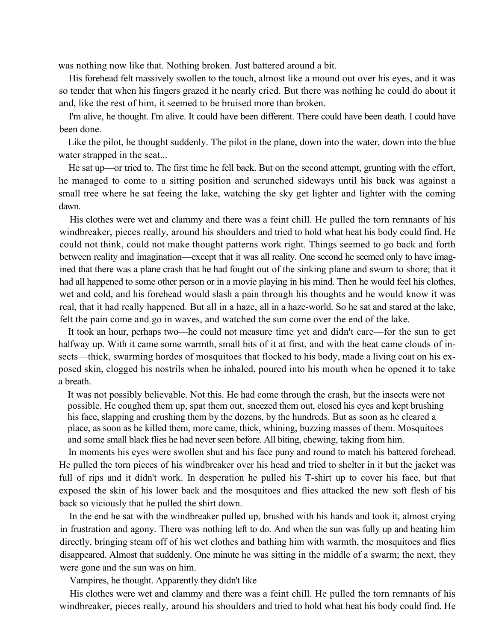was nothing now like that. Nothing broken. Just battered around a bit.

His forehead felt massively swollen to the touch, almost like a mound out over his eyes, and it was so tender that when his fingers grazed it he nearly cried. But there was nothing he could do about it and, like the rest of him, it seemed to be bruised more than broken.

I'm alive, he thought. I'm alive. It could have been different. There could have been death. I could have been done.

Like the pilot, he thought suddenly. The pilot in the plane, down into the water, down into the blue water strapped in the seat...

He sat up—or tried to. The first time he fell back. But on the second attempt, grunting with the effort, he managed to come to a sitting position and scrunched sideways until his back was against a small tree where he sat feeing the lake, watching the sky get lighter and lighter with the coming dawn.

His clothes were wet and clammy and there was a feint chill. He pulled the torn remnants of his windbreaker, pieces really, around his shoulders and tried to hold what heat his body could find. He could not think, could not make thought patterns work right. Things seemed to go back and forth between reality and imagination—except that it was all reality. One second he seemed only to have imagined that there was a plane crash that he had fought out of the sinking plane and swum to shore; that it had all happened to some other person or in a movie playing in his mind. Then he would feel his clothes, wet and cold, and his forehead would slash a pain through his thoughts and he would know it was real, that it had really happened. But all in a haze, all in a haze-world. So he sat and stared at the lake, felt the pain come and go in waves, and watched the sun come over the end of the lake.

It took an hour, perhaps two—he could not measure time yet and didn't care—for the sun to get halfway up. With it came some warmth, small bits of it at first, and with the heat came clouds of insects—thick, swarming hordes of mosquitoes that flocked to his body, made a living coat on his exposed skin, clogged his nostrils when he inhaled, poured into his mouth when he opened it to take a breath.

It was not possibly believable. Not this. He had come through the crash, but the insects were not possible. He coughed them up, spat them out, sneezed them out, closed his eyes and kept brushing his face, slapping and crushing them by the dozens, by the hundreds. But as soon as he cleared a place, as soon as he killed them, more came, thick, whining, buzzing masses of them. Mosquitoes and some small black flies he had never seen before. All biting, chewing, taking from him.

In moments his eyes were swollen shut and his face puny and round to match his battered forehead. He pulled the torn pieces of his windbreaker over his head and tried to shelter in it but the jacket was full of rips and it didn't work. In desperation he pulled his T-shirt up to cover his face, but that exposed the skin of his lower back and the mosquitoes and flies attacked the new soft flesh of his back so viciously that he pulled the shirt down.

In the end he sat with the windbreaker pulled up, brushed with his hands and took it, almost crying in frustration and agony. There was nothing left to do. And when the sun was fully up and heating him directly, bringing steam off of his wet clothes and bathing him with warmth, the mosquitoes and flies disappeared. Almost that suddenly. One minute he was sitting in the middle of a swarm; the next, they were gone and the sun was on him.

Vampires, he thought. Apparently they didn't like

His clothes were wet and clammy and there was a feint chill. He pulled the torn remnants of his windbreaker, pieces really, around his shoulders and tried to hold what heat his body could find. He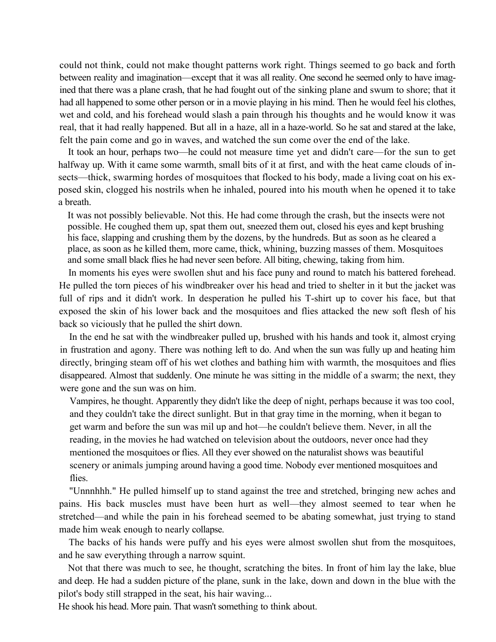could not think, could not make thought patterns work right. Things seemed to go back and forth between reality and imagination—except that it was all reality. One second he seemed only to have imagined that there was a plane crash, that he had fought out of the sinking plane and swum to shore; that it had all happened to some other person or in a movie playing in his mind. Then he would feel his clothes, wet and cold, and his forehead would slash a pain through his thoughts and he would know it was real, that it had really happened. But all in a haze, all in a haze-world. So he sat and stared at the lake, felt the pain come and go in waves, and watched the sun come over the end of the lake.

It took an hour, perhaps two—he could not measure time yet and didn't care—for the sun to get halfway up. With it came some warmth, small bits of it at first, and with the heat came clouds of insects—thick, swarming hordes of mosquitoes that flocked to his body, made a living coat on his exposed skin, clogged his nostrils when he inhaled, poured into his mouth when he opened it to take a breath.

It was not possibly believable. Not this. He had come through the crash, but the insects were not possible. He coughed them up, spat them out, sneezed them out, closed his eyes and kept brushing his face, slapping and crushing them by the dozens, by the hundreds. But as soon as he cleared a place, as soon as he killed them, more came, thick, whining, buzzing masses of them. Mosquitoes and some small black flies he had never seen before. All biting, chewing, taking from him.

In moments his eyes were swollen shut and his face puny and round to match his battered forehead. He pulled the torn pieces of his windbreaker over his head and tried to shelter in it but the jacket was full of rips and it didn't work. In desperation he pulled his T-shirt up to cover his face, but that exposed the skin of his lower back and the mosquitoes and flies attacked the new soft flesh of his back so viciously that he pulled the shirt down.

In the end he sat with the windbreaker pulled up, brushed with his hands and took it, almost crying in frustration and agony. There was nothing left to do. And when the sun was fully up and heating him directly, bringing steam off of his wet clothes and bathing him with warmth, the mosquitoes and flies disappeared. Almost that suddenly. One minute he was sitting in the middle of a swarm; the next, they were gone and the sun was on him.

Vampires, he thought. Apparently they didn't like the deep of night, perhaps because it was too cool, and they couldn't take the direct sunlight. But in that gray time in the morning, when it began to get warm and before the sun was mil up and hot—he couldn't believe them. Never, in all the reading, in the movies he had watched on television about the outdoors, never once had they mentioned the mosquitoes or flies. All they ever showed on the naturalist shows was beautiful scenery or animals jumping around having a good time. Nobody ever mentioned mosquitoes and flies.

"Unnnhhh." He pulled himself up to stand against the tree and stretched, bringing new aches and pains. His back muscles must have been hurt as well—they almost seemed to tear when he stretched—and while the pain in his forehead seemed to be abating somewhat, just trying to stand made him weak enough to nearly collapse.

The backs of his hands were puffy and his eyes were almost swollen shut from the mosquitoes, and he saw everything through a narrow squint.

Not that there was much to see, he thought, scratching the bites. In front of him lay the lake, blue and deep. He had a sudden picture of the plane, sunk in the lake, down and down in the blue with the pilot's body still strapped in the seat, his hair waving...

He shook his head. More pain. That wasn't something to think about.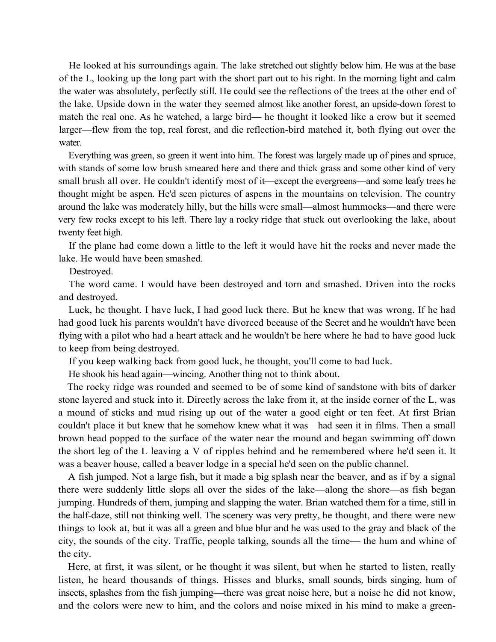He looked at his surroundings again. The lake stretched out slightly below him. He was at the base of the L, looking up the long part with the short part out to his right. In the morning light and calm the water was absolutely, perfectly still. He could see the reflections of the trees at the other end of the lake. Upside down in the water they seemed almost like another forest, an upside-down forest to match the real one. As he watched, a large bird— he thought it looked like a crow but it seemed larger—flew from the top, real forest, and die reflection-bird matched it, both flying out over the water.

Everything was green, so green it went into him. The forest was largely made up of pines and spruce, with stands of some low brush smeared here and there and thick grass and some other kind of very small brush all over. He couldn't identify most of it—except the evergreens—and some leafy trees he thought might be aspen. He'd seen pictures of aspens in the mountains on television. The country around the lake was moderately hilly, but the hills were small—almost hummocks—and there were very few rocks except to his left. There lay a rocky ridge that stuck out overlooking the lake, about twenty feet high.

If the plane had come down a little to the left it would have hit the rocks and never made the lake. He would have been smashed.

Destroyed.

The word came. I would have been destroyed and torn and smashed. Driven into the rocks and destroyed.

Luck, he thought. I have luck, I had good luck there. But he knew that was wrong. If he had had good luck his parents wouldn't have divorced because of the Secret and he wouldn't have been flying with a pilot who had a heart attack and he wouldn't be here where he had to have good luck to keep from being destroyed.

If you keep walking back from good luck, he thought, you'll come to bad luck.

He shook his head again—wincing. Another thing not to think about.

The rocky ridge was rounded and seemed to be of some kind of sandstone with bits of darker stone layered and stuck into it. Directly across the lake from it, at the inside corner of the L, was a mound of sticks and mud rising up out of the water a good eight or ten feet. At first Brian couldn't place it but knew that he somehow knew what it was—had seen it in films. Then a small brown head popped to the surface of the water near the mound and began swimming off down the short leg of the L leaving a V of ripples behind and he remembered where he'd seen it. It was a beaver house, called a beaver lodge in a special he'd seen on the public channel.

A fish jumped. Not a large fish, but it made a big splash near the beaver, and as if by a signal there were suddenly little slops all over the sides of the lake—along the shore—as fish began jumping. Hundreds of them, jumping and slapping the water. Brian watched them for a time, still in the half-daze, still not thinking well. The scenery was very pretty, he thought, and there were new things to look at, but it was all a green and blue blur and he was used to the gray and black of the city, the sounds of the city. Traffic, people talking, sounds all the time— the hum and whine of the city.

Here, at first, it was silent, or he thought it was silent, but when he started to listen, really listen, he heard thousands of things. Hisses and blurks, small sounds, birds singing, hum of insects, splashes from the fish jumping—there was great noise here, but a noise he did not know, and the colors were new to him, and the colors and noise mixed in his mind to make a green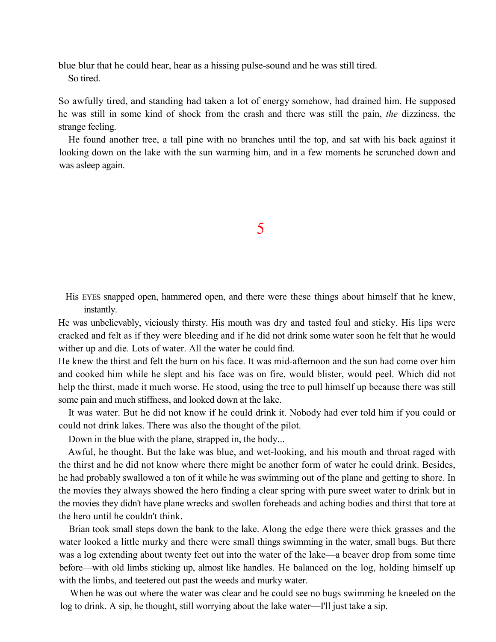blue blur that he could hear, hear as a hissing pulse-sound and he was still tired.

So tired.

So awfully tired, and standing had taken a lot of energy somehow, had drained him. He supposed he was still in some kind of shock from the crash and there was still the pain, the dizziness, the strange feeling.

He found another tree, a tall pine with no branches until the top, and sat with his back against it looking down on the lake with the sun warming him, and in a few moments he scrunched down and was asleep again.

5

His EYES snapped open, hammered open, and there were these things about himself that he knew, instantly.

He was unbelievably, viciously thirsty. His mouth was dry and tasted foul and sticky. His lips were cracked and felt as if they were bleeding and if he did not drink some water soon he felt that he would wither up and die. Lots of water. All the water he could find.

He knew the thirst and felt the burn on his face. It was mid-afternoon and the sun had come over him and cooked him while he slept and his face was on fire, would blister, would peel. Which did not help the thirst, made it much worse. He stood, using the tree to pull himself up because there was still some pain and much stiffness, and looked down at the lake.

It was water. But he did not know if he could drink it. Nobody had ever told him if you could or could not drink lakes. There was also the thought of the pilot.

Down in the blue with the plane, strapped in, the body...

Awful, he thought. But the lake was blue, and wet-looking, and his mouth and throat raged with the thirst and he did not know where there might be another form of water he could drink. Besides, he had probably swallowed a ton of it while he was swimming out of the plane and getting to shore. In the movies they always showed the hero finding a clear spring with pure sweet water to drink but in the movies they didn't have plane wrecks and swollen foreheads and aching bodies and thirst that tore at the hero until he couldn't think.

Brian took small steps down the bank to the lake. Along the edge there were thick grasses and the water looked a little murky and there were small things swimming in the water, small bugs. But there was a log extending about twenty feet out into the water of the lake—a beaver drop from some time before—with old limbs sticking up, almost like handles. He balanced on the log, holding himself up with the limbs, and teetered out past the weeds and murky water.

When he was out where the water was clear and he could see no bugs swimming he kneeled on the log to drink. A sip, he thought, still worrying about the lake water—I'll just take a sip.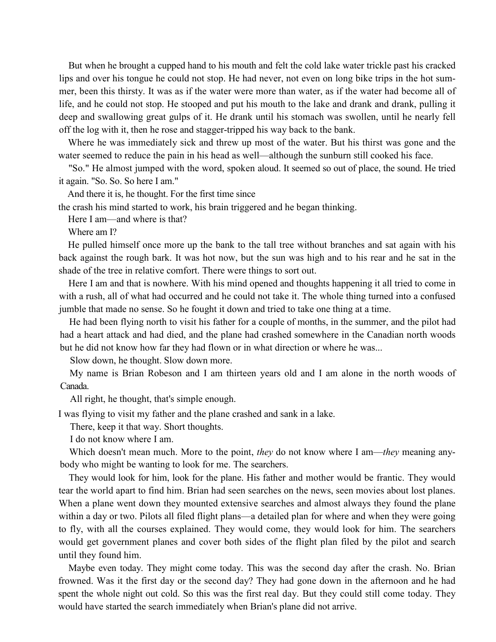But when he brought a cupped hand to his mouth and felt the cold lake water trickle past his cracked lips and over his tongue he could not stop. He had never, not even on long bike trips in the hot summer, been this thirsty. It was as if the water were more than water, as if the water had become all of life, and he could not stop. He stooped and put his mouth to the lake and drank and drank, pulling it deep and swallowing great gulps of it. He drank until his stomach was swollen, until he nearly fell off the log with it, then he rose and stagger-tripped his way back to the bank.

Where he was immediately sick and threw up most of the water. But his thirst was gone and the water seemed to reduce the pain in his head as well—although the sunburn still cooked his face.

"So." He almost jumped with the word, spoken aloud. It seemed so out of place, the sound. He tried it again. "So. So. So here I am."

And there it is, he thought. For the first time since

the crash his mind started to work, his brain triggered and he began thinking.

Here I am—and where is that?

Where am I?

He pulled himself once more up the bank to the tall tree without branches and sat again with his back against the rough bark. It was hot now, but the sun was high and to his rear and he sat in the shade of the tree in relative comfort. There were things to sort out.

Here I am and that is nowhere. With his mind opened and thoughts happening it all tried to come in with a rush, all of what had occurred and he could not take it. The whole thing turned into a confused jumble that made no sense. So he fought it down and tried to take one thing at a time.

He had been flying north to visit his father for a couple of months, in the summer, and the pilot had had a heart attack and had died, and the plane had crashed somewhere in the Canadian north woods but he did not know how far they had flown or in what direction or where he was...

Slow down, he thought. Slow down more.

My name is Brian Robeson and I am thirteen years old and I am alone in the north woods of Canada.

All right, he thought, that's simple enough.

I was flying to visit my father and the plane crashed and sank in a lake.

There, keep it that way. Short thoughts.

I do not know where I am.

Which doesn't mean much. More to the point, they do not know where I am—they meaning anybody who might be wanting to look for me. The searchers.

They would look for him, look for the plane. His father and mother would be frantic. They would tear the world apart to find him. Brian had seen searches on the news, seen movies about lost planes. When a plane went down they mounted extensive searches and almost always they found the plane within a day or two. Pilots all filed flight plans—a detailed plan for where and when they were going to fly, with all the courses explained. They would come, they would look for him. The searchers would get government planes and cover both sides of the flight plan filed by the pilot and search until they found him.

Maybe even today. They might come today. This was the second day after the crash. No. Brian frowned. Was it the first day or the second day? They had gone down in the afternoon and he had spent the whole night out cold. So this was the first real day. But they could still come today. They would have started the search immediately when Brian's plane did not arrive.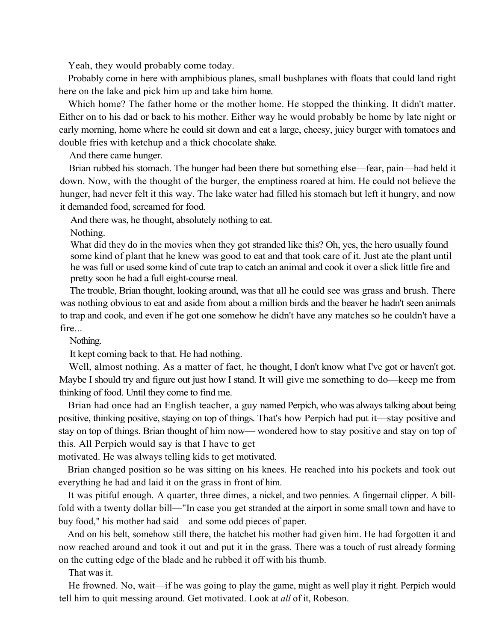Yeah, they would probably come today.

Probably come in here with amphibious planes, small bushplanes with floats that could land right here on the lake and pick him up and take him home.

Which home? The father home or the mother home. He stopped the thinking. It didn't matter. Either on to his dad or back to his mother. Either way he would probably be home by late night or early morning, home where he could sit down and eat a large, cheesy, juicy burger with tomatoes and double fries with ketchup and a thick chocolate shake.

And there came hunger.

Brian rubbed his stomach. The hunger had been there but something else—fear, pain—had held it down. Now, with the thought of the burger, the emptiness roared at him. He could not believe the hunger, had never felt it this way. The lake water had filled his stomach but left it hungry, and now it demanded food, screamed for food.

And there was, he thought, absolutely nothing to eat.

Nothing.

What did they do in the movies when they got stranded like this? Oh, yes, the hero usually found some kind of plant that he knew was good to eat and that took care of it. Just ate the plant until he was full or used some kind of cute trap to catch an animal and cook it over a slick little fire and pretty soon he had a full eight-course meal.

The trouble, Brian thought, looking around, was that all he could see was grass and brush. There was nothing obvious to eat and aside from about a million birds and the beaver he hadn't seen animals to trap and cook, and even if he got one somehow he didn't have any matches so he couldn't have a fire...

Nothing.

It kept coming back to that. He had nothing.

Well, almost nothing. As a matter of fact, he thought, I don't know what I've got or haven't got. Maybe I should try and figure out just how I stand. It will give me something to do—keep me from thinking of food. Until they come to find me.

Brian had once had an English teacher, a guy named Perpich, who was always talking about being positive, thinking positive, staying on top of things. That's how Perpich had put it—stay positive and stay on top of things. Brian thought of him now— wondered how to stay positive and stay on top of this. All Perpich would say is that I have to get

motivated. He was always telling kids to get motivated.

Brian changed position so he was sitting on his knees. He reached into his pockets and took out everything he had and laid it on the grass in front of him.

It was pitiful enough. A quarter, three dimes, a nickel, and two pennies. A fingernail clipper. A billfold with a twenty dollar bill—"In case you get stranded at the airport in some small town and have to buy food," his mother had said—and some odd pieces of paper.

And on his belt, somehow still there, the hatchet his mother had given him. He had forgotten it and now reached around and took it out and put it in the grass. There was a touch of rust already forming on the cutting edge of the blade and he rubbed it off with his thumb.

That was it.

He frowned. No, wait—if he was going to play the game, might as well play it right. Perpich would tell him to quit messing around. Get motivated. Look at all of it, Robeson.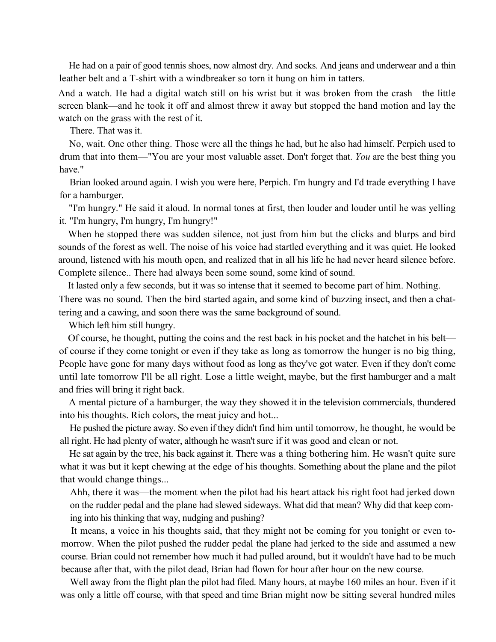He had on a pair of good tennis shoes, now almost dry. And socks. And jeans and underwear and a thin leather belt and a T-shirt with a windbreaker so torn it hung on him in tatters.

And a watch. He had a digital watch still on his wrist but it was broken from the crash—the little screen blank—and he took it off and almost threw it away but stopped the hand motion and lay the watch on the grass with the rest of it.

There. That was it.

No, wait. One other thing. Those were all the things he had, but he also had himself. Perpich used to drum that into them—"You are your most valuable asset. Don't forget that. You are the best thing you have"

Brian looked around again. I wish you were here, Perpich. I'm hungry and I'd trade everything I have for a hamburger.

"I'm hungry." He said it aloud. In normal tones at first, then louder and louder until he was yelling it. "I'm hungry, I'm hungry, I'm hungry!"

When he stopped there was sudden silence, not just from him but the clicks and blurps and bird sounds of the forest as well. The noise of his voice had startled everything and it was quiet. He looked around, listened with his mouth open, and realized that in all his life he had never heard silence before. Complete silence.. There had always been some sound, some kind of sound.

It lasted only a few seconds, but it was so intense that it seemed to become part of him. Nothing. There was no sound. Then the bird started again, and some kind of buzzing insect, and then a chattering and a cawing, and soon there was the same background of sound.

Which left him still hungry.

Of course, he thought, putting the coins and the rest back in his pocket and the hatchet in his belt of course if they come tonight or even if they take as long as tomorrow the hunger is no big thing, People have gone for many days without food as long as they've got water. Even if they don't come until late tomorrow I'll be all right. Lose a little weight, maybe, but the first hamburger and a malt and fries will bring it right back.

A mental picture of a hamburger, the way they showed it in the television commercials, thundered into his thoughts. Rich colors, the meat juicy and hot...

He pushed the picture away. So even if they didn't find him until tomorrow, he thought, he would be all right. He had plenty of water, although he wasn't sure if it was good and clean or not.

He sat again by the tree, his back against it. There was a thing bothering him. He wasn't quite sure what it was but it kept chewing at the edge of his thoughts. Something about the plane and the pilot that would change things...

Ahh, there it was—the moment when the pilot had his heart attack his right foot had jerked down on the rudder pedal and the plane had slewed sideways. What did that mean? Why did that keep coming into his thinking that way, nudging and pushing?

It means, a voice in his thoughts said, that they might not be coming for you tonight or even tomorrow. When the pilot pushed the rudder pedal the plane had jerked to the side and assumed a new course. Brian could not remember how much it had pulled around, but it wouldn't have had to be much because after that, with the pilot dead, Brian had flown for hour after hour on the new course.

Well away from the flight plan the pilot had filed. Many hours, at maybe 160 miles an hour. Even if it was only a little off course, with that speed and time Brian might now be sitting several hundred miles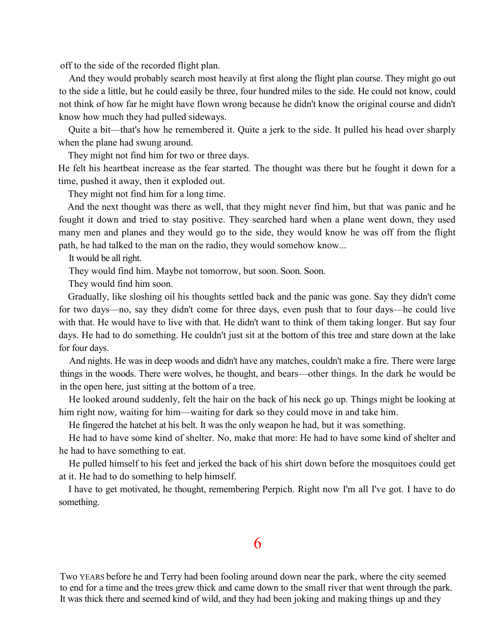off to the side of the recorded flight plan.

And they would probably search most heavily at first along the flight plan course. They might go out to the side a little, but he could easily be three, four hundred miles to the side. He could not know, could not think of how far he might have flown wrong because he didn't know the original course and didn't know how much they had pulled sideways.

Quite a bit—that's how he remembered it. Quite a jerk to the side. It pulled his head over sharply when the plane had swung around.

They might not find him for two or three days.

He felt his heartbeat increase as the fear started. The thought was there but he fought it down for a time, pushed it away, then it exploded out.

They might not find him for a long time.

And the next thought was there as well, that they might never find him, but that was panic and he fought it down and tried to stay positive. They searched hard when a plane went down, they used many men and planes and they would go to the side, they would know he was off from the flight path, he had talked to the man on the radio, they would somehow know...

It would be all right.

They would find him. Maybe not tomorrow, but soon. Soon. Soon.

They would find him soon.

Gradually, like sloshing oil his thoughts settled back and the panic was gone. Say they didn't come for two days—no, say they didn't come for three days, even push that to four days—he could live with that. He would have to live with that. He didn't want to think of them taking longer. But say four days. He had to do something. He couldn't just sit at the bottom of this tree and stare down at the lake for four days.

And nights. He was in deep woods and didn't have any matches, couldn't make a fire. There were large things in the woods. There were wolves, he thought, and bears—other things. In the dark he would be in the open here, just sitting at the bottom of a tree.

He looked around suddenly, felt the hair on the back of his neck go up. Things might be looking at him right now, waiting for him—waiting for dark so they could move in and take him.

He fingered the hatchet at his belt. It was the only weapon he had, but it was something.

He had to have some kind of shelter. No, make that more: He had to have some kind of shelter and he had to have something to eat.

He pulled himself to his feet and jerked the back of his shirt down before the mosquitoes could get at it. He had to do something to help himself.

I have to get motivated, he thought, remembering Perpich. Right now I'm all I've got. I have to do something.

## 6

Two YEARS before he and Terry had been fooling around down near the park, where the city seemed to end for a time and the trees grew thick and came down to the small river that went through the park. It was thick there and seemed kind of wild, and they had been joking and making things up and they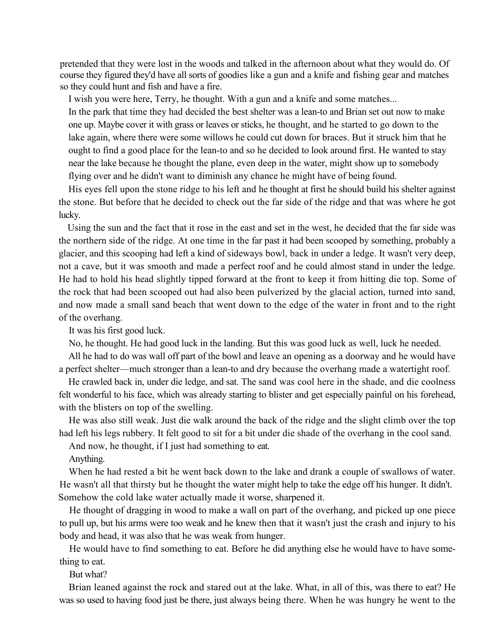pretended that they were lost in the woods and talked in the afternoon about what they would do. Of course they figured they'd have all sorts of goodies like a gun and a knife and fishing gear and matches so they could hunt and fish and have a fire.

I wish you were here, Terry, he thought. With a gun and a knife and some matches...

In the park that time they had decided the best shelter was a lean-to and Brian set out now to make one up. Maybe cover it with grass or leaves or sticks, he thought, and he started to go down to the lake again, where there were some willows he could cut down for braces. But it struck him that he ought to find a good place for the lean-to and so he decided to look around first. He wanted to stay near the lake because he thought the plane, even deep in the water, might show up to somebody flying over and he didn't want to diminish any chance he might have of being found.

His eyes fell upon the stone ridge to his left and he thought at first he should build his shelter against the stone. But before that he decided to check out the far side of the ridge and that was where he got lucky.

Using the sun and the fact that it rose in the east and set in the west, he decided that the far side was the northern side of the ridge. At one time in the far past it had been scooped by something, probably a glacier, and this scooping had left a kind of sideways bowl, back in under a ledge. It wasn't very deep, not a cave, but it was smooth and made a perfect roof and he could almost stand in under the ledge. He had to hold his head slightly tipped forward at the front to keep it from hitting die top. Some of the rock that had been scooped out had also been pulverized by the glacial action, turned into sand, and now made a small sand beach that went down to the edge of the water in front and to the right of the overhang.

It was his first good luck.

No, he thought. He had good luck in the landing. But this was good luck as well, luck he needed.

All he had to do was wall off part of the bowl and leave an opening as a doorway and he would have a perfect shelter—much stronger than a lean-to and dry because the overhang made a watertight roof.

He crawled back in, under die ledge, and sat. The sand was cool here in the shade, and die coolness felt wonderful to his face, which was already starting to blister and get especially painful on his forehead, with the blisters on top of the swelling.

He was also still weak. Just die walk around the back of the ridge and the slight climb over the top had left his legs rubbery. It felt good to sit for a bit under die shade of the overhang in the cool sand.

And now, he thought, if I just had something to eat.

Anything.

When he had rested a bit he went back down to the lake and drank a couple of swallows of water. He wasn't all that thirsty but he thought the water might help to take the edge off his hunger. It didn't. Somehow the cold lake water actually made it worse, sharpened it.

He thought of dragging in wood to make a wall on part of the overhang, and picked up one piece to pull up, but his arms were too weak and he knew then that it wasn't just the crash and injury to his body and head, it was also that he was weak from hunger.

He would have to find something to eat. Before he did anything else he would have to have something to eat.

But what?

Brian leaned against the rock and stared out at the lake. What, in all of this, was there to eat? He was so used to having food just be there, just always being there. When he was hungry he went to the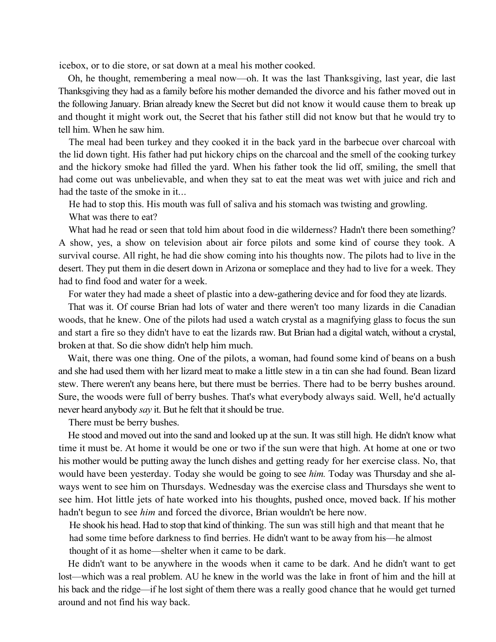icebox, or to die store, or sat down at a meal his mother cooked.

Oh, he thought, remembering a meal now—oh. It was the last Thanksgiving, last year, die last Thanksgiving they had as a family before his mother demanded the divorce and his father moved out in the following January. Brian already knew the Secret but did not know it would cause them to break up and thought it might work out, the Secret that his father still did not know but that he would try to tell him. When he saw him.

The meal had been turkey and they cooked it in the back yard in the barbecue over charcoal with the lid down tight. His father had put hickory chips on the charcoal and the smell of the cooking turkey and the hickory smoke had filled the yard. When his father took the lid off, smiling, the smell that had come out was unbelievable, and when they sat to eat the meat was wet with juice and rich and had the taste of the smoke in it...

He had to stop this. His mouth was full of saliva and his stomach was twisting and growling.

What was there to eat?

What had he read or seen that told him about food in die wilderness? Hadn't there been something? A show, yes, a show on television about air force pilots and some kind of course they took. A survival course. All right, he had die show coming into his thoughts now. The pilots had to live in the desert. They put them in die desert down in Arizona or someplace and they had to live for a week. They had to find food and water for a week.

For water they had made a sheet of plastic into a dew-gathering device and for food they ate lizards.

That was it. Of course Brian had lots of water and there weren't too many lizards in die Canadian woods, that he knew. One of the pilots had used a watch crystal as a magnifying glass to focus the sun and start a fire so they didn't have to eat the lizards raw. But Brian had a digital watch, without a crystal, broken at that. So die show didn't help him much.

Wait, there was one thing. One of the pilots, a woman, had found some kind of beans on a bush and she had used them with her lizard meat to make a little stew in a tin can she had found. Bean lizard stew. There weren't any beans here, but there must be berries. There had to be berry bushes around. Sure, the woods were full of berry bushes. That's what everybody always said. Well, he'd actually never heard anybody say it. But he felt that it should be true.

There must be berry bushes.

He stood and moved out into the sand and looked up at the sun. It was still high. He didn't know what time it must be. At home it would be one or two if the sun were that high. At home at one or two his mother would be putting away the lunch dishes and getting ready for her exercise class. No, that would have been yesterday. Today she would be going to see *him*. Today was Thursday and she always went to see him on Thursdays. Wednesday was the exercise class and Thursdays she went to see him. Hot little jets of hate worked into his thoughts, pushed once, moved back. If his mother hadn't begun to see him and forced the divorce, Brian wouldn't be here now.

He shook his head. Had to stop that kind of thinking. The sun was still high and that meant that he had some time before darkness to find berries. He didn't want to be away from his—he almost thought of it as home—shelter when it came to be dark.

He didn't want to be anywhere in the woods when it came to be dark. And he didn't want to get lost—which was a real problem. AU he knew in the world was the lake in front of him and the hill at his back and the ridge—if he lost sight of them there was a really good chance that he would get turned around and not find his way back.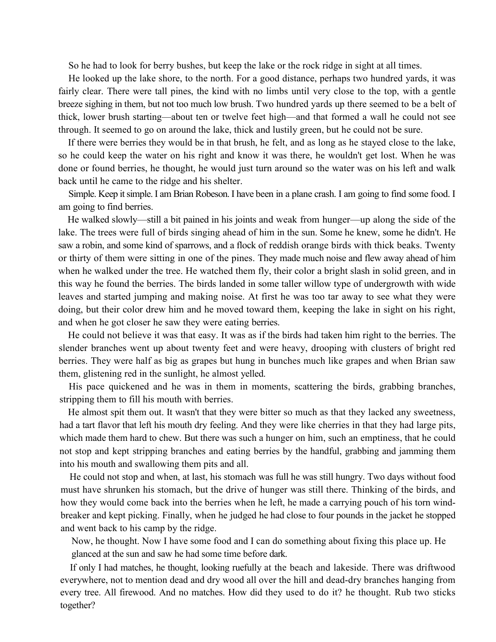So he had to look for berry bushes, but keep the lake or the rock ridge in sight at all times.

He looked up the lake shore, to the north. For a good distance, perhaps two hundred yards, it was fairly clear. There were tall pines, the kind with no limbs until very close to the top, with a gentle breeze sighing in them, but not too much low brush. Two hundred yards up there seemed to be a belt of thick, lower brush starting—about ten or twelve feet high—and that formed a wall he could not see through. It seemed to go on around the lake, thick and lustily green, but he could not be sure.

If there were berries they would be in that brush, he felt, and as long as he stayed close to the lake, so he could keep the water on his right and know it was there, he wouldn't get lost. When he was done or found berries, he thought, he would just turn around so the water was on his left and walk back until he came to the ridge and his shelter.

Simple. Keep it simple. I am Brian Robeson. I have been in a plane crash. I am going to find some food. I am going to find berries.

He walked slowly—still a bit pained in his joints and weak from hunger—up along the side of the lake. The trees were full of birds singing ahead of him in the sun. Some he knew, some he didn't. He saw a robin, and some kind of sparrows, and a flock of reddish orange birds with thick beaks. Twenty or thirty of them were sitting in one of the pines. They made much noise and flew away ahead of him when he walked under the tree. He watched them fly, their color a bright slash in solid green, and in this way he found the berries. The birds landed in some taller willow type of undergrowth with wide leaves and started jumping and making noise. At first he was too tar away to see what they were doing, but their color drew him and he moved toward them, keeping the lake in sight on his right, and when he got closer he saw they were eating berries.

He could not believe it was that easy. It was as if the birds had taken him right to the berries. The slender branches went up about twenty feet and were heavy, drooping with clusters of bright red berries. They were half as big as grapes but hung in bunches much like grapes and when Brian saw them, glistening red in the sunlight, he almost yelled.

His pace quickened and he was in them in moments, scattering the birds, grabbing branches, stripping them to fill his mouth with berries.

He almost spit them out. It wasn't that they were bitter so much as that they lacked any sweetness, had a tart flavor that left his mouth dry feeling. And they were like cherries in that they had large pits, which made them hard to chew. But there was such a hunger on him, such an emptiness, that he could not stop and kept stripping branches and eating berries by the handful, grabbing and jamming them into his mouth and swallowing them pits and all.

He could not stop and when, at last, his stomach was full he was still hungry. Two days without food must have shrunken his stomach, but the drive of hunger was still there. Thinking of the birds, and how they would come back into the berries when he left, he made a carrying pouch of his torn windbreaker and kept picking. Finally, when he judged he had close to four pounds in the jacket he stopped and went back to his camp by the ridge.

Now, he thought. Now I have some food and I can do something about fixing this place up. He glanced at the sun and saw he had some time before dark.

If only I had matches, he thought, looking ruefully at the beach and lakeside. There was driftwood everywhere, not to mention dead and dry wood all over the hill and dead-dry branches hanging from every tree. All firewood. And no matches. How did they used to do it? he thought. Rub two sticks together?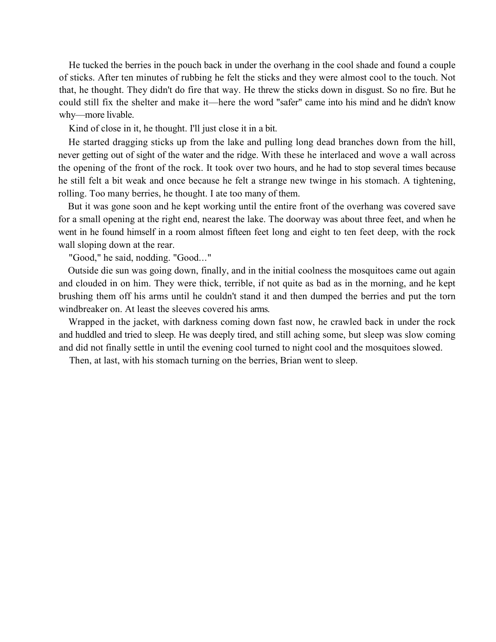He tucked the berries in the pouch back in under the overhang in the cool shade and found a couple of sticks. After ten minutes of rubbing he felt the sticks and they were almost cool to the touch. Not that, he thought. They didn't do fire that way. He threw the sticks down in disgust. So no fire. But he could still fix the shelter and make it—here the word "safer" came into his mind and he didn't know why—more livable.

Kind of close in it, he thought. I'll just close it in a bit.

He started dragging sticks up from the lake and pulling long dead branches down from the hill, never getting out of sight of the water and the ridge. With these he interlaced and wove a wall across the opening of the front of the rock. It took over two hours, and he had to stop several times because he still felt a bit weak and once because he felt a strange new twinge in his stomach. A tightening, rolling. Too many berries, he thought. I ate too many of them.

But it was gone soon and he kept working until the entire front of the overhang was covered save for a small opening at the right end, nearest the lake. The doorway was about three feet, and when he went in he found himself in a room almost fifteen feet long and eight to ten feet deep, with the rock wall sloping down at the rear.

"Good," he said, nodding. "Good..."

Outside die sun was going down, finally, and in the initial coolness the mosquitoes came out again and clouded in on him. They were thick, terrible, if not quite as bad as in the morning, and he kept brushing them off his arms until he couldn't stand it and then dumped the berries and put the torn windbreaker on. At least the sleeves covered his arms.

Wrapped in the jacket, with darkness coming down fast now, he crawled back in under the rock and huddled and tried to sleep. He was deeply tired, and still aching some, but sleep was slow coming and did not finally settle in until the evening cool turned to night cool and the mosquitoes slowed.

Then, at last, with his stomach turning on the berries, Brian went to sleep.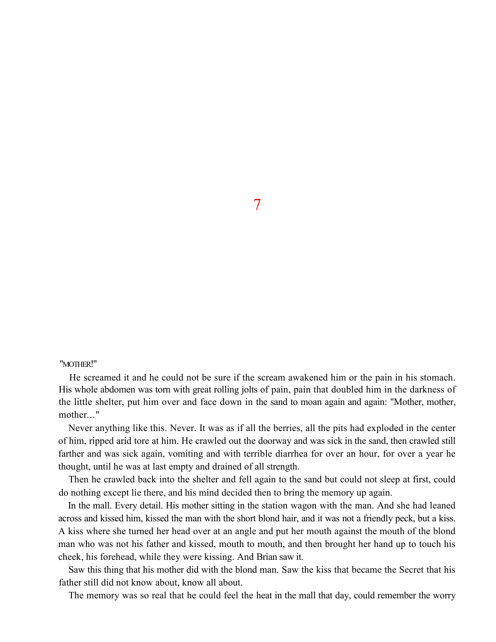7

#### "MOTHER!"

He screamed it and he could not be sure if the scream awakened him or the pain in his stomach. His whole abdomen was torn with great rolling jolts of pain, pain that doubled him in the darkness of the little shelter, put him over and face down in the sand to moan again and again: "Mother, mother, mother..."

Never anything like this. Never. It was as if all the berries, all the pits had exploded in the center of him, ripped arid tore at him. He crawled out the doorway and was sick in the sand, then crawled still farther and was sick again, vomiting and with terrible diarrhea for over an hour, for over a year he thought, until he was at last empty and drained of all strength.

Then he crawled back into the shelter and fell again to the sand but could not sleep at first, could do nothing except lie there, and his mind decided then to bring the memory up again.

In the mall. Every detail. His mother sitting in the station wagon with the man. And she had leaned across and kissed him, kissed the man with the short blond hair, and it was not a friendly peck, but a kiss. A kiss where she turned her head over at an angle and put her mouth against the mouth of the blond man who was not his father and kissed, mouth to mouth, and then brought her hand up to touch his cheek, his forehead, while they were kissing. And Brian saw it.

Saw this thing that his mother did with the blond man. Saw the kiss that became the Secret that his father still did not know about, know all about.

The memory was so real that he could feel the heat in the mall that day, could remember the worry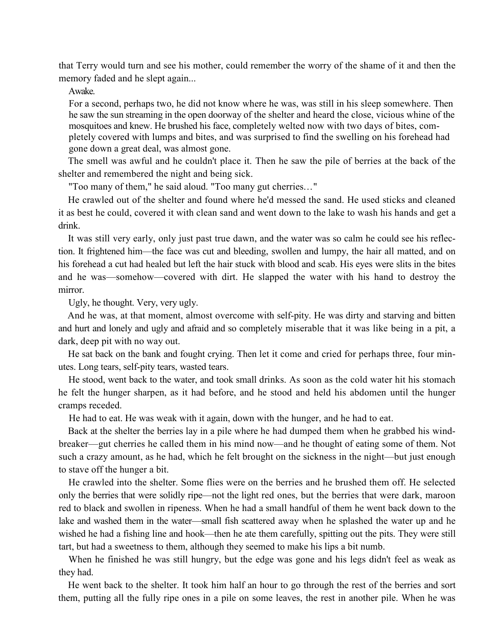that Terry would turn and see his mother, could remember the worry of the shame of it and then the memory faded and he slept again...

Awake.

For a second, perhaps two, he did not know where he was, was still in his sleep somewhere. Then he saw the sun streaming in the open doorway of the shelter and heard the close, vicious whine of the mosquitoes and knew. He brushed his face, completely welted now with two days of bites, completely covered with lumps and bites, and was surprised to find the swelling on his forehead had gone down a great deal, was almost gone.

The smell was awful and he couldn't place it. Then he saw the pile of berries at the back of the shelter and remembered the night and being sick.

"Too many of them," he said aloud. "Too many gut cherries..."

He crawled out of the shelter and found where he'd messed the sand. He used sticks and cleaned it as best he could, covered it with clean sand and went down to the lake to wash his hands and get a drink.

It was still very early, only just past true dawn, and the water was so calm he could see his reflection. It frightened him—the face was cut and bleeding, swollen and lumpy, the hair all matted, and on his forehead a cut had healed but left the hair stuck with blood and scab. His eyes were slits in the bites and he was—somehow—covered with dirt. He slapped the water with his hand to destroy the mirror.

Ugly, he thought. Very, very ugly.

And he was, at that moment, almost overcome with self-pity. He was dirty and starving and bitten and hurt and lonely and ugly and afraid and so completely miserable that it was like being in a pit, a dark, deep pit with no way out.

He sat back on the bank and fought crying. Then let it come and cried for perhaps three, four minutes. Long tears, self-pity tears, wasted tears.

He stood, went back to the water, and took small drinks. As soon as the cold water hit his stomach he felt the hunger sharpen, as it had before, and he stood and held his abdomen until the hunger cramps receded.

He had to eat. He was weak with it again, down with the hunger, and he had to eat.

Back at the shelter the berries lay in a pile where he had dumped them when he grabbed his windbreaker—gut cherries he called them in his mind now—and he thought of eating some of them. Not such a crazy amount, as he had, which he felt brought on the sickness in the night—but just enough to stave off the hunger a bit.

He crawled into the shelter. Some flies were on the berries and he brushed them off. He selected only the berries that were solidly ripe—not the light red ones, but the berries that were dark, maroon red to black and swollen in ripeness. When he had a small handful of them he went back down to the lake and washed them in the water—small fish scattered away when he splashed the water up and he wished he had a fishing line and hook—then he ate them carefully, spitting out the pits. They were still tart, but had a sweetness to them, although they seemed to make his lips a bit numb.

When he finished he was still hungry, but the edge was gone and his legs didn't feel as weak as they had.

He went back to the shelter. It took him half an hour to go through the rest of the berries and sort them, putting all the fully ripe ones in a pile on some leaves, the rest in another pile. When he was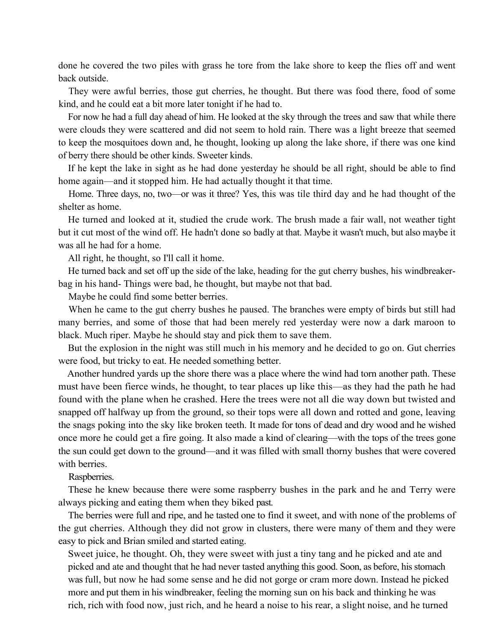done he covered the two piles with grass he tore from the lake shore to keep the flies off and went back outside.

They were awful berries, those gut cherries, he thought. But there was food there, food of some kind, and he could eat a bit more later tonight if he had to.

For now he had a full day ahead of him. He looked at the sky through the trees and saw that while there were clouds they were scattered and did not seem to hold rain. There was a light breeze that seemed to keep the mosquitoes down and, he thought, looking up along the lake shore, if there was one kind of berry there should be other kinds. Sweeter kinds.

If he kept the lake in sight as he had done yesterday he should be all right, should be able to find home again—and it stopped him. He had actually thought it that time.

Home. Three days, no, two—or was it three? Yes, this was tile third day and he had thought of the shelter as home.

He turned and looked at it, studied the crude work. The brush made a fair wall, not weather tight but it cut most of the wind off. He hadn't done so badly at that. Maybe it wasn't much, but also maybe it was all he had for a home.

All right, he thought, so I'll call it home.

He turned back and set off up the side of the lake, heading for the gut cherry bushes, his windbreakerbag in his hand- Things were bad, he thought, but maybe not that bad.

Maybe he could find some better berries.

When he came to the gut cherry bushes he paused. The branches were empty of birds but still had many berries, and some of those that had been merely red yesterday were now a dark maroon to black. Much riper. Maybe he should stay and pick them to save them.

But the explosion in the night was still much in his memory and he decided to go on. Gut cherries were food, but tricky to eat. He needed something better.

Another hundred yards up the shore there was a place where the wind had torn another path. These must have been fierce winds, he thought, to tear places up like this—as they had the path he had found with the plane when he crashed. Here the trees were not all die way down but twisted and snapped off halfway up from the ground, so their tops were all down and rotted and gone, leaving the snags poking into the sky like broken teeth. It made for tons of dead and dry wood and he wished once more he could get a fire going. It also made a kind of clearing—with the tops of the trees gone the sun could get down to the ground—and it was filled with small thorny bushes that were covered with berries.

Raspberries.

These he knew because there were some raspberry bushes in the park and he and Terry were always picking and eating them when they biked past.

The berries were full and ripe, and he tasted one to find it sweet, and with none of the problems of the gut cherries. Although they did not grow in clusters, there were many of them and they were easy to pick and Brian smiled and started eating.

Sweet juice, he thought. Oh, they were sweet with just a tiny tang and he picked and ate and picked and ate and thought that he had never tasted anything this good. Soon, as before, his stomach was full, but now he had some sense and he did not gorge or cram more down. Instead he picked more and put them in his windbreaker, feeling the morning sun on his back and thinking he was rich, rich with food now, just rich, and he heard a noise to his rear, a slight noise, and he turned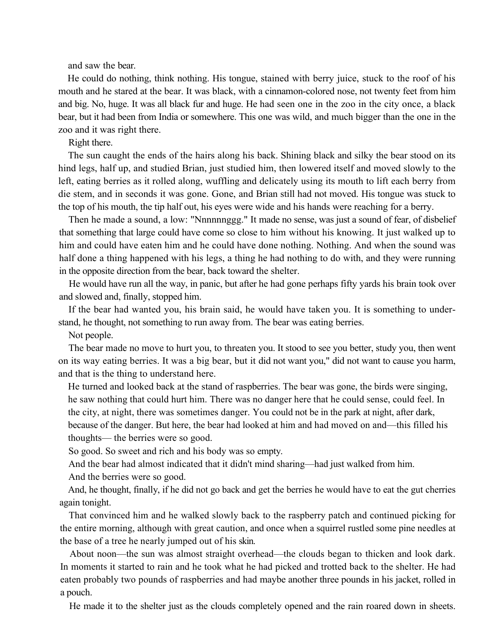and saw the bear.

He could do nothing, think nothing. His tongue, stained with berry juice, stuck to the roof of his mouth and he stared at the bear. It was black, with a cinnamon-colored nose, not twenty feet from him and big. No, huge. It was all black fur and huge. He had seen one in the zoo in the city once, a black bear, but it had been from India or somewhere. This one was wild, and much bigger than the one in the zoo and it was right there.

Right there.

The sun caught the ends of the hairs along his back. Shining black and silky the bear stood on its hind legs, half up, and studied Brian, just studied him, then lowered itself and moved slowly to the left, eating berries as it rolled along, wuffling and delicately using its mouth to lift each berry from die stem, and in seconds it was gone. Gone, and Brian still had not moved. His tongue was stuck to the top of his mouth, the tip half out, his eyes were wide and his hands were reaching for a berry.

Then he made a sound, a low: "Nnnnnnggg." It made no sense, was just a sound of fear, of disbelief that something that large could have come so close to him without his knowing. It just walked up to him and could have eaten him and he could have done nothing. Nothing. And when the sound was half done a thing happened with his legs, a thing he had nothing to do with, and they were running in the opposite direction from the bear, back toward the shelter.

He would have run all the way, in panic, but after he had gone perhaps fifty yards his brain took over and slowed and, finally, stopped him.

If the bear had wanted you, his brain said, he would have taken you. It is something to understand, he thought, not something to run away from. The bear was eating berries.

Not people.

The bear made no move to hurt you, to threaten you. It stood to see you better, study you, then went on its way eating berries. It was a big bear, but it did not want you," did not want to cause you harm, and that is the thing to understand here.

He turned and looked back at the stand of raspberries. The bear was gone, the birds were singing, he saw nothing that could hurt him. There was no danger here that he could sense, could feel. In the city, at night, there was sometimes danger. You could not be in the park at night, after dark, because of the danger. But here, the bear had looked at him and had moved on and—this filled his thoughts— the berries were so good.

So good. So sweet and rich and his body was so empty.

And the bear had almost indicated that it didn't mind sharing—had just walked from him.

And the berries were so good.

And, he thought, finally, if he did not go back and get the berries he would have to eat the gut cherries again tonight.

That convinced him and he walked slowly back to the raspberry patch and continued picking for the entire morning, although with great caution, and once when a squirrel rustled some pine needles at the base of a tree he nearly jumped out of his skin.

About noon—the sun was almost straight overhead—the clouds began to thicken and look dark. In moments it started to rain and he took what he had picked and trotted back to the shelter. He had eaten probably two pounds of raspberries and had maybe another three pounds in his jacket, rolled in a pouch.

He made it to the shelter just as the clouds completely opened and the rain roared down in sheets.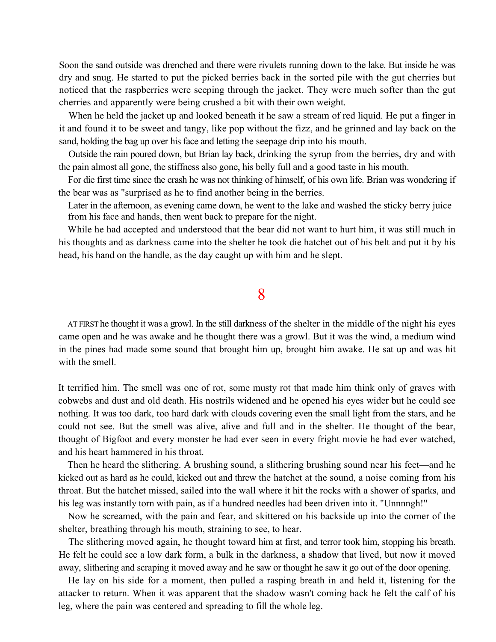Soon the sand outside was drenched and there were rivulets running down to the lake. But inside he was dry and snug. He started to put the picked berries back in the sorted pile with the gut cherries but noticed that the raspberries were seeping through the jacket. They were much softer than the gut cherries and apparently were being crushed a bit with their own weight.

When he held the jacket up and looked beneath it he saw a stream of red liquid. He put a finger in it and found it to be sweet and tangy, like pop without the fizz, and he grinned and lay back on the sand, holding the bag up over his face and letting the seepage drip into his mouth.

Outside the rain poured down, but Brian lay back, drinking the syrup from the berries, dry and with the pain almost all gone, the stiffness also gone, his belly full and a good taste in his mouth.

For die first time since the crash he was not thinking of himself, of his own life. Brian was wondering if the bear was as "surprised as he to find another being in the berries.

Later in the afternoon, as evening came down, he went to the lake and washed the sticky berry juice from his face and hands, then went back to prepare for the night.

While he had accepted and understood that the bear did not want to hurt him, it was still much in his thoughts and as darkness came into the shelter he took die hatchet out of his belt and put it by his head, his hand on the handle, as the day caught up with him and he slept.

# 8

AT FIRST he thought it was a growl. In the still darkness of the shelter in the middle of the night his eyes came open and he was awake and he thought there was a growl. But it was the wind, a medium wind in the pines had made some sound that brought him up, brought him awake. He sat up and was hit with the smell.

It terrified him. The smell was one of rot, some musty rot that made him think only of graves with cobwebs and dust and old death. His nostrils widened and he opened his eyes wider but he could see nothing. It was too dark, too hard dark with clouds covering even the small light from the stars, and he could not see. But the smell was alive, alive and full and in the shelter. He thought of the bear, thought of Bigfoot and every monster he had ever seen in every fright movie he had ever watched, and his heart hammered in his throat.

Then he heard the slithering. A brushing sound, a slithering brushing sound near his feet—and he kicked out as hard as he could, kicked out and threw the hatchet at the sound, a noise coming from his throat. But the hatchet missed, sailed into the wall where it hit the rocks with a shower of sparks, and his leg was instantly torn with pain, as if a hundred needles had been driven into it. "Unnnngh!"

Now he screamed, with the pain and fear, and skittered on his backside up into the corner of the shelter, breathing through his mouth, straining to see, to hear.

The slithering moved again, he thought toward him at first, and terror took him, stopping his breath. He felt he could see a low dark form, a bulk in the darkness, a shadow that lived, but now it moved away, slithering and scraping it moved away and he saw or thought he saw it go out of the door opening.

He lay on his side for a moment, then pulled a rasping breath in and held it, listening for the attacker to return. When it was apparent that the shadow wasn't coming back he felt the calf of his leg, where the pain was centered and spreading to fill the whole leg.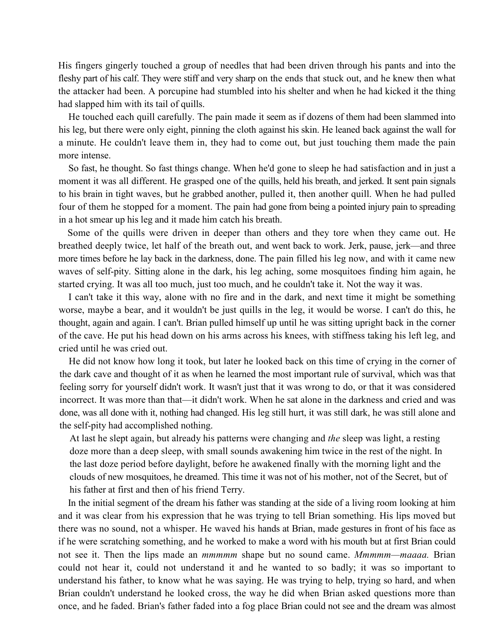His fingers gingerly touched a group of needles that had been driven through his pants and into the fleshy part of his calf. They were stiff and very sharp on the ends that stuck out, and he knew then what the attacker had been. A porcupine had stumbled into his shelter and when he had kicked it the thing had slapped him with its tail of quills.

He touched each quill carefully. The pain made it seem as if dozens of them had been slammed into his leg, but there were only eight, pinning the cloth against his skin. He leaned back against the wall for a minute. He couldn't leave them in, they had to come out, but just touching them made the pain more intense.

So fast, he thought. So fast things change. When he'd gone to sleep he had satisfaction and in just a moment it was all different. He grasped one of the quills, held his breath, and jerked. It sent pain signals to his brain in tight waves, but he grabbed another, pulled it, then another quill. When he had pulled four of them he stopped for a moment. The pain had gone from being a pointed injury pain to spreading in a hot smear up his leg and it made him catch his breath.

Some of the quills were driven in deeper than others and they tore when they came out. He breathed deeply twice, let half of the breath out, and went back to work. Jerk, pause, jerk—and three more times before he lay back in the darkness, done. The pain filled his leg now, and with it came new waves of self-pity. Sitting alone in the dark, his leg aching, some mosquitoes finding him again, he started crying. It was all too much, just too much, and he couldn't take it. Not the way it was.

I can't take it this way, alone with no fire and in the dark, and next time it might be something worse, maybe a bear, and it wouldn't be just quills in the leg, it would be worse. I can't do this, he thought, again and again. I can't. Brian pulled himself up until he was sitting upright back in the corner of the cave. He put his head down on his arms across his knees, with stiffness taking his left leg, and cried until he was cried out.

He did not know how long it took, but later he looked back on this time of crying in the corner of the dark cave and thought of it as when he learned the most important rule of survival, which was that feeling sorry for yourself didn't work. It wasn't just that it was wrong to do, or that it was considered incorrect. It was more than that—it didn't work. When he sat alone in the darkness and cried and was done, was all done with it, nothing had changed. His leg still hurt, it was still dark, he was still alone and the self-pity had accomplished nothing.

At last he slept again, but already his patterns were changing and the sleep was light, a resting doze more than a deep sleep, with small sounds awakening him twice in the rest of the night. In the last doze period before daylight, before he awakened finally with the morning light and the clouds of new mosquitoes, he dreamed. This time it was not of his mother, not of the Secret, but of his father at first and then of his friend Terry.

In the initial segment of the dream his father was standing at the side of a living room looking at him and it was clear from his expression that he was trying to tell Brian something. His lips moved but there was no sound, not a whisper. He waved his hands at Brian, made gestures in front of his face as if he were scratching something, and he worked to make a word with his mouth but at first Brian could not see it. Then the lips made an *mmmmm* shape but no sound came. *Mmmmm—maaaa*. Brian could not hear it, could not understand it and he wanted to so badly; it was so important to understand his father, to know what he was saying. He was trying to help, trying so hard, and when Brian couldn't understand he looked cross, the way he did when Brian asked questions more than once, and he faded. Brian's father faded into a fog place Brian could not see and the dream was almost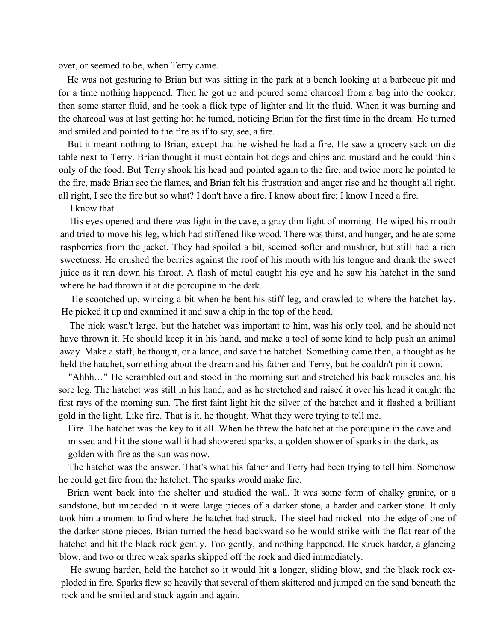over, or seemed to be, when Terry came.

He was not gesturing to Brian but was sitting in the park at a bench looking at a barbecue pit and for a time nothing happened. Then he got up and poured some charcoal from a bag into the cooker, then some starter fluid, and he took a flick type of lighter and lit the fluid. When it was burning and the charcoal was at last getting hot he turned, noticing Brian for the first time in the dream. He turned and smiled and pointed to the fire as if to say, see, a fire.

But it meant nothing to Brian, except that he wished he had a fire. He saw a grocery sack on die table next to Terry. Brian thought it must contain hot dogs and chips and mustard and he could think only of the food. But Terry shook his head and pointed again to the fire, and twice more he pointed to the fire, made Brian see the flames, and Brian felt his frustration and anger rise and he thought all right, all right, I see the fire but so what? I don't have a fire. I know about fire; I know I need a fire.

I know that.

His eyes opened and there was light in the cave, a gray dim light of morning. He wiped his mouth and tried to move his leg, which had stiffened like wood. There was thirst, and hunger, and he ate some raspberries from the jacket. They had spoiled a bit, seemed softer and mushier, but still had a rich sweetness. He crushed the berries against the roof of his mouth with his tongue and drank the sweet juice as it ran down his throat. A flash of metal caught his eye and he saw his hatchet in the sand where he had thrown it at die porcupine in the dark.

He scootched up, wincing a bit when he bent his stiff leg, and crawled to where the hatchet lay. He picked it up and examined it and saw a chip in the top of the head.

The nick wasn't large, but the hatchet was important to him, was his only tool, and he should not have thrown it. He should keep it in his hand, and make a tool of some kind to help push an animal away. Make a staff, he thought, or a lance, and save the hatchet. Something came then, a thought as he held the hatchet, something about the dream and his father and Terry, but he couldn't pin it down.

"Ahhh..." He scrambled out and stood in the morning sun and stretched his back muscles and his sore leg. The hatchet was still in his hand, and as he stretched and raised it over his head it caught the first rays of the morning sun. The first faint light hit the silver of the hatchet and it flashed a brilliant gold in the light. Like fire. That is it, he thought. What they were trying to tell me.

Fire. The hatchet was the key to it all. When he threw the hatchet at the porcupine in the cave and missed and hit the stone wall it had showered sparks, a golden shower of sparks in the dark, as golden with fire as the sun was now.

The hatchet was the answer. That's what his father and Terry had been trying to tell him. Somehow he could get fire from the hatchet. The sparks would make fire.

Brian went back into the shelter and studied the wall. It was some form of chalky granite, or a sandstone, but imbedded in it were large pieces of a darker stone, a harder and darker stone. It only took him a moment to find where the hatchet had struck. The steel had nicked into the edge of one of the darker stone pieces. Brian turned the head backward so he would strike with the flat rear of the hatchet and hit the black rock gently. Too gently, and nothing happened. He struck harder, a glancing blow, and two or three weak sparks skipped off the rock and died immediately.

He swung harder, held the hatchet so it would hit a longer, sliding blow, and the black rock exploded in fire. Sparks flew so heavily that several of them skittered and jumped on the sand beneath the rock and he smiled and stuck again and again.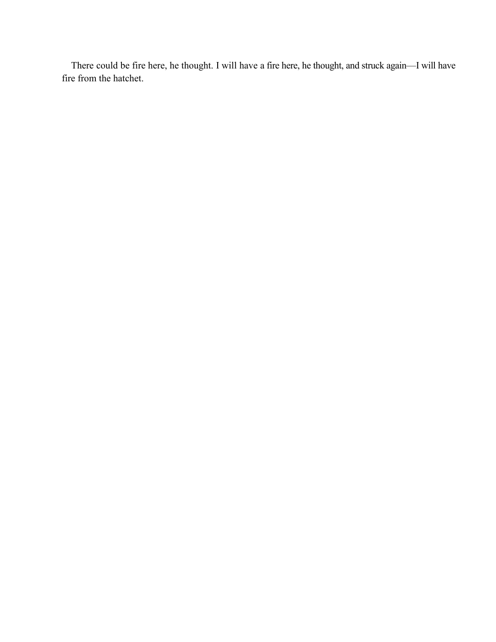There could be fire here, he thought. I will have a fire here, he thought, and struck again—I will have fire from the hatchet.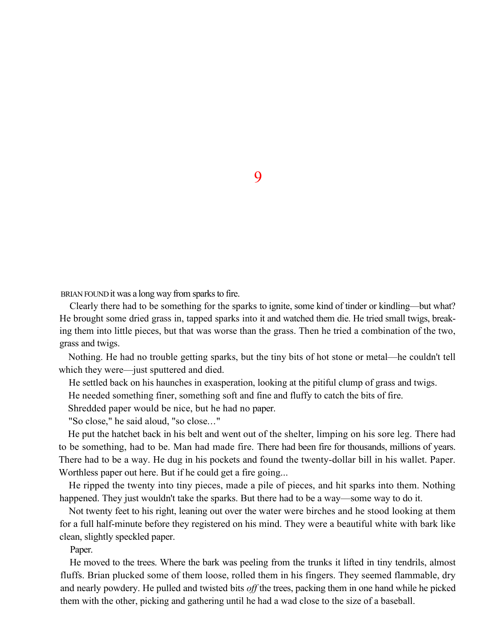BRIAN FOUND it was a long way from sparks to fire.

Clearly there had to be something for the sparks to ignite, some kind of tinder or kindling—but what? He brought some dried grass in, tapped sparks into it and watched them die. He tried small twigs, breaking them into little pieces, but that was worse than the grass. Then he tried a combination of the two, grass and twigs.

Nothing. He had no trouble getting sparks, but the tiny bits of hot stone or metal—he couldn't tell which they were—just sputtered and died.

He settled back on his haunches in exasperation, looking at the pitiful clump of grass and twigs.

He needed something finer, something soft and fine and fluffy to catch the bits of fire.

Shredded paper would be nice, but he had no paper.

"So close," he said aloud, "so close..."

He put the hatchet back in his belt and went out of the shelter, limping on his sore leg. There had to be something, had to be. Man had made fire. There had been fire for thousands, millions of years. There had to be a way. He dug in his pockets and found the twenty-dollar bill in his wallet. Paper. Worthless paper out here. But if he could get a fire going...

He ripped the twenty into tiny pieces, made a pile of pieces, and hit sparks into them. Nothing happened. They just wouldn't take the sparks. But there had to be a way—some way to do it.

Not twenty feet to his right, leaning out over the water were birches and he stood looking at them for a full half-minute before they registered on his mind. They were a beautiful white with bark like clean, slightly speckled paper.

Paper.

He moved to the trees. Where the bark was peeling from the trunks it lifted in tiny tendrils, almost fluffs. Brian plucked some of them loose, rolled them in his fingers. They seemed flammable, dry and nearly powdery. He pulled and twisted bits off the trees, packing them in one hand while he picked them with the other, picking and gathering until he had a wad close to the size of a baseball.

9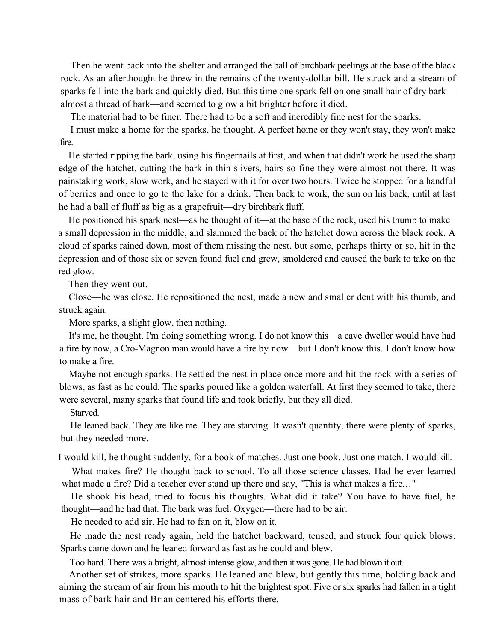Then he went back into the shelter and arranged the ball of birchbark peelings at the base of the black rock. As an afterthought he threw in the remains of the twenty-dollar bill. He struck and a stream of sparks fell into the bark and quickly died. But this time one spark fell on one small hair of dry bark almost a thread of bark—and seemed to glow a bit brighter before it died.

The material had to be finer. There had to be a soft and incredibly fine nest for the sparks.

I must make a home for the sparks, he thought. A perfect home or they won't stay, they won't make fire.

He started ripping the bark, using his fingernails at first, and when that didn't work he used the sharp edge of the hatchet, cutting the bark in thin slivers, hairs so fine they were almost not there. It was painstaking work, slow work, and he stayed with it for over two hours. Twice he stopped for a handful of berries and once to go to the lake for a drink. Then back to work, the sun on his back, until at last he had a ball of fluff as big as a grapefruit—dry birchbark fluff.

He positioned his spark nest—as he thought of it—at the base of the rock, used his thumb to make a small depression in the middle, and slammed the back of the hatchet down across the black rock. A cloud of sparks rained down, most of them missing the nest, but some, perhaps thirty or so, hit in the depression and of those six or seven found fuel and grew, smoldered and caused the bark to take on the red glow.

Then they went out.

Close—he was close. He repositioned the nest, made a new and smaller dent with his thumb, and struck again.

More sparks, a slight glow, then nothing.

It's me, he thought. I'm doing something wrong. I do not know this—a cave dweller would have had a fire by now, a Cro-Magnon man would have a fire by now—but I don't know this. I don't know how to make a fire.

Maybe not enough sparks. He settled the nest in place once more and hit the rock with a series of blows, as fast as he could. The sparks poured like a golden waterfall. At first they seemed to take, there were several, many sparks that found life and took briefly, but they all died.

Starved.

He leaned back. They are like me. They are starving. It wasn't quantity, there were plenty of sparks, but they needed more.

I would kill, he thought suddenly, for a book of matches. Just one book. Just one match. I would kill.

What makes fire? He thought back to school. To all those science classes. Had he ever learned what made a fire? Did a teacher ever stand up there and say, "This is what makes a fire..."

He shook his head, tried to focus his thoughts. What did it take? You have to have fuel, he thought—and he had that. The bark was fuel. Oxygen—there had to be air.

He needed to add air. He had to fan on it, blow on it.

He made the nest ready again, held the hatchet backward, tensed, and struck four quick blows. Sparks came down and he leaned forward as fast as he could and blew.

Too hard. There was a bright, almost intense glow, and then it was gone. He had blown it out.

Another set of strikes, more sparks. He leaned and blew, but gently this time, holding back and aiming the stream of air from his mouth to hit the brightest spot. Five or six sparks had fallen in a tight mass of bark hair and Brian centered his efforts there.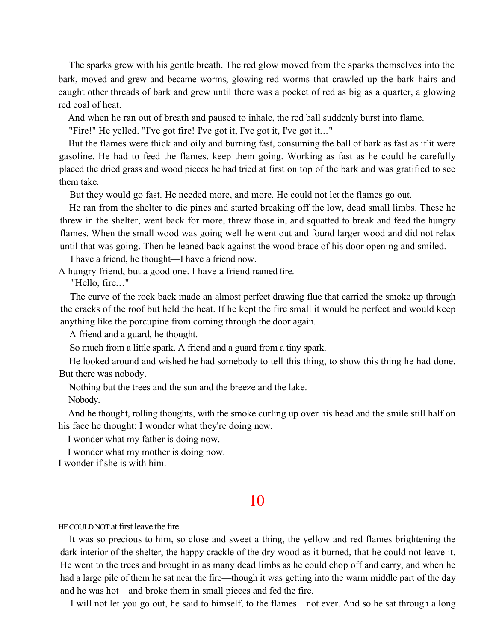The sparks grew with his gentle breath. The red glow moved from the sparks themselves into the bark, moved and grew and became worms, glowing red worms that crawled up the bark hairs and caught other threads of bark and grew until there was a pocket of red as big as a quarter, a glowing red coal of heat.

And when he ran out of breath and paused to inhale, the red ball suddenly burst into flame.

"Fire!" He yelled. "I've got fire! I've got it, I've got it, I've got it..."

But the flames were thick and oily and burning fast, consuming the ball of bark as fast as if it were gasoline. He had to feed the flames, keep them going. Working as fast as he could he carefully placed the dried grass and wood pieces he had tried at first on top of the bark and was gratified to see them take.

But they would go fast. He needed more, and more. He could not let the flames go out.

He ran from the shelter to die pines and started breaking off the low, dead small limbs. These he threw in the shelter, went back for more, threw those in, and squatted to break and feed the hungry flames. When the small wood was going well he went out and found larger wood and did not relax until that was going. Then he leaned back against the wood brace of his door opening and smiled.

I have a friend, he thought—I have a friend now.

A hungry friend, but a good one. I have a friend named fire.

"Hello, fire..."

The curve of the rock back made an almost perfect drawing flue that carried the smoke up through the cracks of the roof but held the heat. If he kept the fire small it would be perfect and would keep anything like the porcupine from coming through the door again.

A friend and a guard, he thought.

So much from a little spark. A friend and a guard from a tiny spark.

He looked around and wished he had somebody to tell this thing, to show this thing he had done. But there was nobody.

Nothing but the trees and the sun and the breeze and the lake.

Nobody.

And he thought, rolling thoughts, with the smoke curling up over his head and the smile still half on his face he thought: I wonder what they're doing now.

I wonder what my father is doing now.

I wonder what my mother is doing now.

I wonder if she is with him.

# 10

HE COULD NOT at first leave the fire.

It was so precious to him, so close and sweet a thing, the yellow and red flames brightening the dark interior of the shelter, the happy crackle of the dry wood as it burned, that he could not leave it. He went to the trees and brought in as many dead limbs as he could chop off and carry, and when he had a large pile of them he sat near the fire—though it was getting into the warm middle part of the day and he was hot—and broke them in small pieces and fed the fire.

I will not let you go out, he said to himself, to the flames—not ever. And so he sat through a long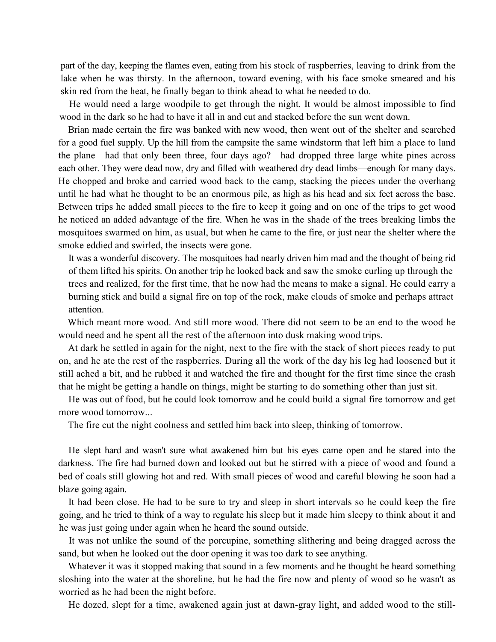part of the day, keeping the flames even, eating from his stock of raspberries, leaving to drink from the lake when he was thirsty. In the afternoon, toward evening, with his face smoke smeared and his skin red from the heat, he finally began to think ahead to what he needed to do.

He would need a large woodpile to get through the night. It would be almost impossible to find wood in the dark so he had to have it all in and cut and stacked before the sun went down.

Brian made certain the fire was banked with new wood, then went out of the shelter and searched for a good fuel supply. Up the hill from the campsite the same windstorm that left him a place to land the plane—had that only been three, four days ago?—had dropped three large white pines across each other. They were dead now, dry and filled with weathered dry dead limbs—enough for many days. He chopped and broke and carried wood back to the camp, stacking the pieces under the overhang until he had what he thought to be an enormous pile, as high as his head and six feet across the base. Between trips he added small pieces to the fire to keep it going and on one of the trips to get wood he noticed an added advantage of the fire. When he was in the shade of the trees breaking limbs the mosquitoes swarmed on him, as usual, but when he came to the fire, or just near the shelter where the smoke eddied and swirled, the insects were gone.

It was a wonderful discovery. The mosquitoes had nearly driven him mad and the thought of being rid of them lifted his spirits. On another trip he looked back and saw the smoke curling up through the trees and realized, for the first time, that he now had the means to make a signal. He could carry a burning stick and build a signal fire on top of the rock, make clouds of smoke and perhaps attract attention.

Which meant more wood. And still more wood. There did not seem to be an end to the wood he would need and he spent all the rest of the afternoon into dusk making wood trips.

At dark he settled in again for the night, next to the fire with the stack of short pieces ready to put on, and he ate the rest of the raspberries. During all the work of the day his leg had loosened but it still ached a bit, and he rubbed it and watched the fire and thought for the first time since the crash that he might be getting a handle on things, might be starting to do something other than just sit.

He was out of food, but he could look tomorrow and he could build a signal fire tomorrow and get more wood tomorrow...

The fire cut the night coolness and settled him back into sleep, thinking of tomorrow.

He slept hard and wasn't sure what awakened him but his eyes came open and he stared into the darkness. The fire had burned down and looked out but he stirred with a piece of wood and found a bed of coals still glowing hot and red. With small pieces of wood and careful blowing he soon had a blaze going again.

It had been close. He had to be sure to try and sleep in short intervals so he could keep the fire going, and he tried to think of a way to regulate his sleep but it made him sleepy to think about it and he was just going under again when he heard the sound outside.

It was not unlike the sound of the porcupine, something slithering and being dragged across the sand, but when he looked out the door opening it was too dark to see anything.

Whatever it was it stopped making that sound in a few moments and he thought he heard something sloshing into the water at the shoreline, but he had the fire now and plenty of wood so he wasn't as worried as he had been the night before.

He dozed, slept for a time, awakened again just at dawn-gray light, and added wood to the still-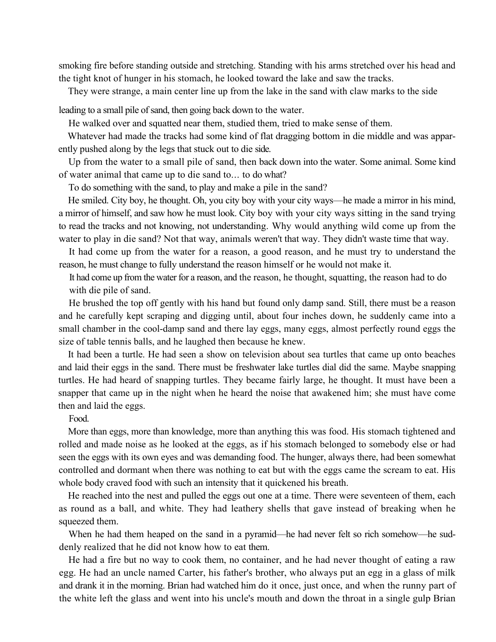smoking fire before standing outside and stretching. Standing with his arms stretched over his head and the tight knot of hunger in his stomach, he looked toward the lake and saw the tracks.

They were strange, a main center line up from the lake in the sand with claw marks to the side

leading to a small pile of sand, then going back down to the water.

He walked over and squatted near them, studied them, tried to make sense of them.

Whatever had made the tracks had some kind of flat dragging bottom in die middle and was apparently pushed along by the legs that stuck out to die side.

Up from the water to a small pile of sand, then back down into the water. Some animal. Some kind of water animal that came up to die sand to... to do what?

To do something with the sand, to play and make a pile in the sand?

He smiled. City boy, he thought. Oh, you city boy with your city ways—he made a mirror in his mind, a mirror of himself, and saw how he must look. City boy with your city ways sitting in the sand trying to read the tracks and not knowing, not understanding. Why would anything wild come up from the water to play in die sand? Not that way, animals weren't that way. They didn't waste time that way.

It had come up from the water for a reason, a good reason, and he must try to understand the reason, he must change to fully understand the reason himself or he would not make it.

It had come up from the water for a reason, and the reason, he thought, squatting, the reason had to do with die pile of sand.

He brushed the top off gently with his hand but found only damp sand. Still, there must be a reason and he carefully kept scraping and digging until, about four inches down, he suddenly came into a small chamber in the cool-damp sand and there lay eggs, many eggs, almost perfectly round eggs the size of table tennis balls, and he laughed then because he knew.

It had been a turtle. He had seen a show on television about sea turtles that came up onto beaches and laid their eggs in the sand. There must be freshwater lake turtles dial did the same. Maybe snapping turtles. He had heard of snapping turtles. They became fairly large, he thought. It must have been a snapper that came up in the night when he heard the noise that awakened him; she must have come then and laid the eggs.

#### Food.

More than eggs, more than knowledge, more than anything this was food. His stomach tightened and rolled and made noise as he looked at the eggs, as if his stomach belonged to somebody else or had seen the eggs with its own eyes and was demanding food. The hunger, always there, had been somewhat controlled and dormant when there was nothing to eat but with the eggs came the scream to eat. His whole body craved food with such an intensity that it quickened his breath.

He reached into the nest and pulled the eggs out one at a time. There were seventeen of them, each as round as a ball, and white. They had leathery shells that gave instead of breaking when he squeezed them.

When he had them heaped on the sand in a pyramid—he had never felt so rich somehow—he suddenly realized that he did not know how to eat them.

He had a fire but no way to cook them, no container, and he had never thought of eating a raw egg. He had an uncle named Carter, his father's brother, who always put an egg in a glass of milk and drank it in the morning. Brian had watched him do it once, just once, and when the runny part of the white left the glass and went into his uncle's mouth and down the throat in a single gulp Brian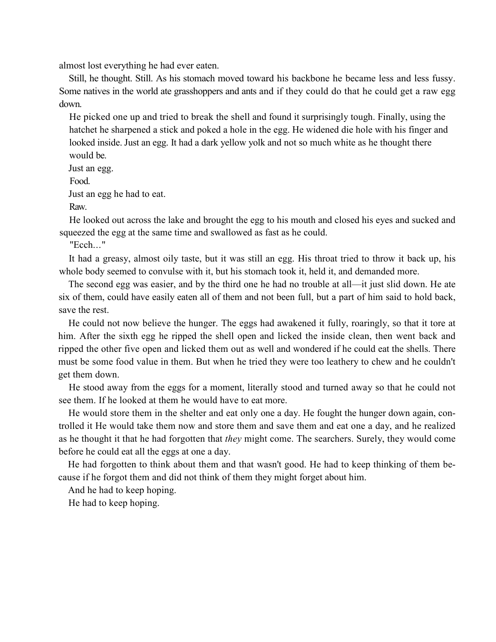almost lost everything he had ever eaten.

Still, he thought. Still. As his stomach moved toward his backbone he became less and less fussy. Some natives in the world ate grasshoppers and ants and if they could do that he could get a raw egg down.

He picked one up and tried to break the shell and found it surprisingly tough. Finally, using the hatchet he sharpened a stick and poked a hole in the egg. He widened die hole with his finger and looked inside. Just an egg. It had a dark yellow yolk and not so much white as he thought there would be.

Just an egg.

Food.

Just an egg he had to eat.

Raw.

He looked out across the lake and brought the egg to his mouth and closed his eyes and sucked and squeezed the egg at the same time and swallowed as fast as he could.

"Ecch..."

It had a greasy, almost oily taste, but it was still an egg. His throat tried to throw it back up, his whole body seemed to convulse with it, but his stomach took it, held it, and demanded more.

The second egg was easier, and by the third one he had no trouble at all—it just slid down. He ate six of them, could have easily eaten all of them and not been full, but a part of him said to hold back, save the rest.

He could not now believe the hunger. The eggs had awakened it fully, roaringly, so that it tore at him. After the sixth egg he ripped the shell open and licked the inside clean, then went back and ripped the other five open and licked them out as well and wondered if he could eat the shells. There must be some food value in them. But when he tried they were too leathery to chew and he couldn't get them down.

He stood away from the eggs for a moment, literally stood and turned away so that he could not see them. If he looked at them he would have to eat more.

He would store them in the shelter and eat only one a day. He fought the hunger down again, controlled it He would take them now and store them and save them and eat one a day, and he realized as he thought it that he had forgotten that *they* might come. The searchers. Surely, they would come before he could eat all the eggs at one a day.

He had forgotten to think about them and that wasn't good. He had to keep thinking of them because if he forgot them and did not think of them they might forget about him.

And he had to keep hoping.

He had to keep hoping.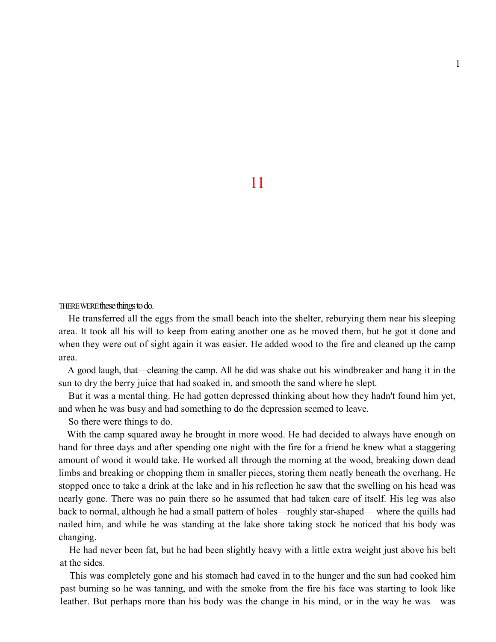THERE WERE these things to do.

He transferred all the eggs from the small beach into the shelter, reburying them near his sleeping area. It took all his will to keep from eating another one as he moved them, but he got it done and when they were out of sight again it was easier. He added wood to the fire and cleaned up the camp area.

A good laugh, that—cleaning the camp. All he did was shake out his windbreaker and hang it in the sun to dry the berry juice that had soaked in, and smooth the sand where he slept.

But it was a mental thing. He had gotten depressed thinking about how they hadn't found him yet, and when he was busy and had something to do the depression seemed to leave.

So there were things to do.

With the camp squared away he brought in more wood. He had decided to always have enough on hand for three days and after spending one night with the fire for a friend he knew what a staggering amount of wood it would take. He worked all through the morning at the wood, breaking down dead limbs and breaking or chopping them in smaller pieces, storing them neatly beneath the overhang. He stopped once to take a drink at the lake and in his reflection he saw that the swelling on his head was nearly gone. There was no pain there so he assumed that had taken care of itself. His leg was also back to normal, although he had a small pattern of holes—roughly star-shaped— where the quills had nailed him, and while he was standing at the lake shore taking stock he noticed that his body was changing.

He had never been fat, but he had been slightly heavy with a little extra weight just above his belt at the sides.

This was completely gone and his stomach had caved in to the hunger and the sun had cooked him past burning so he was tanning, and with the smoke from the fire his face was starting to look like leather. But perhaps more than his body was the change in his mind, or in the way he was—was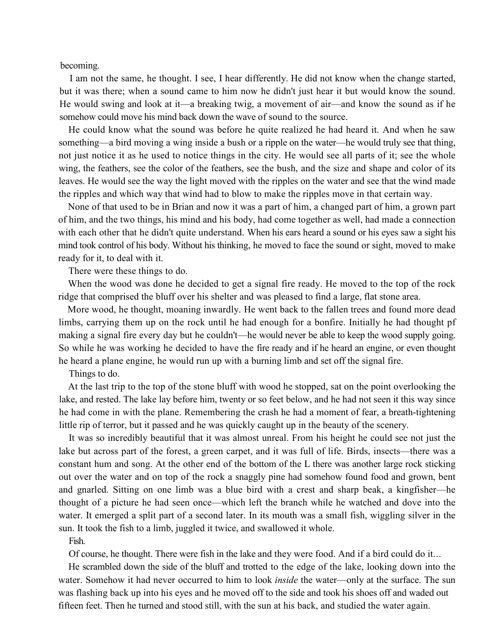becoming.

I am not the same, he thought. I see, I hear differently. He did not know when the change started, but it was there; when a sound came to him now he didn't just hear it but would know the sound. He would swing and look at it—a breaking twig, a movement of air—and know the sound as if he somehow could move his mind back down the wave of sound to the source.

He could know what the sound was before he quite realized he had heard it. And when he saw something—a bird moving a wing inside a bush or a ripple on the water—he would truly see that thing, not just notice it as he used to notice things in the city. He would see all parts of it; see the whole wing, the feathers, see the color of the feathers, see the bush, and the size and shape and color of its leaves. He would see the way the light moved with the ripples on the water and see that the wind made the ripples and which way that wind had to blow to make the ripples move in that certain way.

None of that used to be in Brian and now it was a part of him, a changed part of him, a grown part of him, and the two things, his mind and his body, had come together as well, had made a connection with each other that he didn't quite understand. When his ears heard a sound or his eyes saw a sight his mind took control of his body. Without his thinking, he moved to face the sound or sight, moved to make ready for it, to deal with it.

There were these things to do.

When the wood was done he decided to get a signal fire ready. He moved to the top of the rock ridge that comprised the bluff over his shelter and was pleased to find a large, flat stone area.

More wood, he thought, moaning inwardly. He went back to the fallen trees and found more dead limbs, carrying them up on the rock until he had enough for a bonfire. Initially he had thought pf making a signal fire every day but he couldn't—he would never be able to keep the wood supply going. So while he was working he decided to have the fire ready and if he heard an engine, or even thought he heard a plane engine, he would run up with a burning limb and set off the signal fire.

Things to do.

At the last trip to the top of the stone bluff with wood he stopped, sat on the point overlooking the lake, and rested. The lake lay before him, twenty or so feet below, and he had not seen it this way since he had come in with the plane. Remembering the crash he had a moment of fear, a breath-tightening little rip of terror, but it passed and he was quickly caught up in the beauty of the scenery.

It was so incredibly beautiful that it was almost unreal. From his height he could see not just the lake but across part of the forest, a green carpet, and it was full of life. Birds, insects—there was a constant hum and song. At the other end of the bottom of the L there was another large rock sticking out over the water and on top of the rock a snaggly pine had somehow found food and grown, bent and gnarled. Sitting on one limb was a blue bird with a crest and sharp beak, a kingfisher—he thought of a picture he had seen once—which left the branch while he watched and dove into the water. It emerged a split part of a second later. In its mouth was a small fish, wiggling silver in the sun. It took the fish to a limb, juggled it twice, and swallowed it whole.

Fish.

Of course, he thought. There were fish in the lake and they were food. And if a bird could do it...

He scrambled down the side of the bluff and trotted to the edge of the lake, looking down into the water. Somehow it had never occurred to him to look *inside* the water—only at the surface. The sun was flashing back up into his eyes and he moved off to the side and took his shoes off and waded out fifteen feet. Then he turned and stood still, with the sun at his back, and studied the water again.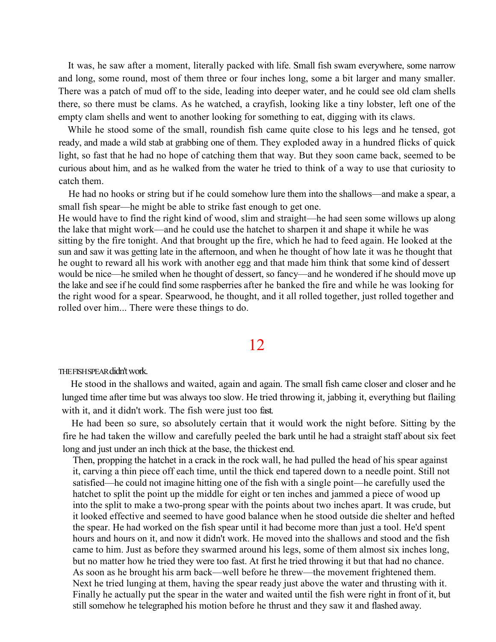It was, he saw after a moment, literally packed with life. Small fish swam everywhere, some narrow and long, some round, most of them three or four inches long, some a bit larger and many smaller. There was a patch of mud off to the side, leading into deeper water, and he could see old clam shells there, so there must be clams. As he watched, a crayfish, looking like a tiny lobster, left one of the empty clam shells and went to another looking for something to eat, digging with its claws.

While he stood some of the small, roundish fish came quite close to his legs and he tensed, got ready, and made a wild stab at grabbing one of them. They exploded away in a hundred flicks of quick light, so fast that he had no hope of catching them that way. But they soon came back, seemed to be curious about him, and as he walked from the water he tried to think of a way to use that curiosity to catch them.

He had no hooks or string but if he could somehow lure them into the shallows—and make a spear, a small fish spear—he might be able to strike fast enough to get one.

He would have to find the right kind of wood, slim and straight—he had seen some willows up along the lake that might work—and he could use the hatchet to sharpen it and shape it while he was sitting by the fire tonight. And that brought up the fire, which he had to feed again. He looked at the sun and saw it was getting late in the afternoon, and when he thought of how late it was he thought that he ought to reward all his work with another egg and that made him think that some kind of dessert would be nice—he smiled when he thought of dessert, so fancy—and he wondered if he should move up the lake and see if he could find some raspberries after he banked the fire and while he was looking for the right wood for a spear. Spearwood, he thought, and it all rolled together, just rolled together and rolled over him... There were these things to do.

# 12

#### THE FISH SPEAR didn't work.

He stood in the shallows and waited, again and again. The small fish came closer and closer and he lunged time after time but was always too slow. He tried throwing it, jabbing it, everything but flailing with it, and it didn't work. The fish were just too fast.

He had been so sure, so absolutely certain that it would work the night before. Sitting by the fire he had taken the willow and carefully peeled the bark until he had a straight staff about six feet long and just under an inch thick at the base, the thickest end.

Then, propping the hatchet in a crack in the rock wall, he had pulled the head of his spear against it, carving a thin piece off each time, until the thick end tapered down to a needle point. Still not satisfied—he could not imagine hitting one of the fish with a single point—he carefully used the hatchet to split the point up the middle for eight or ten inches and jammed a piece of wood up into the split to make a two-prong spear with the points about two inches apart. It was crude, but it looked effective and seemed to have good balance when he stood outside die shelter and hefted the spear. He had worked on the fish spear until it had become more than just a tool. He'd spent hours and hours on it, and now it didn't work. He moved into the shallows and stood and the fish came to him. Just as before they swarmed around his legs, some of them almost six inches long, but no matter how he tried they were too fast. At first he tried throwing it but that had no chance. As soon as he brought his arm back—well before he threw—the movement frightened them. Next he tried lunging at them, having the spear ready just above the water and thrusting with it. Finally he actually put the spear in the water and waited until the fish were right in front of it, but still somehow he telegraphed his motion before he thrust and they saw it and flashed away.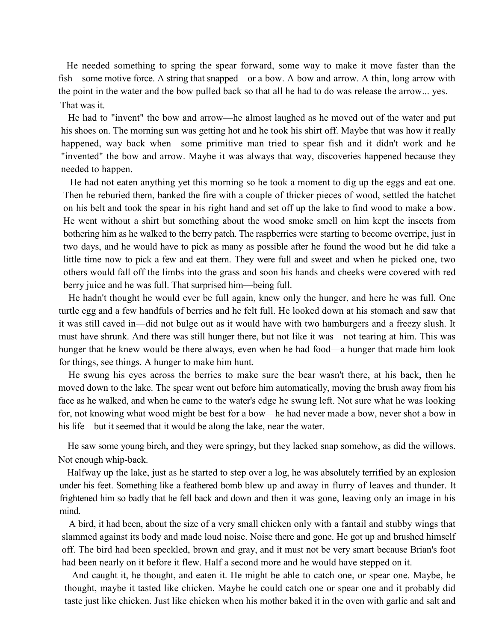He needed something to spring the spear forward, some way to make it move faster than the fish—some motive force. A string that snapped—or a bow. A bow and arrow. A thin, long arrow with the point in the water and the bow pulled back so that all he had to do was release the arrow... yes. That was it.

He had to "invent" the bow and arrow—he almost laughed as he moved out of the water and put his shoes on. The morning sun was getting hot and he took his shirt off. Maybe that was how it really happened, way back when—some primitive man tried to spear fish and it didn't work and he "invented" the bow and arrow. Maybe it was always that way, discoveries happened because they needed to happen.

He had not eaten anything yet this morning so he took a moment to dig up the eggs and eat one. Then he reburied them, banked the fire with a couple of thicker pieces of wood, settled the hatchet on his belt and took the spear in his right hand and set off up the lake to find wood to make a bow. He went without a shirt but something about the wood smoke smell on him kept the insects from bothering him as he walked to the berry patch. The raspberries were starting to become overripe, just in two days, and he would have to pick as many as possible after he found the wood but he did take a little time now to pick a few and eat them. They were full and sweet and when he picked one, two others would fall off the limbs into the grass and soon his hands and cheeks were covered with red berry juice and he was full. That surprised him—being full.

He hadn't thought he would ever be full again, knew only the hunger, and here he was full. One turtle egg and a few handfuls of berries and he felt full. He looked down at his stomach and saw that it was still caved in—did not bulge out as it would have with two hamburgers and a freezy slush. It must have shrunk. And there was still hunger there, but not like it was—not tearing at him. This was hunger that he knew would be there always, even when he had food—a hunger that made him look for things, see things. A hunger to make him hunt.

He swung his eyes across the berries to make sure the bear wasn't there, at his back, then he moved down to the lake. The spear went out before him automatically, moving the brush away from his face as he walked, and when he came to the water's edge he swung left. Not sure what he was looking for, not knowing what wood might be best for a bow—he had never made a bow, never shot a bow in his life—but it seemed that it would be along the lake, near the water.

He saw some young birch, and they were springy, but they lacked snap somehow, as did the willows. Not enough whip-back.

Halfway up the lake, just as he started to step over a log, he was absolutely terrified by an explosion under his feet. Something like a feathered bomb blew up and away in flurry of leaves and thunder. It frightened him so badly that he fell back and down and then it was gone, leaving only an image in his mind.

A bird, it had been, about the size of a very small chicken only with a fantail and stubby wings that slammed against its body and made loud noise. Noise there and gone. He got up and brushed himself off. The bird had been speckled, brown and gray, and it must not be very smart because Brian's foot had been nearly on it before it flew. Half a second more and he would have stepped on it.

And caught it, he thought, and eaten it. He might be able to catch one, or spear one. Maybe, he thought, maybe it tasted like chicken. Maybe he could catch one or spear one and it probably did taste just like chicken. Just like chicken when his mother baked it in the oven with garlic and salt and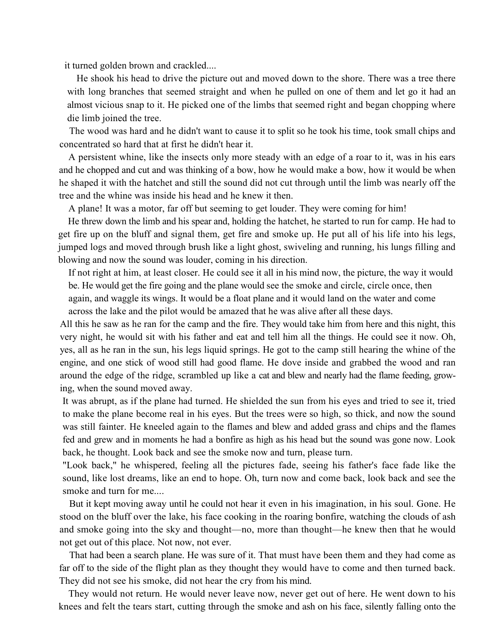it turned golden brown and crackled....

He shook his head to drive the picture out and moved down to the shore. There was a tree there with long branches that seemed straight and when he pulled on one of them and let go it had an almost vicious snap to it. He picked one of the limbs that seemed right and began chopping where die limb joined the tree.

The wood was hard and he didn't want to cause it to split so he took his time, took small chips and concentrated so hard that at first he didn't hear it.

A persistent whine, like the insects only more steady with an edge of a roar to it, was in his ears and he chopped and cut and was thinking of a bow, how he would make a bow, how it would be when he shaped it with the hatchet and still the sound did not cut through until the limb was nearly off the tree and the whine was inside his head and he knew it then.

A plane! It was a motor, far off but seeming to get louder. They were coming for him!

He threw down the limb and his spear and, holding the hatchet, he started to run for camp. He had to get fire up on the bluff and signal them, get fire and smoke up. He put all of his life into his legs, jumped logs and moved through brush like a light ghost, swiveling and running, his lungs filling and blowing and now the sound was louder, coming in his direction.

If not right at him, at least closer. He could see it all in his mind now, the picture, the way it would be. He would get the fire going and the plane would see the smoke and circle, circle once, then again, and waggle its wings. It would be a float plane and it would land on the water and come across the lake and the pilot would be amazed that he was alive after all these days.

All this he saw as he ran for the camp and the fire. They would take him from here and this night, this very night, he would sit with his father and eat and tell him all the things. He could see it now. Oh, yes, all as he ran in the sun, his legs liquid springs. He got to the camp still hearing the whine of the engine, and one stick of wood still had good flame. He dove inside and grabbed the wood and ran around the edge of the ridge, scrambled up like a cat and blew and nearly had the flame feeding, growing, when the sound moved away.

It was abrupt, as if the plane had turned. He shielded the sun from his eyes and tried to see it, tried to make the plane become real in his eyes. But the trees were so high, so thick, and now the sound was still fainter. He kneeled again to the flames and blew and added grass and chips and the flames fed and grew and in moments he had a bonfire as high as his head but the sound was gone now. Look back, he thought. Look back and see the smoke now and turn, please turn.

"Look back," he whispered, feeling all the pictures fade, seeing his father's face fade like the sound, like lost dreams, like an end to hope. Oh, turn now and come back, look back and see the smoke and turn for me....

But it kept moving away until he could not hear it even in his imagination, in his soul. Gone. He stood on the bluff over the lake, his face cooking in the roaring bonfire, watching the clouds of ash and smoke going into the sky and thought—no, more than thought—he knew then that he would not get out of this place. Not now, not ever.

That had been a search plane. He was sure of it. That must have been them and they had come as far off to the side of the flight plan as they thought they would have to come and then turned back. They did not see his smoke, did not hear the cry from his mind.

They would not return. He would never leave now, never get out of here. He went down to his knees and felt the tears start, cutting through the smoke and ash on his face, silently falling onto the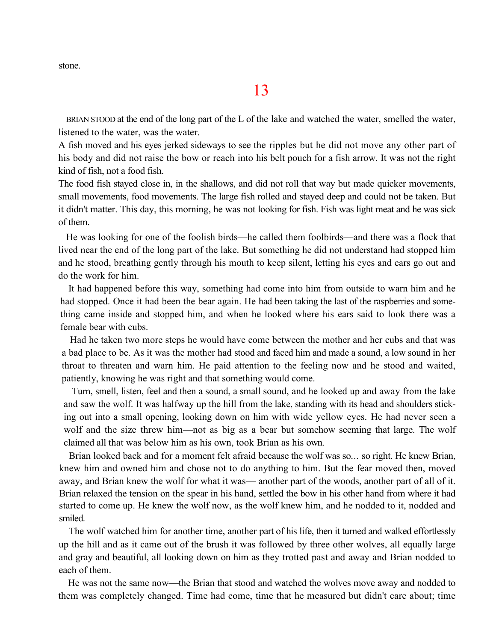stone.

BRIAN STOOD at the end of the long part of the L of the lake and watched the water, smelled the water, listened to the water, was the water.

A fish moved and his eyes jerked sideways to see the ripples but he did not move any other part of his body and did not raise the bow or reach into his belt pouch for a fish arrow. It was not the right kind of fish, not a food fish.

The food fish stayed close in, in the shallows, and did not roll that way but made quicker movements, small movements, food movements. The large fish rolled and stayed deep and could not be taken. But it didn't matter. This day, this morning, he was not looking for fish. Fish was light meat and he was sick of them.

He was looking for one of the foolish birds—he called them foolbirds—and there was a flock that lived near the end of the long part of the lake. But something he did not understand had stopped him and he stood, breathing gently through his mouth to keep silent, letting his eyes and ears go out and do the work for him.

It had happened before this way, something had come into him from outside to warn him and he had stopped. Once it had been the bear again. He had been taking the last of the raspberries and something came inside and stopped him, and when he looked where his ears said to look there was a female bear with cubs.

Had he taken two more steps he would have come between the mother and her cubs and that was a bad place to be. As it was the mother had stood and faced him and made a sound, a low sound in her throat to threaten and warn him. He paid attention to the feeling now and he stood and waited, patiently, knowing he was right and that something would come.

Turn, smell, listen, feel and then a sound, a small sound, and he looked up and away from the lake and saw the wolf. It was halfway up the hill from the lake, standing with its head and shoulders sticking out into a small opening, looking down on him with wide yellow eyes. He had never seen a wolf and the size threw him—not as big as a bear but somehow seeming that large. The wolf claimed all that was below him as his own, took Brian as his own.

Brian looked back and for a moment felt afraid because the wolf was so... so right. He knew Brian, knew him and owned him and chose not to do anything to him. But the fear moved then, moved away, and Brian knew the wolf for what it was— another part of the woods, another part of all of it. Brian relaxed the tension on the spear in his hand, settled the bow in his other hand from where it had started to come up. He knew the wolf now, as the wolf knew him, and he nodded to it, nodded and smiled.

The wolf watched him for another time, another part of his life, then it turned and walked effortlessly up the hill and as it came out of the brush it was followed by three other wolves, all equally large and gray and beautiful, all looking down on him as they trotted past and away and Brian nodded to each of them.

He was not the same now—the Brian that stood and watched the wolves move away and nodded to them was completely changed. Time had come, time that he measured but didn't care about; time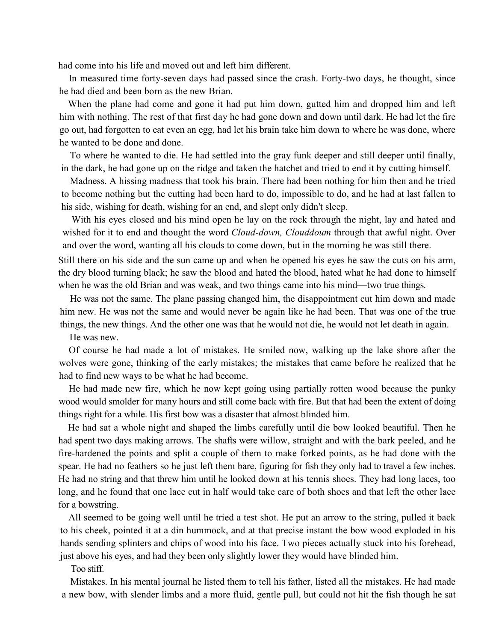had come into his life and moved out and left him different.

In measured time forty-seven days had passed since the crash. Forty-two days, he thought, since he had died and been born as the new Brian.

When the plane had come and gone it had put him down, gutted him and dropped him and left him with nothing. The rest of that first day he had gone down and down until dark. He had let the fire go out, had forgotten to eat even an egg, had let his brain take him down to where he was done, where he wanted to be done and done.

To where he wanted to die. He had settled into the gray funk deeper and still deeper until finally, in the dark, he had gone up on the ridge and taken the hatchet and tried to end it by cutting himself.

Madness. A hissing madness that took his brain. There had been nothing for him then and he tried to become nothing but the cutting had been hard to do, impossible to do, and he had at last fallen to his side, wishing for death, wishing for an end, and slept only didn't sleep.

With his eyes closed and his mind open he lay on the rock through the night, lay and hated and wished for it to end and thought the word *Cloud-down, Clouddoum* through that awful night. Over and over the word, wanting all his clouds to come down, but in the morning he was still there.

Still there on his side and the sun came up and when he opened his eyes he saw the cuts on his arm, the dry blood turning black; he saw the blood and hated the blood, hated what he had done to himself when he was the old Brian and was weak, and two things came into his mind—two true things.

He was not the same. The plane passing changed him, the disappointment cut him down and made him new. He was not the same and would never be again like he had been. That was one of the true things, the new things. And the other one was that he would not die, he would not let death in again.

He was new.

Of course he had made a lot of mistakes. He smiled now, walking up the lake shore after the wolves were gone, thinking of the early mistakes; the mistakes that came before he realized that he had to find new ways to be what he had become.

He had made new fire, which he now kept going using partially rotten wood because the punky wood would smolder for many hours and still come back with fire. But that had been the extent of doing things right for a while. His first bow was a disaster that almost blinded him.

He had sat a whole night and shaped the limbs carefully until die bow looked beautiful. Then he had spent two days making arrows. The shafts were willow, straight and with the bark peeled, and he fire-hardened the points and split a couple of them to make forked points, as he had done with the spear. He had no feathers so he just left them bare, figuring for fish they only had to travel a few inches. He had no string and that threw him until he looked down at his tennis shoes. They had long laces, too long, and he found that one lace cut in half would take care of both shoes and that left the other lace for a bowstring.

All seemed to be going well until he tried a test shot. He put an arrow to the string, pulled it back to his cheek, pointed it at a din hummock, and at that precise instant the bow wood exploded in his hands sending splinters and chips of wood into his face. Two pieces actually stuck into his forehead, just above his eyes, and had they been only slightly lower they would have blinded him.

Too stiff.

Mistakes. In his mental journal he listed them to tell his father, listed all the mistakes. He had made a new bow, with slender limbs and a more fluid, gentle pull, but could not hit the fish though he sat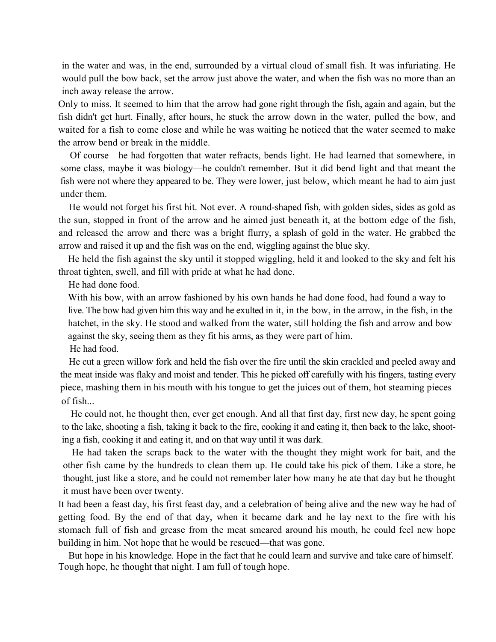in the water and was, in the end, surrounded by a virtual cloud of small fish. It was infuriating. He would pull the bow back, set the arrow just above the water, and when the fish was no more than an inch away release the arrow.

Only to miss. It seemed to him that the arrow had gone right through the fish, again and again, but the fish didn't get hurt. Finally, after hours, he stuck the arrow down in the water, pulled the bow, and waited for a fish to come close and while he was waiting he noticed that the water seemed to make the arrow bend or break in the middle.

Of course—he had forgotten that water refracts, bends light. He had learned that somewhere, in some class, maybe it was biology—he couldn't remember. But it did bend light and that meant the fish were not where they appeared to be. They were lower, just below, which meant he had to aim just under them.

He would not forget his first hit. Not ever. A round-shaped fish, with golden sides, sides as gold as the sun, stopped in front of the arrow and he aimed just beneath it, at the bottom edge of the fish, and released the arrow and there was a bright flurry, a splash of gold in the water. He grabbed the arrow and raised it up and the fish was on the end, wiggling against the blue sky.

He held the fish against the sky until it stopped wiggling, held it and looked to the sky and felt his throat tighten, swell, and fill with pride at what he had done.

He had done food.

With his bow, with an arrow fashioned by his own hands he had done food, had found a way to live. The bow had given him this way and he exulted in it, in the bow, in the arrow, in the fish, in the hatchet, in the sky. He stood and walked from the water, still holding the fish and arrow and bow against the sky, seeing them as they fit his arms, as they were part of him.

He had food.

He cut a green willow fork and held the fish over the fire until the skin crackled and peeled away and the meat inside was flaky and moist and tender. This he picked off carefully with his fingers, tasting every piece, mashing them in his mouth with his tongue to get the juices out of them, hot steaming pieces of fish...

He could not, he thought then, ever get enough. And all that first day, first new day, he spent going to the lake, shooting a fish, taking it back to the fire, cooking it and eating it, then back to the lake, shooting a fish, cooking it and eating it, and on that way until it was dark.

He had taken the scraps back to the water with the thought they might work for bait, and the other fish came by the hundreds to clean them up. He could take his pick of them. Like a store, he thought, just like a store, and he could not remember later how many he ate that day but he thought it must have been over twenty.

It had been a feast day, his first feast day, and a celebration of being alive and the new way he had of getting food. By the end of that day, when it became dark and he lay next to the fire with his stomach full of fish and grease from the meat smeared around his mouth, he could feel new hope building in him. Not hope that he would be rescued—that was gone.

But hope in his knowledge. Hope in the fact that he could learn and survive and take care of himself. Tough hope, he thought that night. I am full of tough hope.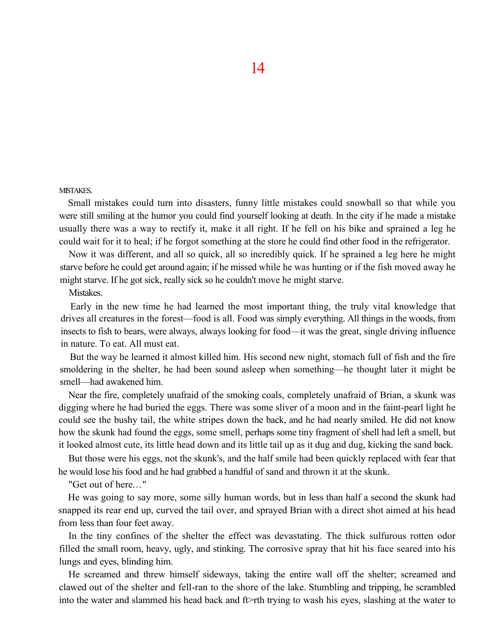#### MISTAKES.

Small mistakes could turn into disasters, funny little mistakes could snowball so that while you were still smiling at the humor you could find yourself looking at death. In the city if he made a mistake usually there was a way to rectify it, make it all right. If he fell on his bike and sprained a leg he could wait for it to heal; if he forgot something at the store he could find other food in the refrigerator.

Now it was different, and all so quick, all so incredibly quick. If he sprained a leg here he might starve before he could get around again; if he missed while he was hunting or if the fish moved away he might starve. If he got sick, really sick so he couldn't move he might starve.

#### Mistakes.

Early in the new time he had learned the most important thing, the truly vital knowledge that drives all creatures in the forest—food is all. Food was simply everything. All things in the woods, from insects to fish to bears, were always, always looking for food—it was the great, single driving influence in nature. To eat. All must eat.

But the way he learned it almost killed him. His second new night, stomach full of fish and the fire smoldering in the shelter, he had been sound asleep when something—he thought later it might be smell—had awakened him.

Near the fire, completely unafraid of the smoking coals, completely unafraid of Brian, a skunk was digging where he had buried the eggs. There was some sliver of a moon and in the faint-pearl light he could see the bushy tail, the white stripes down the back, and he had nearly smiled. He did not know how the skunk had found the eggs, some smell, perhaps some tiny fragment of shell had left a smell, but it looked almost cute, its little head down and its little tail up as it dug and dug, kicking the sand back.

But those were his eggs, not the skunk's, and the half smile had been quickly replaced with fear that he would lose his food and he had grabbed a handful of sand and thrown it at the skunk.

"Get out of here..."

He was going to say more, some silly human words, but in less than half a second the skunk had snapped its rear end up, curved the tail over, and sprayed Brian with a direct shot aimed at his head from less than four feet away.

In the tiny confines of the shelter the effect was devastating. The thick sulfurous rotten odor filled the small room, heavy, ugly, and stinking. The corrosive spray that hit his face seared into his lungs and eyes, blinding him.

He screamed and threw himself sideways, taking the entire wall off the shelter; screamed and clawed out of the shelter and fell-ran to the shore of the lake. Stumbling and tripping, he scrambled into the water and slammed his head back and ft>rth trying to wash his eyes, slashing at the water to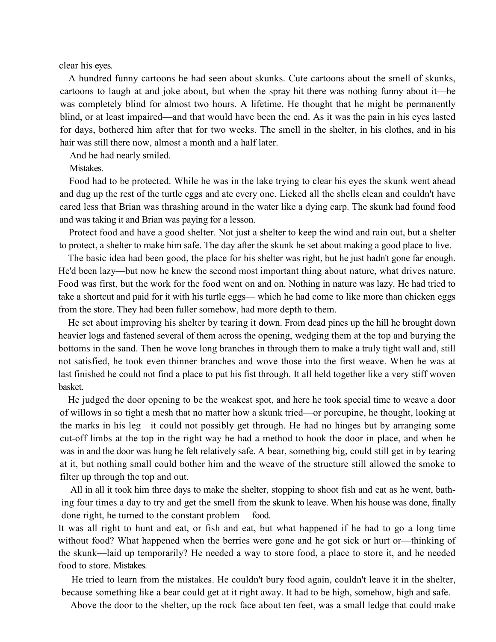clear his eyes.

A hundred funny cartoons he had seen about skunks. Cute cartoons about the smell of skunks, cartoons to laugh at and joke about, but when the spray hit there was nothing funny about it—he was completely blind for almost two hours. A lifetime. He thought that he might be permanently blind, or at least impaired—and that would have been the end. As it was the pain in his eyes lasted for days, bothered him after that for two weeks. The smell in the shelter, in his clothes, and in his hair was still there now, almost a month and a half later.

And he had nearly smiled.

Mistakes.

Food had to be protected. While he was in the lake trying to clear his eyes the skunk went ahead and dug up the rest of the turtle eggs and ate every one. Licked all the shells clean and couldn't have cared less that Brian was thrashing around in the water like a dying carp. The skunk had found food and was taking it and Brian was paying for a lesson.

Protect food and have a good shelter. Not just a shelter to keep the wind and rain out, but a shelter to protect, a shelter to make him safe. The day after the skunk he set about making a good place to live.

The basic idea had been good, the place for his shelter was right, but he just hadn't gone far enough. He'd been lazy—but now he knew the second most important thing about nature, what drives nature. Food was first, but the work for the food went on and on. Nothing in nature was lazy. He had tried to take a shortcut and paid for it with his turtle eggs— which he had come to like more than chicken eggs from the store. They had been fuller somehow, had more depth to them.

He set about improving his shelter by tearing it down. From dead pines up the hill he brought down heavier logs and fastened several of them across the opening, wedging them at the top and burying the bottoms in the sand. Then he wove long branches in through them to make a truly tight wall and, still not satisfied, he took even thinner branches and wove those into the first weave. When he was at last finished he could not find a place to put his fist through. It all held together like a very stiff woven basket.

He judged the door opening to be the weakest spot, and here he took special time to weave a door of willows in so tight a mesh that no matter how a skunk tried—or porcupine, he thought, looking at the marks in his leg—it could not possibly get through. He had no hinges but by arranging some cut-off limbs at the top in the right way he had a method to hook the door in place, and when he was in and the door was hung he felt relatively safe. A bear, something big, could still get in by tearing at it, but nothing small could bother him and the weave of the structure still allowed the smoke to filter up through the top and out.

All in all it took him three days to make the shelter, stopping to shoot fish and eat as he went, bathing four times a day to try and get the smell from the skunk to leave. When his house was done, finally done right, he turned to the constant problem— food.

It was all right to hunt and eat, or fish and eat, but what happened if he had to go a long time without food? What happened when the berries were gone and he got sick or hurt or—thinking of the skunk—laid up temporarily? He needed a way to store food, a place to store it, and he needed food to store. Mistakes.

He tried to learn from the mistakes. He couldn't bury food again, couldn't leave it in the shelter, because something like a bear could get at it right away. It had to be high, somehow, high and safe.

Above the door to the shelter, up the rock face about ten feet, was a small ledge that could make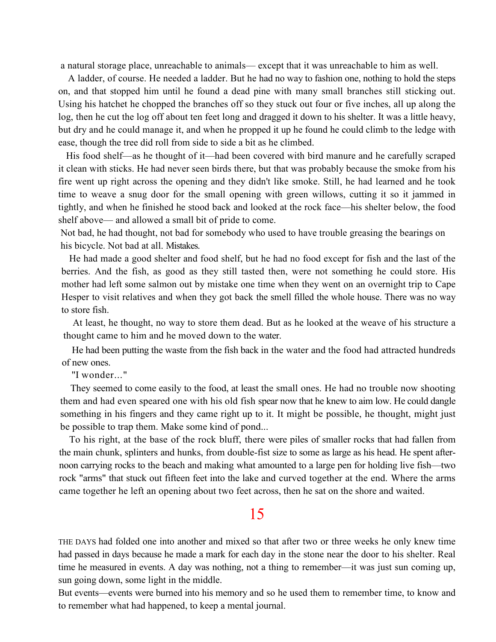a natural storage place, unreachable to animals— except that it was unreachable to him as well.

A ladder, of course. He needed a ladder. But he had no way to fashion one, nothing to hold the steps on, and that stopped him until he found a dead pine with many small branches still sticking out. Using his hatchet he chopped the branches off so they stuck out four or five inches, all up along the log, then he cut the log off about ten feet long and dragged it down to his shelter. It was a little heavy, but dry and he could manage it, and when he propped it up he found he could climb to the ledge with ease, though the tree did roll from side to side a bit as he climbed.

His food shelf—as he thought of it—had been covered with bird manure and he carefully scraped it clean with sticks. He had never seen birds there, but that was probably because the smoke from his fire went up right across the opening and they didn't like smoke. Still, he had learned and he took time to weave a snug door for the small opening with green willows, cutting it so it jammed in tightly, and when he finished he stood back and looked at the rock face—his shelter below, the food shelf above— and allowed a small bit of pride to come.

Not bad, he had thought, not bad for somebody who used to have trouble greasing the bearings on his bicycle. Not bad at all. Mistakes.

He had made a good shelter and food shelf, but he had no food except for fish and the last of the berries. And the fish, as good as they still tasted then, were not something he could store. His mother had left some salmon out by mistake one time when they went on an overnight trip to Cape Hesper to visit relatives and when they got back the smell filled the whole house. There was no way to store fish.

At least, he thought, no way to store them dead. But as he looked at the weave of his structure a thought came to him and he moved down to the water.

He had been putting the waste from the fish back in the water and the food had attracted hundreds of new ones.

"I wonder..."

They seemed to come easily to the food, at least the small ones. He had no trouble now shooting them and had even speared one with his old fish spear now that he knew to aim low. He could dangle something in his fingers and they came right up to it. It might be possible, he thought, might just be possible to trap them. Make some kind of pond...

To his right, at the base of the rock bluff, there were piles of smaller rocks that had fallen from the main chunk, splinters and hunks, from double-fist size to some as large as his head. He spent afternoon carrying rocks to the beach and making what amounted to a large pen for holding live fish—two rock "arms" that stuck out fifteen feet into the lake and curved together at the end. Where the arms came together he left an opening about two feet across, then he sat on the shore and waited.

# 15

THE DAYS had folded one into another and mixed so that after two or three weeks he only knew time had passed in days because he made a mark for each day in the stone near the door to his shelter. Real time he measured in events. A day was nothing, not a thing to remember—it was just sun coming up, sun going down, some light in the middle.

But events—events were burned into his memory and so he used them to remember time, to know and to remember what had happened, to keep a mental journal.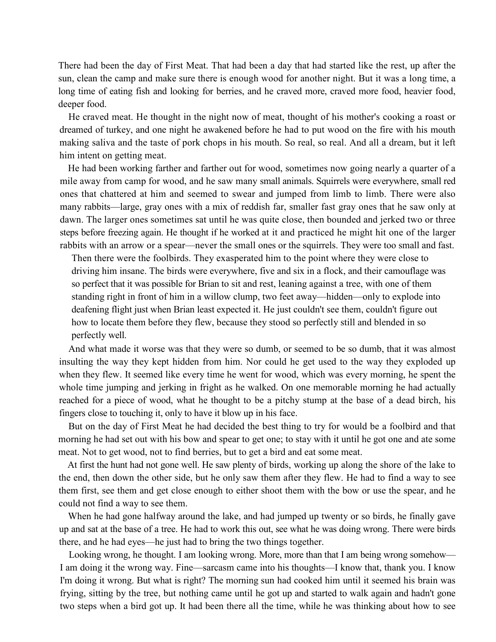There had been the day of First Meat. That had been a day that had started like the rest, up after the sun, clean the camp and make sure there is enough wood for another night. But it was a long time, a long time of eating fish and looking for berries, and he craved more, craved more food, heavier food, deeper food.

He craved meat. He thought in the night now of meat, thought of his mother's cooking a roast or dreamed of turkey, and one night he awakened before he had to put wood on the fire with his mouth making saliva and the taste of pork chops in his mouth. So real, so real. And all a dream, but it left him intent on getting meat.

He had been working farther and farther out for wood, sometimes now going nearly a quarter of a mile away from camp for wood, and he saw many small animals. Squirrels were everywhere, small red ones that chattered at him and seemed to swear and jumped from limb to limb. There were also many rabbits—large, gray ones with a mix of reddish far, smaller fast gray ones that he saw only at dawn. The larger ones sometimes sat until he was quite close, then bounded and jerked two or three steps before freezing again. He thought if he worked at it and practiced he might hit one of the larger rabbits with an arrow or a spear—never the small ones or the squirrels. They were too small and fast.

Then there were the foolbirds. They exasperated him to the point where they were close to driving him insane. The birds were everywhere, five and six in a flock, and their camouflage was so perfect that it was possible for Brian to sit and rest, leaning against a tree, with one of them standing right in front of him in a willow clump, two feet away—hidden—only to explode into deafening flight just when Brian least expected it. He just couldn't see them, couldn't figure out how to locate them before they flew, because they stood so perfectly still and blended in so perfectly well.

And what made it worse was that they were so dumb, or seemed to be so dumb, that it was almost insulting the way they kept hidden from him. Nor could he get used to the way they exploded up when they flew. It seemed like every time he went for wood, which was every morning, he spent the whole time jumping and jerking in fright as he walked. On one memorable morning he had actually reached for a piece of wood, what he thought to be a pitchy stump at the base of a dead birch, his fingers close to touching it, only to have it blow up in his face.

But on the day of First Meat he had decided the best thing to try for would be a foolbird and that morning he had set out with his bow and spear to get one; to stay with it until he got one and ate some meat. Not to get wood, not to find berries, but to get a bird and eat some meat.

At first the hunt had not gone well. He saw plenty of birds, working up along the shore of the lake to the end, then down the other side, but he only saw them after they flew. He had to find a way to see them first, see them and get close enough to either shoot them with the bow or use the spear, and he could not find a way to see them.

When he had gone halfway around the lake, and had jumped up twenty or so birds, he finally gave up and sat at the base of a tree. He had to work this out, see what he was doing wrong. There were birds there, and he had eyes—he just had to bring the two things together.

Looking wrong, he thought. I am looking wrong. More, more than that I am being wrong somehow— I am doing it the wrong way. Fine—sarcasm came into his thoughts—I know that, thank you. I know I'm doing it wrong. But what is right? The morning sun had cooked him until it seemed his brain was frying, sitting by the tree, but nothing came until he got up and started to walk again and hadn't gone two steps when a bird got up. It had been there all the time, while he was thinking about how to see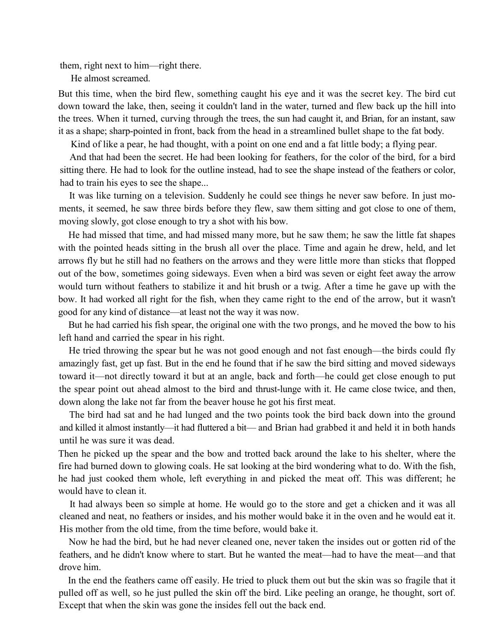them, right next to him—right there.

He almost screamed.

But this time, when the bird flew, something caught his eye and it was the secret key. The bird cut down toward the lake, then, seeing it couldn't land in the water, turned and flew back up the hill into the trees. When it turned, curving through the trees, the sun had caught it, and Brian, for an instant, saw it as a shape; sharp-pointed in front, back from the head in a streamlined bullet shape to the fat body.

Kind of like a pear, he had thought, with a point on one end and a fat little body; a flying pear.

And that had been the secret. He had been looking for feathers, for the color of the bird, for a bird sitting there. He had to look for the outline instead, had to see the shape instead of the feathers or color, had to train his eyes to see the shape...

It was like turning on a television. Suddenly he could see things he never saw before. In just moments, it seemed, he saw three birds before they flew, saw them sitting and got close to one of them, moving slowly, got close enough to try a shot with his bow.

He had missed that time, and had missed many more, but he saw them; he saw the little fat shapes with the pointed heads sitting in the brush all over the place. Time and again he drew, held, and let arrows fly but he still had no feathers on the arrows and they were little more than sticks that flopped out of the bow, sometimes going sideways. Even when a bird was seven or eight feet away the arrow would turn without feathers to stabilize it and hit brush or a twig. After a time he gave up with the bow. It had worked all right for the fish, when they came right to the end of the arrow, but it wasn't good for any kind of distance—at least not the way it was now.

But he had carried his fish spear, the original one with the two prongs, and he moved the bow to his left hand and carried the spear in his right.

He tried throwing the spear but he was not good enough and not fast enough—the birds could fly amazingly fast, get up fast. But in the end he found that if he saw the bird sitting and moved sideways toward it—not directly toward it but at an angle, back and forth—he could get close enough to put the spear point out ahead almost to the bird and thrust-lunge with it. He came close twice, and then, down along the lake not far from the beaver house he got his first meat.

The bird had sat and he had lunged and the two points took the bird back down into the ground and killed it almost instantly—it had fluttered a bit— and Brian had grabbed it and held it in both hands until he was sure it was dead.

Then he picked up the spear and the bow and trotted back around the lake to his shelter, where the fire had burned down to glowing coals. He sat looking at the bird wondering what to do. With the fish, he had just cooked them whole, left everything in and picked the meat off. This was different; he would have to clean it.

It had always been so simple at home. He would go to the store and get a chicken and it was all cleaned and neat, no feathers or insides, and his mother would bake it in the oven and he would eat it. His mother from the old time, from the time before, would bake it.

Now he had the bird, but he had never cleaned one, never taken the insides out or gotten rid of the feathers, and he didn't know where to start. But he wanted the meat—had to have the meat—and that drove him.

In the end the feathers came off easily. He tried to pluck them out but the skin was so fragile that it pulled off as well, so he just pulled the skin off the bird. Like peeling an orange, he thought, sort of. Except that when the skin was gone the insides fell out the back end.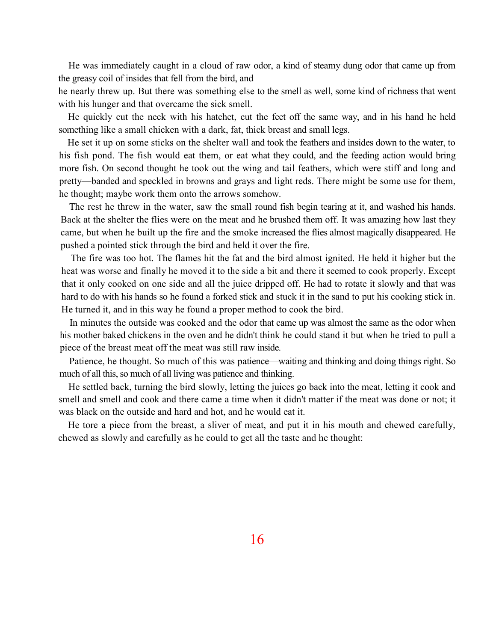He was immediately caught in a cloud of raw odor, a kind of steamy dung odor that came up from the greasy coil of insides that fell from the bird, and

he nearly threw up. But there was something else to the smell as well, some kind of richness that went with his hunger and that overcame the sick smell.

He quickly cut the neck with his hatchet, cut the feet off the same way, and in his hand he held something like a small chicken with a dark, fat, thick breast and small legs.

He set it up on some sticks on the shelter wall and took the feathers and insides down to the water, to his fish pond. The fish would eat them, or eat what they could, and the feeding action would bring more fish. On second thought he took out the wing and tail feathers, which were stiff and long and pretty—banded and speckled in browns and grays and light reds. There might be some use for them, he thought; maybe work them onto the arrows somehow.

The rest he threw in the water, saw the small round fish begin tearing at it, and washed his hands. Back at the shelter the flies were on the meat and he brushed them off. It was amazing how last they came, but when he built up the fire and the smoke increased the flies almost magically disappeared. He pushed a pointed stick through the bird and held it over the fire.

The fire was too hot. The flames hit the fat and the bird almost ignited. He held it higher but the heat was worse and finally he moved it to the side a bit and there it seemed to cook properly. Except that it only cooked on one side and all the juice dripped off. He had to rotate it slowly and that was hard to do with his hands so he found a forked stick and stuck it in the sand to put his cooking stick in. He turned it, and in this way he found a proper method to cook the bird.

In minutes the outside was cooked and the odor that came up was almost the same as the odor when his mother baked chickens in the oven and he didn't think he could stand it but when he tried to pull a piece of the breast meat off the meat was still raw inside.

Patience, he thought. So much of this was patience—waiting and thinking and doing things right. So much of all this, so much of all living was patience and thinking.

He settled back, turning the bird slowly, letting the juices go back into the meat, letting it cook and smell and smell and cook and there came a time when it didn't matter if the meat was done or not; it was black on the outside and hard and hot, and he would eat it.

He tore a piece from the breast, a sliver of meat, and put it in his mouth and chewed carefully, chewed as slowly and carefully as he could to get all the taste and he thought: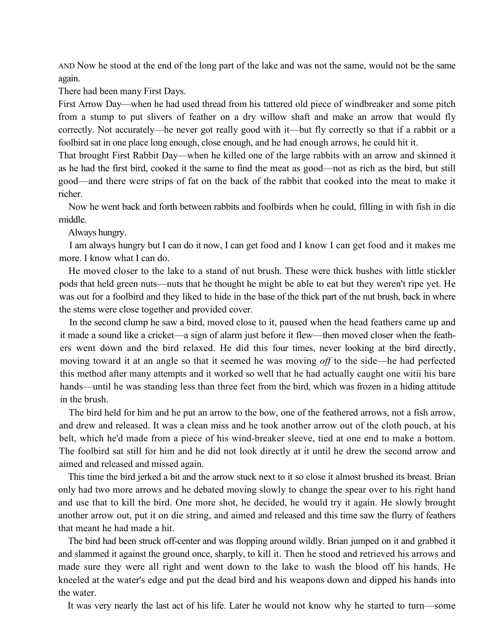AND Now he stood at the end of the long part of the lake and was not the same, would not be the same again.

There had been many First Days.

First Arrow Day—when he had used thread from his tattered old piece of windbreaker and some pitch from a stump to put slivers of feather on a dry willow shaft and make an arrow that would fly correctly. Not accurately—he never got really good with it—but fly correctly so that if a rabbit or a foolbird sat in one place long enough, close enough, and he had enough arrows, he could hit it.

That brought First Rabbit Day—when he killed one of the large rabbits with an arrow and skinned it as he had the first bird, cooked it the same to find the meat as good—not as rich as the bird, but still good—and there were strips of fat on the back of the rabbit that cooked into the meat to make it richer.

Now he went back and forth between rabbits and foolbirds when he could, filling in with fish in die middle.

Always hungry.

I am always hungry but I can do it now, I can get food and I know I can get food and it makes me more. I know what I can do.

He moved closer to the lake to a stand of nut brush. These were thick bushes with little stickler pods that held green nuts—nuts that he thought he might be able to eat but they weren't ripe yet. He was out for a foolbird and they liked to hide in the base of the thick part of the nut brush, back in where the stems were close together and provided cover.

In the second clump he saw a bird, moved close to it, paused when the head feathers came up and it made a sound like a cricket—a sign of alarm just before it flew—then moved closer when the feathers went down and the bird relaxed. He did this four times, never looking at the bird directly, moving toward it at an angle so that it seemed he was moving *off* to the side—he had perfected this method after many attempts and it worked so well that he had actually caught one witii his bare hands—until he was standing less than three feet from the bird, which was frozen in a hiding attitude in the brush.

The bird held for him and he put an arrow to the bow, one of the feathered arrows, not a fish arrow, and drew and released. It was a clean miss and he took another arrow out of the cloth pouch, at his belt, which he'd made from a piece of his wind-breaker sleeve, tied at one end to make a bottom. The foolbird sat still for him and he did not look directly at it until he drew the second arrow and aimed and released and missed again.

This time the bird jerked a bit and the arrow stuck next to it so close it almost brushed its breast. Brian only had two more arrows and he debated moving slowly to change the spear over to his right hand and use that to kill the bird. One more shot, he decided, he would try it again. He slowly brought another arrow out, put it on die string, and aimed and released and this time saw the flurry of feathers that meant he had made a hit.

The bird had been struck off-center and was flopping around wildly. Brian jumped on it and grabbed it and slammed it against the ground once, sharply, to kill it. Then he stood and retrieved his arrows and made sure they were all right and went down to the lake to wash the blood off his hands. He kneeled at the water's edge and put the dead bird and his weapons down and dipped his hands into the water.

It was very nearly the last act of his life. Later he would not know why he started to turn—some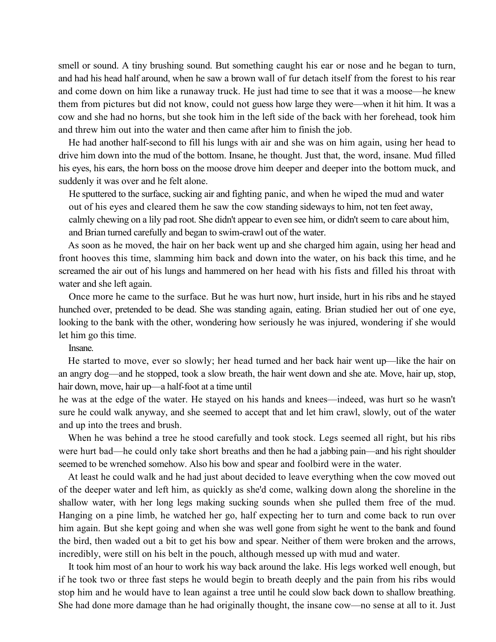smell or sound. A tiny brushing sound. But something caught his ear or nose and he began to turn, and had his head half around, when he saw a brown wall of fur detach itself from the forest to his rear and come down on him like a runaway truck. He just had time to see that it was a moose—he knew them from pictures but did not know, could not guess how large they were—when it hit him. It was a cow and she had no horns, but she took him in the left side of the back with her forehead, took him and threw him out into the water and then came after him to finish the job.

He had another half-second to fill his lungs with air and she was on him again, using her head to drive him down into the mud of the bottom. Insane, he thought. Just that, the word, insane. Mud filled his eyes, his ears, the horn boss on the moose drove him deeper and deeper into the bottom muck, and suddenly it was over and he felt alone.

He sputtered to the surface, sucking air and fighting panic, and when he wiped the mud and water out of his eyes and cleared them he saw the cow standing sideways to him, not ten feet away,

calmly chewing on a lily pad root. She didn't appear to even see him, or didn't seem to care about him, and Brian turned carefully and began to swim-crawl out of the water.

As soon as he moved, the hair on her back went up and she charged him again, using her head and front hooves this time, slamming him back and down into the water, on his back this time, and he screamed the air out of his lungs and hammered on her head with his fists and filled his throat with water and she left again.

Once more he came to the surface. But he was hurt now, hurt inside, hurt in his ribs and he stayed hunched over, pretended to be dead. She was standing again, eating. Brian studied her out of one eye, looking to the bank with the other, wondering how seriously he was injured, wondering if she would let him go this time.

Insane.

He started to move, ever so slowly; her head turned and her back hair went up—like the hair on an angry dog—and he stopped, took a slow breath, the hair went down and she ate. Move, hair up, stop, hair down, move, hair up—a half-foot at a time until

he was at the edge of the water. He stayed on his hands and knees—indeed, was hurt so he wasn't sure he could walk anyway, and she seemed to accept that and let him crawl, slowly, out of the water and up into the trees and brush.

When he was behind a tree he stood carefully and took stock. Legs seemed all right, but his ribs were hurt bad—he could only take short breaths and then he had a jabbing pain—and his right shoulder seemed to be wrenched somehow. Also his bow and spear and foolbird were in the water.

At least he could walk and he had just about decided to leave everything when the cow moved out of the deeper water and left him, as quickly as she'd come, walking down along the shoreline in the shallow water, with her long legs making sucking sounds when she pulled them free of the mud. Hanging on a pine limb, he watched her go, half expecting her to turn and come back to run over him again. But she kept going and when she was well gone from sight he went to the bank and found the bird, then waded out a bit to get his bow and spear. Neither of them were broken and the arrows, incredibly, were still on his belt in the pouch, although messed up with mud and water.

It took him most of an hour to work his way back around the lake. His legs worked well enough, but if he took two or three fast steps he would begin to breath deeply and the pain from his ribs would stop him and he would have to lean against a tree until he could slow back down to shallow breathing. She had done more damage than he had originally thought, the insane cow—no sense at all to it. Just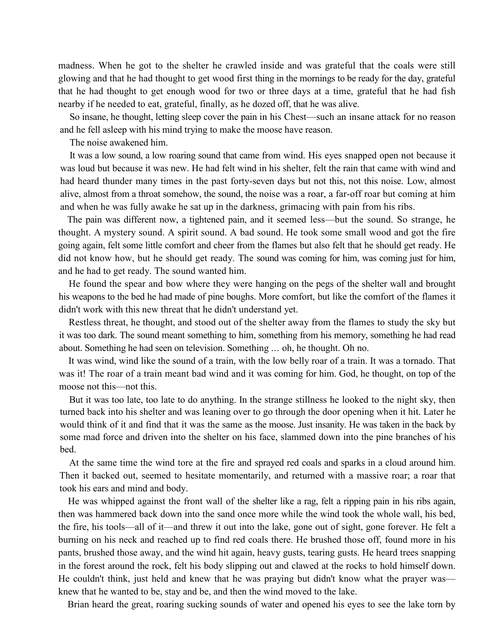madness. When he got to the shelter he crawled inside and was grateful that the coals were still glowing and that he had thought to get wood first thing in the mornings to be ready for the day, grateful that he had thought to get enough wood for two or three days at a time, grateful that he had fish nearby if he needed to eat, grateful, finally, as he dozed off, that he was alive.

So insane, he thought, letting sleep cover the pain in his Chest—such an insane attack for no reason and he fell asleep with his mind trying to make the moose have reason.

The noise awakened him.

It was a low sound, a low roaring sound that came from wind. His eyes snapped open not because it was loud but because it was new. He had felt wind in his shelter, felt the rain that came with wind and had heard thunder many times in the past forty-seven days but not this, not this noise. Low, almost alive, almost from a throat somehow, the sound, the noise was a roar, a far-off roar but coming at him and when he was fully awake he sat up in the darkness, grimacing with pain from his ribs.

The pain was different now, a tightened pain, and it seemed less—but the sound. So strange, he thought. A mystery sound. A spirit sound. A bad sound. He took some small wood and got the fire going again, felt some little comfort and cheer from the flames but also felt that he should get ready. He did not know how, but he should get ready. The sound was coming for him, was coming just for him, and he had to get ready. The sound wanted him.

He found the spear and bow where they were hanging on the pegs of the shelter wall and brought his weapons to the bed he had made of pine boughs. More comfort, but like the comfort of the flames it didn't work with this new threat that he didn't understand yet.

Restless threat, he thought, and stood out of the shelter away from the flames to study the sky but it was too dark. The sound meant something to him, something from his memory, something he had read about. Something he had seen on television. Something ... oh, he thought. Oh no.

It was wind, wind like the sound of a train, with the low belly roar of a train. It was a tornado. That was it! The roar of a train meant bad wind and it was coming for him. God, he thought, on top of the moose not this—not this.

But it was too late, too late to do anything. In the strange stillness he looked to the night sky, then turned back into his shelter and was leaning over to go through the door opening when it hit. Later he would think of it and find that it was the same as the moose. Just insanity. He was taken in the back by some mad force and driven into the shelter on his face, slammed down into the pine branches of his bed.

At the same time the wind tore at the fire and sprayed red coals and sparks in a cloud around him. Then it backed out, seemed to hesitate momentarily, and returned with a massive roar; a roar that took his ears and mind and body.

He was whipped against the front wall of the shelter like a rag, felt a ripping pain in his ribs again, then was hammered back down into the sand once more while the wind took the whole wall, his bed, the fire, his tools—all of it—and threw it out into the lake, gone out of sight, gone forever. He felt a burning on his neck and reached up to find red coals there. He brushed those off, found more in his pants, brushed those away, and the wind hit again, heavy gusts, tearing gusts. He heard trees snapping in the forest around the rock, felt his body slipping out and clawed at the rocks to hold himself down. He couldn't think, just held and knew that he was praying but didn't know what the prayer was knew that he wanted to be, stay and be, and then the wind moved to the lake.

Brian heard the great, roaring sucking sounds of water and opened his eyes to see the lake torn by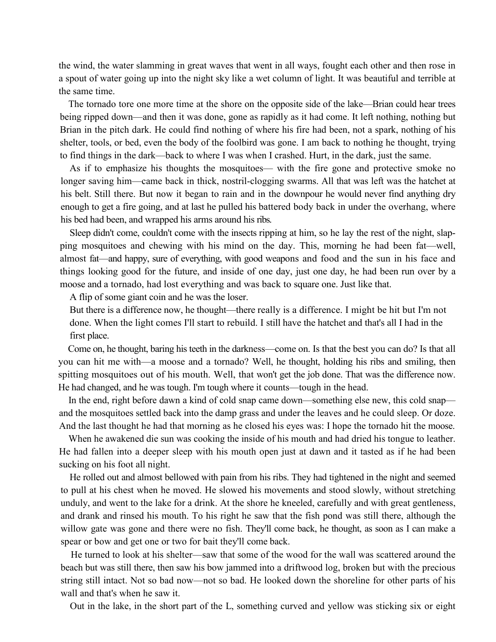the wind, the water slamming in great waves that went in all ways, fought each other and then rose in a spout of water going up into the night sky like a wet column of light. It was beautiful and terrible at the same time.

The tornado tore one more time at the shore on the opposite side of the lake—Brian could hear trees being ripped down—and then it was done, gone as rapidly as it had come. It left nothing, nothing but Brian in the pitch dark. He could find nothing of where his fire had been, not a spark, nothing of his shelter, tools, or bed, even the body of the foolbird was gone. I am back to nothing he thought, trying to find things in the dark—back to where I was when I crashed. Hurt, in the dark, just the same.

As if to emphasize his thoughts the mosquitoes— with the fire gone and protective smoke no longer saving him—came back in thick, nostril-clogging swarms. All that was left was the hatchet at his belt. Still there. But now it began to rain and in the downpour he would never find anything dry enough to get a fire going, and at last he pulled his battered body back in under the overhang, where his bed had been, and wrapped his arms around his ribs.

Sleep didn't come, couldn't come with the insects ripping at him, so he lay the rest of the night, slapping mosquitoes and chewing with his mind on the day. This, morning he had been fat—well, almost fat—and happy, sure of everything, with good weapons and food and the sun in his face and things looking good for the future, and inside of one day, just one day, he had been run over by a moose and a tornado, had lost everything and was back to square one. Just like that.

A flip of some giant coin and he was the loser.

But there is a difference now, he thought—there really is a difference. I might be hit but I'm not done. When the light comes I'll start to rebuild. I still have the hatchet and that's all I had in the first place.

Come on, he thought, baring his teeth in the darkness—come on. Is that the best you can do? Is that all you can hit me with—a moose and a tornado? Well, he thought, holding his ribs and smiling, then spitting mosquitoes out of his mouth. Well, that won't get the job done. That was the difference now. He had changed, and he was tough. I'm tough where it counts—tough in the head.

In the end, right before dawn a kind of cold snap came down—something else new, this cold snap and the mosquitoes settled back into the damp grass and under the leaves and he could sleep. Or doze. And the last thought he had that morning as he closed his eyes was: I hope the tornado hit the moose.

When he awakened die sun was cooking the inside of his mouth and had dried his tongue to leather. He had fallen into a deeper sleep with his mouth open just at dawn and it tasted as if he had been sucking on his foot all night.

He rolled out and almost bellowed with pain from his ribs. They had tightened in the night and seemed to pull at his chest when he moved. He slowed his movements and stood slowly, without stretching unduly, and went to the lake for a drink. At the shore he kneeled, carefully and with great gentleness, and drank and rinsed his mouth. To his right he saw that the fish pond was still there, although the willow gate was gone and there were no fish. They'll come back, he thought, as soon as I can make a spear or bow and get one or two for bait they'll come back.

He turned to look at his shelter—saw that some of the wood for the wall was scattered around the beach but was still there, then saw his bow jammed into a driftwood log, broken but with the precious string still intact. Not so bad now—not so bad. He looked down the shoreline for other parts of his wall and that's when he saw it.

Out in the lake, in the short part of the L, something curved and yellow was sticking six or eight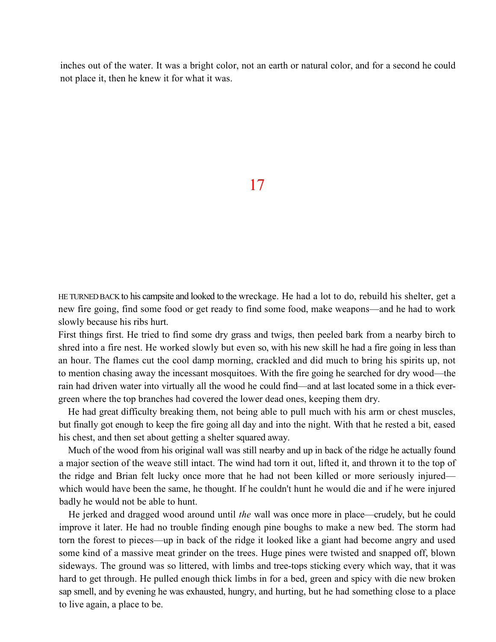inches out of the water. It was a bright color, not an earth or natural color, and for a second he could not place it, then he knew it for what it was.

# 17

HE TURNED BACK to his campsite and looked to the wreckage. He had a lot to do, rebuild his shelter, get a new fire going, find some food or get ready to find some food, make weapons—and he had to work slowly because his ribs hurt.

First things first. He tried to find some dry grass and twigs, then peeled bark from a nearby birch to shred into a fire nest. He worked slowly but even so, with his new skill he had a fire going in less than an hour. The flames cut the cool damp morning, crackled and did much to bring his spirits up, not to mention chasing away the incessant mosquitoes. With the fire going he searched for dry wood—the rain had driven water into virtually all the wood he could find—and at last located some in a thick evergreen where the top branches had covered the lower dead ones, keeping them dry.

He had great difficulty breaking them, not being able to pull much with his arm or chest muscles, but finally got enough to keep the fire going all day and into the night. With that he rested a bit, eased his chest, and then set about getting a shelter squared away.

Much of the wood from his original wall was still nearby and up in back of the ridge he actually found a major section of the weave still intact. The wind had torn it out, lifted it, and thrown it to the top of the ridge and Brian felt lucky once more that he had not been killed or more seriously injured which would have been the same, he thought. If he couldn't hunt he would die and if he were injured badly he would not be able to hunt.

He jerked and dragged wood around until the wall was once more in place—crudely, but he could improve it later. He had no trouble finding enough pine boughs to make a new bed. The storm had torn the forest to pieces—up in back of the ridge it looked like a giant had become angry and used some kind of a massive meat grinder on the trees. Huge pines were twisted and snapped off, blown sideways. The ground was so littered, with limbs and tree-tops sticking every which way, that it was hard to get through. He pulled enough thick limbs in for a bed, green and spicy with die new broken sap smell, and by evening he was exhausted, hungry, and hurting, but he had something close to a place to live again, a place to be.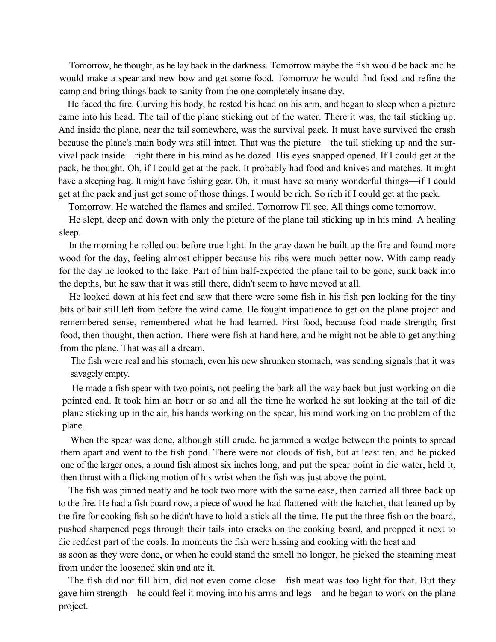Tomorrow, he thought, as he lay back in the darkness. Tomorrow maybe the fish would be back and he would make a spear and new bow and get some food. Tomorrow he would find food and refine the camp and bring things back to sanity from the one completely insane day.

He faced the fire. Curving his body, he rested his head on his arm, and began to sleep when a picture came into his head. The tail of the plane sticking out of the water. There it was, the tail sticking up. And inside the plane, near the tail somewhere, was the survival pack. It must have survived the crash because the plane's main body was still intact. That was the picture—the tail sticking up and the survival pack inside—right there in his mind as he dozed. His eyes snapped opened. If I could get at the pack, he thought. Oh, if I could get at the pack. It probably had food and knives and matches. It might have a sleeping bag. It might have fishing gear. Oh, it must have so many wonderful things—if I could get at the pack and just get some of those things. I would be rich. So rich if I could get at the pack.

Tomorrow. He watched the flames and smiled. Tomorrow I'll see. All things come tomorrow.

He slept, deep and down with only the picture of the plane tail sticking up in his mind. A healing sleep.

In the morning he rolled out before true light. In the gray dawn he built up the fire and found more wood for the day, feeling almost chipper because his ribs were much better now. With camp ready for the day he looked to the lake. Part of him half-expected the plane tail to be gone, sunk back into the depths, but he saw that it was still there, didn't seem to have moved at all.

He looked down at his feet and saw that there were some fish in his fish pen looking for the tiny bits of bait still left from before the wind came. He fought impatience to get on the plane project and remembered sense, remembered what he had learned. First food, because food made strength; first food, then thought, then action. There were fish at hand here, and he might not be able to get anything from the plane. That was all a dream.

The fish were real and his stomach, even his new shrunken stomach, was sending signals that it was savagely empty.

He made a fish spear with two points, not peeling the bark all the way back but just working on die pointed end. It took him an hour or so and all the time he worked he sat looking at the tail of die plane sticking up in the air, his hands working on the spear, his mind working on the problem of the plane.

When the spear was done, although still crude, he jammed a wedge between the points to spread them apart and went to the fish pond. There were not clouds of fish, but at least ten, and he picked one of the larger ones, a round fish almost six inches long, and put the spear point in die water, held it, then thrust with a flicking motion of his wrist when the fish was just above the point.

The fish was pinned neatly and he took two more with the same ease, then carried all three back up to the fire. He had a fish board now, a piece of wood he had flattened with the hatchet, that leaned up by the fire for cooking fish so he didn't have to hold a stick all the time. He put the three fish on the board, pushed sharpened pegs through their tails into cracks on the cooking board, and propped it next to die reddest part of the coals. In moments the fish were hissing and cooking with the heat and as soon as they were done, or when he could stand the smell no longer, he picked the steaming meat from under the loosened skin and ate it.

The fish did not fill him, did not even come close—fish meat was too light for that. But they gave him strength—he could feel it moving into his arms and legs—and he began to work on the plane project.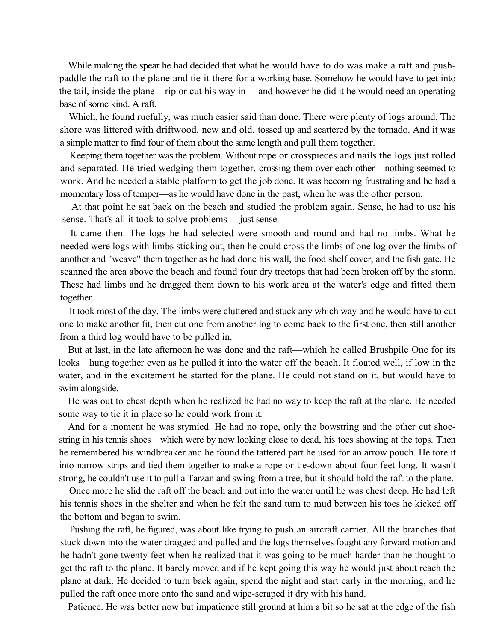While making the spear he had decided that what he would have to do was make a raft and pushpaddle the raft to the plane and tie it there for a working base. Somehow he would have to get into the tail, inside the plane—rip or cut his way in— and however he did it he would need an operating base of some kind. A raft.

Which, he found ruefully, was much easier said than done. There were plenty of logs around. The shore was littered with driftwood, new and old, tossed up and scattered by the tornado. And it was a simple matter to find four of them about the same length and pull them together.

Keeping them together was the problem. Without rope or crosspieces and nails the logs just rolled and separated. He tried wedging them together, crossing them over each other—nothing seemed to work. And he needed a stable platform to get the job done. It was becoming frustrating and he had a momentary loss of temper—as he would have done in the past, when he was the other person.

At that point he sat back on the beach and studied the problem again. Sense, he had to use his sense. That's all it took to solve problems— just sense.

It came then. The logs he had selected were smooth and round and had no limbs. What he needed were logs with limbs sticking out, then he could cross the limbs of one log over the limbs of another and "weave" them together as he had done his wall, the food shelf cover, and the fish gate. He scanned the area above the beach and found four dry treetops that had been broken off by the storm. These had limbs and he dragged them down to his work area at the water's edge and fitted them together.

It took most of the day. The limbs were cluttered and stuck any which way and he would have to cut one to make another fit, then cut one from another log to come back to the first one, then still another from a third log would have to be pulled in.

But at last, in the late afternoon he was done and the raft—which he called Brushpile One for its looks—hung together even as he pulled it into the water off the beach. It floated well, if low in the water, and in the excitement he started for the plane. He could not stand on it, but would have to swim alongside.

He was out to chest depth when he realized he had no way to keep the raft at the plane. He needed some way to tie it in place so he could work from it.

And for a moment he was stymied. He had no rope, only the bowstring and the other cut shoestring in his tennis shoes—which were by now looking close to dead, his toes showing at the tops. Then he remembered his windbreaker and he found the tattered part he used for an arrow pouch. He tore it into narrow strips and tied them together to make a rope or tie-down about four feet long. It wasn't strong, he couldn't use it to pull a Tarzan and swing from a tree, but it should hold the raft to the plane.

Once more he slid the raft off the beach and out into the water until he was chest deep. He had left his tennis shoes in the shelter and when he felt the sand turn to mud between his toes he kicked off the bottom and began to swim.

Pushing the raft, he figured, was about like trying to push an aircraft carrier. All the branches that stuck down into the water dragged and pulled and the logs themselves fought any forward motion and he hadn't gone twenty feet when he realized that it was going to be much harder than he thought to get the raft to the plane. It barely moved and if he kept going this way he would just about reach the plane at dark. He decided to turn back again, spend the night and start early in the morning, and he pulled the raft once more onto the sand and wipe-scraped it dry with his hand.

Patience. He was better now but impatience still ground at him a bit so he sat at the edge of the fish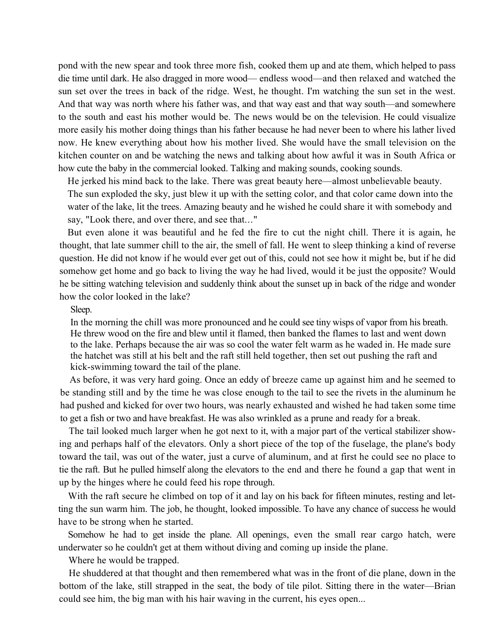pond with the new spear and took three more fish, cooked them up and ate them, which helped to pass die time until dark. He also dragged in more wood— endless wood—and then relaxed and watched the sun set over the trees in back of the ridge. West, he thought. I'm watching the sun set in the west. And that way was north where his father was, and that way east and that way south—and somewhere to the south and east his mother would be. The news would be on the television. He could visualize more easily his mother doing things than his father because he had never been to where his lather lived now. He knew everything about how his mother lived. She would have the small television on the kitchen counter on and be watching the news and talking about how awful it was in South Africa or how cute the baby in the commercial looked. Talking and making sounds, cooking sounds.

He jerked his mind back to the lake. There was great beauty here—almost unbelievable beauty.

The sun exploded the sky, just blew it up with the setting color, and that color came down into the water of the lake, lit the trees. Amazing beauty and he wished he could share it with somebody and say, "Look there, and over there, and see that..."

But even alone it was beautiful and he fed the fire to cut the night chill. There it is again, he thought, that late summer chill to the air, the smell of fall. He went to sleep thinking a kind of reverse question. He did not know if he would ever get out of this, could not see how it might be, but if he did somehow get home and go back to living the way he had lived, would it be just the opposite? Would he be sitting watching television and suddenly think about the sunset up in back of the ridge and wonder how the color looked in the lake?

#### Sleep.

In the morning the chill was more pronounced and he could see tiny wisps of vapor from his breath. He threw wood on the fire and blew until it flamed, then banked the flames to last and went down to the lake. Perhaps because the air was so cool the water felt warm as he waded in. He made sure the hatchet was still at his belt and the raft still held together, then set out pushing the raft and kick-swimming toward the tail of the plane.

As before, it was very hard going. Once an eddy of breeze came up against him and he seemed to be standing still and by the time he was close enough to the tail to see the rivets in the aluminum he had pushed and kicked for over two hours, was nearly exhausted and wished he had taken some time to get a fish or two and have breakfast. He was also wrinkled as a prune and ready for a break.

The tail looked much larger when he got next to it, with a major part of the vertical stabilizer showing and perhaps half of the elevators. Only a short piece of the top of the fuselage, the plane's body toward the tail, was out of the water, just a curve of aluminum, and at first he could see no place to tie the raft. But he pulled himself along the elevators to the end and there he found a gap that went in up by the hinges where he could feed his rope through.

With the raft secure he climbed on top of it and lay on his back for fifteen minutes, resting and letting the sun warm him. The job, he thought, looked impossible. To have any chance of success he would have to be strong when he started.

Somehow he had to get inside the plane. All openings, even the small rear cargo hatch, were underwater so he couldn't get at them without diving and coming up inside the plane.

Where he would be trapped.

He shuddered at that thought and then remembered what was in the front of die plane, down in the bottom of the lake, still strapped in the seat, the body of tile pilot. Sitting there in the water—Brian could see him, the big man with his hair waving in the current, his eyes open...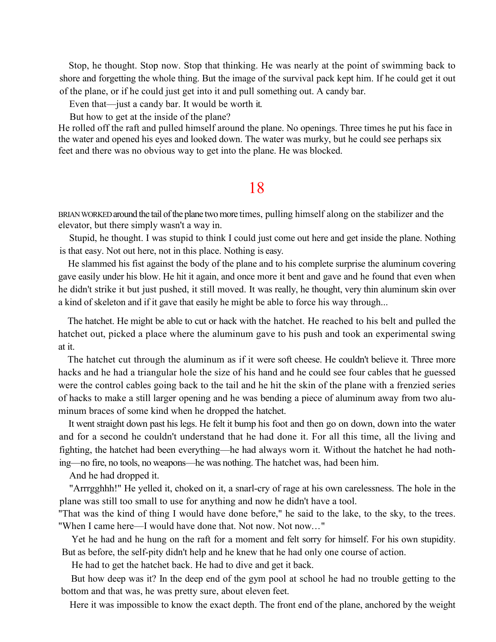Stop, he thought. Stop now. Stop that thinking. He was nearly at the point of swimming back to shore and forgetting the whole thing. But the image of the survival pack kept him. If he could get it out of the plane, or if he could just get into it and pull something out. A candy bar.

Even that—just a candy bar. It would be worth it.

But how to get at the inside of the plane?

He rolled off the raft and pulled himself around the plane. No openings. Three times he put his face in the water and opened his eyes and looked down. The water was murky, but he could see perhaps six feet and there was no obvious way to get into the plane. He was blocked.

# 18

BRIAN WORKED around the tail of the plane two more times, pulling himself along on the stabilizer and the elevator, but there simply wasn't a way in.

Stupid, he thought. I was stupid to think I could just come out here and get inside the plane. Nothing is that easy. Not out here, not in this place. Nothing is easy.

He slammed his fist against the body of the plane and to his complete surprise the aluminum covering gave easily under his blow. He hit it again, and once more it bent and gave and he found that even when he didn't strike it but just pushed, it still moved. It was really, he thought, very thin aluminum skin over a kind of skeleton and if it gave that easily he might be able to force his way through...

The hatchet. He might be able to cut or hack with the hatchet. He reached to his belt and pulled the hatchet out, picked a place where the aluminum gave to his push and took an experimental swing at it.

The hatchet cut through the aluminum as if it were soft cheese. He couldn't believe it. Three more hacks and he had a triangular hole the size of his hand and he could see four cables that he guessed were the control cables going back to the tail and he hit the skin of the plane with a frenzied series of hacks to make a still larger opening and he was bending a piece of aluminum away from two aluminum braces of some kind when he dropped the hatchet.

It went straight down past his legs. He felt it bump his foot and then go on down, down into the water and for a second he couldn't understand that he had done it. For all this time, all the living and fighting, the hatchet had been everything—he had always worn it. Without the hatchet he had nothing—no fire, no tools, no weapons—he was nothing. The hatchet was, had been him.

And he had dropped it.

"Arrrgghhh!" He yelled it, choked on it, a snarl-cry of rage at his own carelessness. The hole in the plane was still too small to use for anything and now he didn't have a tool.

"That was the kind of thing I would have done before," he said to the lake, to the sky, to the trees. "When I came here—I would have done that. Not now. Not now..."

Yet he had and he hung on the raft for a moment and felt sorry for himself. For his own stupidity. But as before, the self-pity didn't help and he knew that he had only one course of action.

He had to get the hatchet back. He had to dive and get it back.

But how deep was it? In the deep end of the gym pool at school he had no trouble getting to the bottom and that was, he was pretty sure, about eleven feet.

Here it was impossible to know the exact depth. The front end of the plane, anchored by the weight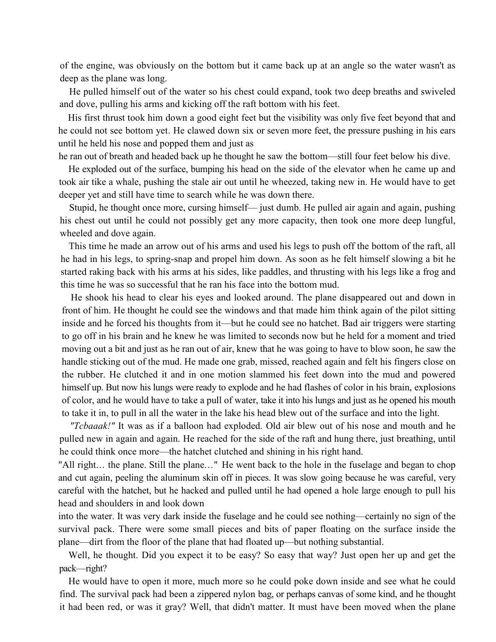of the engine, was obviously on the bottom but it came back up at an angle so the water wasn't as deep as the plane was long.

He pulled himself out of the water so his chest could expand, took two deep breaths and swiveled and dove, pulling his arms and kicking off the raft bottom with his feet.

His first thrust took him down a good eight feet but the visibility was only five feet beyond that and he could not see bottom yet. He clawed down six or seven more feet, the pressure pushing in his ears until he held his nose and popped them and just as

he ran out of breath and headed back up he thought he saw the bottom—still four feet below his dive.

He exploded out of the surface, bumping his head on the side of the elevator when he came up and took air tike a whale, pushing the stale air out until he wheezed, taking new in. He would have to get deeper yet and still have time to search while he was down there.

Stupid, he thought once more, cursing himself— just dumb. He pulled air again and again, pushing his chest out until he could not possibly get any more capacity, then took one more deep lungful, wheeled and dove again.

This time he made an arrow out of his arms and used his legs to push off the bottom of the raft, all he had in his legs, to spring-snap and propel him down. As soon as he felt himself slowing a bit he started raking back with his arms at his sides, like paddles, and thrusting with his legs like a frog and this time he was so successful that he ran his face into the bottom mud.

He shook his head to clear his eyes and looked around. The plane disappeared out and down in front of him. He thought he could see the windows and that made him think again of the pilot sitting inside and he forced his thoughts from it—but he could see no hatchet. Bad air triggers were starting to go off in his brain and he knew he was limited to seconds now but he held for a moment and tried moving out a bit and just as he ran out of air, knew that he was going to have to blow soon, he saw the handle sticking out of the mud. He made one grab, missed, reached again and felt his fingers close on the rubber. He clutched it and in one motion slammed his feet down into the mud and powered himself up. But now his lungs were ready to explode and he had flashes of color in his brain, explosions of color, and he would have to take a pull of water, take it into his lungs and just as he opened his mouth to take it in, to pull in all the water in the lake his head blew out of the surface and into the light.

"Tcbaaak!" It was as if a balloon had exploded. Old air blew out of his nose and mouth and he pulled new in again and again. He reached for the side of the raft and hung there, just breathing, until he could think once more—the hatchet clutched and shining in his right hand.

"All right... the plane. Still the plane..." He went back to the hole in the fuselage and began to chop and cut again, peeling the aluminum skin off in pieces. It was slow going because he was careful, very careful with the hatchet, but he hacked and pulled until he had opened a hole large enough to pull his head and shoulders in and look down

into the water. It was very dark inside the fuselage and he could see nothing—certainly no sign of the survival pack. There were some small pieces and bits of paper floating on the surface inside the plane—dirt from the floor of the plane that had floated up—but nothing substantial.

Well, he thought. Did you expect it to be easy? So easy that way? Just open her up and get the pack—right?

He would have to open it more, much more so he could poke down inside and see what he could find. The survival pack had been a zippered nylon bag, or perhaps canvas of some kind, and he thought it had been red, or was it gray? Well, that didn't matter. It must have been moved when the plane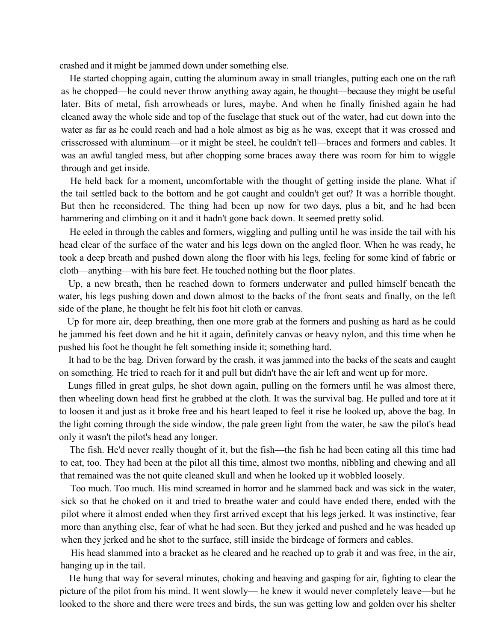crashed and it might be jammed down under something else.

He started chopping again, cutting the aluminum away in small triangles, putting each one on the raft as he chopped—he could never throw anything away again, he thought—because they might be useful later. Bits of metal, fish arrowheads or lures, maybe. And when he finally finished again he had cleaned away the whole side and top of the fuselage that stuck out of the water, had cut down into the water as far as he could reach and had a hole almost as big as he was, except that it was crossed and crisscrossed with aluminum—or it might be steel, he couldn't tell—braces and formers and cables. It was an awful tangled mess, but after chopping some braces away there was room for him to wiggle through and get inside.

He held back for a moment, uncomfortable with the thought of getting inside the plane. What if the tail settled back to the bottom and he got caught and couldn't get out? It was a horrible thought. But then he reconsidered. The thing had been up now for two days, plus a bit, and he had been hammering and climbing on it and it hadn't gone back down. It seemed pretty solid.

He eeled in through the cables and formers, wiggling and pulling until he was inside the tail with his head clear of the surface of the water and his legs down on the angled floor. When he was ready, he took a deep breath and pushed down along the floor with his legs, feeling for some kind of fabric or cloth—anything—with his bare feet. He touched nothing but the floor plates.

Up, a new breath, then he reached down to formers underwater and pulled himself beneath the water, his legs pushing down and down almost to the backs of the front seats and finally, on the left side of the plane, he thought he felt his foot hit cloth or canvas.

Up for more air, deep breathing, then one more grab at the formers and pushing as hard as he could he jammed his feet down and he hit it again, definitely canvas or heavy nylon, and this time when he pushed his foot he thought he felt something inside it; something hard.

It had to be the bag. Driven forward by the crash, it was jammed into the backs of the seats and caught on something. He tried to reach for it and pull but didn't have the air left and went up for more.

Lungs filled in great gulps, he shot down again, pulling on the formers until he was almost there, then wheeling down head first he grabbed at the cloth. It was the survival bag. He pulled and tore at it to loosen it and just as it broke free and his heart leaped to feel it rise he looked up, above the bag. In the light coming through the side window, the pale green light from the water, he saw the pilot's head only it wasn't the pilot's head any longer.

The fish. He'd never really thought of it, but the fish—the fish he had been eating all this time had to eat, too. They had been at the pilot all this time, almost two months, nibbling and chewing and all that remained was the not quite cleaned skull and when he looked up it wobbled loosely.

Too much. Too much. His mind screamed in horror and he slammed back and was sick in the water, sick so that he choked on it and tried to breathe water and could have ended there, ended with the pilot where it almost ended when they first arrived except that his legs jerked. It was instinctive, fear more than anything else, fear of what he had seen. But they jerked and pushed and he was headed up when they jerked and he shot to the surface, still inside the birdcage of formers and cables.

His head slammed into a bracket as he cleared and he reached up to grab it and was free, in the air, hanging up in the tail.

He hung that way for several minutes, choking and heaving and gasping for air, fighting to clear the picture of the pilot from his mind. It went slowly— he knew it would never completely leave—but he looked to the shore and there were trees and birds, the sun was getting low and golden over his shelter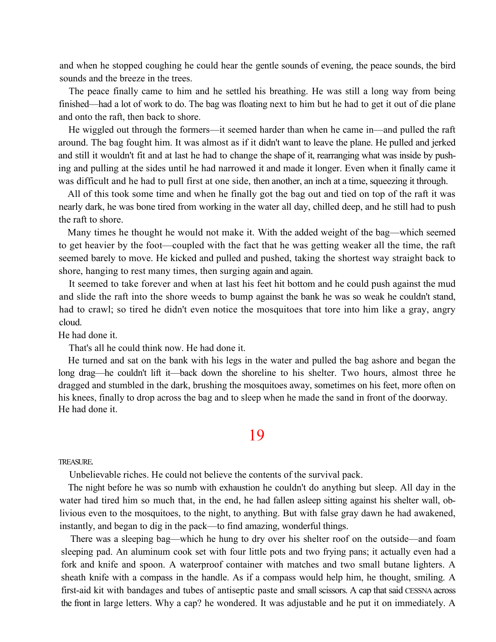and when he stopped coughing he could hear the gentle sounds of evening, the peace sounds, the bird sounds and the breeze in the trees.

The peace finally came to him and he settled his breathing. He was still a long way from being finished—had a lot of work to do. The bag was floating next to him but he had to get it out of die plane and onto the raft, then back to shore.

He wiggled out through the formers—it seemed harder than when he came in—and pulled the raft around. The bag fought him. It was almost as if it didn't want to leave the plane. He pulled and jerked and still it wouldn't fit and at last he had to change the shape of it, rearranging what was inside by pushing and pulling at the sides until he had narrowed it and made it longer. Even when it finally came it was difficult and he had to pull first at one side, then another, an inch at a time, squeezing it through.

All of this took some time and when he finally got the bag out and tied on top of the raft it was nearly dark, he was bone tired from working in the water all day, chilled deep, and he still had to push the raft to shore.

Many times he thought he would not make it. With the added weight of the bag—which seemed to get heavier by the foot—coupled with the fact that he was getting weaker all the time, the raft seemed barely to move. He kicked and pulled and pushed, taking the shortest way straight back to shore, hanging to rest many times, then surging again and again.

It seemed to take forever and when at last his feet hit bottom and he could push against the mud and slide the raft into the shore weeds to bump against the bank he was so weak he couldn't stand, had to crawl; so tired he didn't even notice the mosquitoes that tore into him like a gray, angry cloud.

He had done it.

That's all he could think now. He had done it.

He turned and sat on the bank with his legs in the water and pulled the bag ashore and began the long drag—he couldn't lift it—back down the shoreline to his shelter. Two hours, almost three he dragged and stumbled in the dark, brushing the mosquitoes away, sometimes on his feet, more often on his knees, finally to drop across the bag and to sleep when he made the sand in front of the doorway. He had done it.

## 19

#### TREASURE.

Unbelievable riches. He could not believe the contents of the survival pack.

The night before he was so numb with exhaustion he couldn't do anything but sleep. All day in the water had tired him so much that, in the end, he had fallen asleep sitting against his shelter wall, oblivious even to the mosquitoes, to the night, to anything. But with false gray dawn he had awakened, instantly, and began to dig in the pack—to find amazing, wonderful things.

There was a sleeping bag—which he hung to dry over his shelter roof on the outside—and foam sleeping pad. An aluminum cook set with four little pots and two frying pans; it actually even had a fork and knife and spoon. A waterproof container with matches and two small butane lighters. A sheath knife with a compass in the handle. As if a compass would help him, he thought, smiling. A first-aid kit with bandages and tubes of antiseptic paste and small scissors. A cap that said CESSNA across the front in large letters. Why a cap? he wondered. It was adjustable and he put it on immediately. A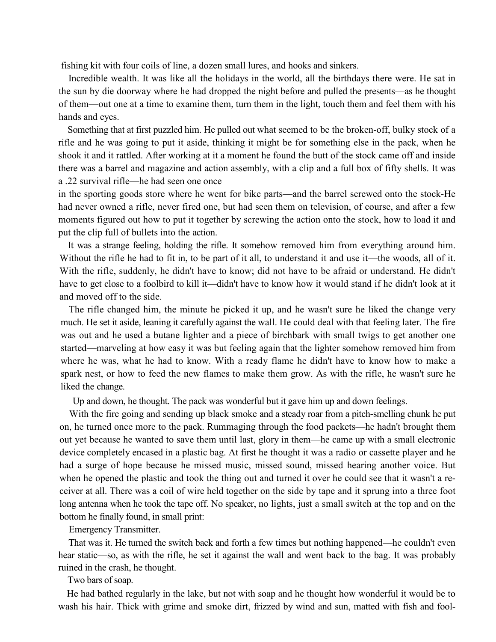fishing kit with four coils of line, a dozen small lures, and hooks and sinkers.

Incredible wealth. It was like all the holidays in the world, all the birthdays there were. He sat in the sun by die doorway where he had dropped the night before and pulled the presents—as he thought of them—out one at a time to examine them, turn them in the light, touch them and feel them with his hands and eyes.

Something that at first puzzled him. He pulled out what seemed to be the broken-off, bulky stock of a rifle and he was going to put it aside, thinking it might be for something else in the pack, when he shook it and it rattled. After working at it a moment he found the butt of the stock came off and inside there was a barrel and magazine and action assembly, with a clip and a full box of fifty shells. It was a .22 survival rifle—he had seen one once

in the sporting goods store where he went for bike parts—and the barrel screwed onto the stock-He had never owned a rifle, never fired one, but had seen them on television, of course, and after a few moments figured out how to put it together by screwing the action onto the stock, how to load it and put the clip full of bullets into the action.

It was a strange feeling, holding the rifle. It somehow removed him from everything around him. Without the rifle he had to fit in, to be part of it all, to understand it and use it—the woods, all of it. With the rifle, suddenly, he didn't have to know; did not have to be afraid or understand. He didn't have to get close to a foolbird to kill it—didn't have to know how it would stand if he didn't look at it and moved off to the side.

The rifle changed him, the minute he picked it up, and he wasn't sure he liked the change very much. He set it aside, leaning it carefully against the wall. He could deal with that feeling later. The fire was out and he used a butane lighter and a piece of birchbark with small twigs to get another one started—marveling at how easy it was but feeling again that the lighter somehow removed him from where he was, what he had to know. With a ready flame he didn't have to know how to make a spark nest, or how to feed the new flames to make them grow. As with the rifle, he wasn't sure he liked the change.

Up and down, he thought. The pack was wonderful but it gave him up and down feelings.

With the fire going and sending up black smoke and a steady roar from a pitch-smelling chunk he put on, he turned once more to the pack. Rummaging through the food packets—he hadn't brought them out yet because he wanted to save them until last, glory in them—he came up with a small electronic device completely encased in a plastic bag. At first he thought it was a radio or cassette player and he had a surge of hope because he missed music, missed sound, missed hearing another voice. But when he opened the plastic and took the thing out and turned it over he could see that it wasn't a receiver at all. There was a coil of wire held together on the side by tape and it sprung into a three foot long antenna when he took the tape off. No speaker, no lights, just a small switch at the top and on the bottom he finally found, in small print:

Emergency Transmitter.

That was it. He turned the switch back and forth a few times but nothing happened—he couldn't even hear static—so, as with the rifle, he set it against the wall and went back to the bag. It was probably ruined in the crash, he thought.

Two bars of soap.

He had bathed regularly in the lake, but not with soap and he thought how wonderful it would be to wash his hair. Thick with grime and smoke dirt, frizzed by wind and sun, matted with fish and fool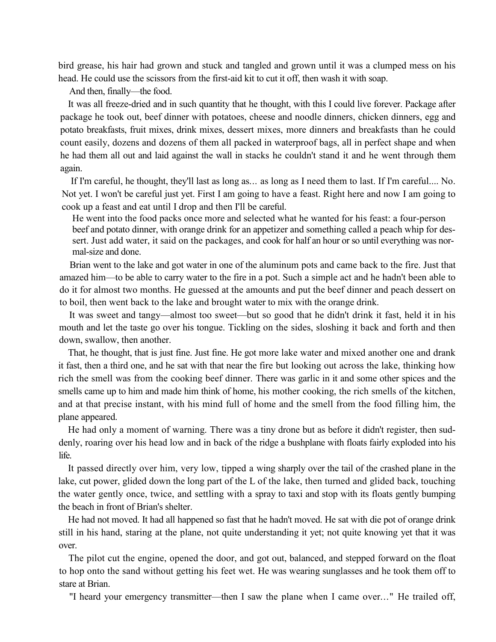bird grease, his hair had grown and stuck and tangled and grown until it was a clumped mess on his head. He could use the scissors from the first-aid kit to cut it off, then wash it with soap.

And then, finally—the food.

It was all freeze-dried and in such quantity that he thought, with this I could live forever. Package after package he took out, beef dinner with potatoes, cheese and noodle dinners, chicken dinners, egg and potato breakfasts, fruit mixes, drink mixes, dessert mixes, more dinners and breakfasts than he could count easily, dozens and dozens of them all packed in waterproof bags, all in perfect shape and when he had them all out and laid against the wall in stacks he couldn't stand it and he went through them again.

If I'm careful, he thought, they'll last as long as... as long as I need them to last. If I'm careful.... No. Not yet. I won't be careful just yet. First I am going to have a feast. Right here and now I am going to cook up a feast and eat until I drop and then I'll be careful.

He went into the food packs once more and selected what he wanted for his feast: a four-person beef and potato dinner, with orange drink for an appetizer and something called a peach whip for dessert. Just add water, it said on the packages, and cook for half an hour or so until everything was normal-size and done.

Brian went to the lake and got water in one of the aluminum pots and came back to the fire. Just that amazed him—to be able to carry water to the fire in a pot. Such a simple act and he hadn't been able to do it for almost two months. He guessed at the amounts and put the beef dinner and peach dessert on to boil, then went back to the lake and brought water to mix with the orange drink.

It was sweet and tangy—almost too sweet—but so good that he didn't drink it fast, held it in his mouth and let the taste go over his tongue. Tickling on the sides, sloshing it back and forth and then down, swallow, then another.

That, he thought, that is just fine. Just fine. He got more lake water and mixed another one and drank it fast, then a third one, and he sat with that near the fire but looking out across the lake, thinking how rich the smell was from the cooking beef dinner. There was garlic in it and some other spices and the smells came up to him and made him think of home, his mother cooking, the rich smells of the kitchen, and at that precise instant, with his mind full of home and the smell from the food filling him, the plane appeared.

He had only a moment of warning. There was a tiny drone but as before it didn't register, then suddenly, roaring over his head low and in back of the ridge a bushplane with floats fairly exploded into his life.

It passed directly over him, very low, tipped a wing sharply over the tail of the crashed plane in the lake, cut power, glided down the long part of the L of the lake, then turned and glided back, touching the water gently once, twice, and settling with a spray to taxi and stop with its floats gently bumping the beach in front of Brian's shelter.

He had not moved. It had all happened so fast that he hadn't moved. He sat with die pot of orange drink still in his hand, staring at the plane, not quite understanding it yet; not quite knowing yet that it was over.

The pilot cut the engine, opened the door, and got out, balanced, and stepped forward on the float to hop onto the sand without getting his feet wet. He was wearing sunglasses and he took them off to stare at Brian.

"I heard your emergency transmitter—then I saw the plane when I came over..." He trailed off,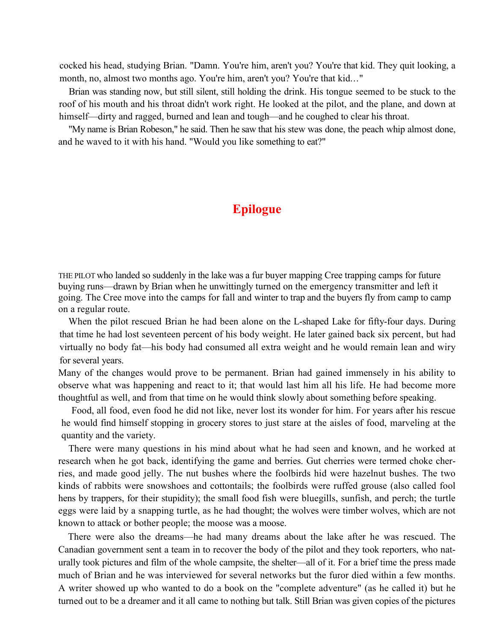cocked his head, studying Brian. "Damn. You're him, aren't you? You're that kid. They quit looking, a month, no, almost two months ago. You're him, aren't you? You're that kid..."

Brian was standing now, but still silent, still holding the drink. His tongue seemed to be stuck to the roof of his mouth and his throat didn't work right. He looked at the pilot, and the plane, and down at himself—dirty and ragged, burned and lean and tough—and he coughed to clear his throat.

"My name is Brian Robeson," he said. Then he saw that his stew was done, the peach whip almost done, and he waved to it with his hand. "Would you like something to eat?"

## Epilogue

THE PILOT who landed so suddenly in the lake was a fur buyer mapping Cree trapping camps for future buying runs—drawn by Brian when he unwittingly turned on the emergency transmitter and left it going. The Cree move into the camps for fall and winter to trap and the buyers fly from camp to camp on a regular route.

When the pilot rescued Brian he had been alone on the L-shaped Lake for fifty-four days. During that time he had lost seventeen percent of his body weight. He later gained back six percent, but had virtually no body fat—his body had consumed all extra weight and he would remain lean and wiry for several years.

Many of the changes would prove to be permanent. Brian had gained immensely in his ability to observe what was happening and react to it; that would last him all his life. He had become more thoughtful as well, and from that time on he would think slowly about something before speaking.

Food, all food, even food he did not like, never lost its wonder for him. For years after his rescue he would find himself stopping in grocery stores to just stare at the aisles of food, marveling at the quantity and the variety.

There were many questions in his mind about what he had seen and known, and he worked at research when he got back, identifying the game and berries. Gut cherries were termed choke cherries, and made good jelly. The nut bushes where the foolbirds hid were hazelnut bushes. The two kinds of rabbits were snowshoes and cottontails; the foolbirds were ruffed grouse (also called fool hens by trappers, for their stupidity); the small food fish were bluegills, sunfish, and perch; the turtle eggs were laid by a snapping turtle, as he had thought; the wolves were timber wolves, which are not known to attack or bother people; the moose was a moose.

There were also the dreams—he had many dreams about the lake after he was rescued. The Canadian government sent a team in to recover the body of the pilot and they took reporters, who naturally took pictures and film of the whole campsite, the shelter—all of it. For a brief time the press made much of Brian and he was interviewed for several networks but the furor died within a few months. A writer showed up who wanted to do a book on the "complete adventure" (as he called it) but he turned out to be a dreamer and it all came to nothing but talk. Still Brian was given copies of the pictures